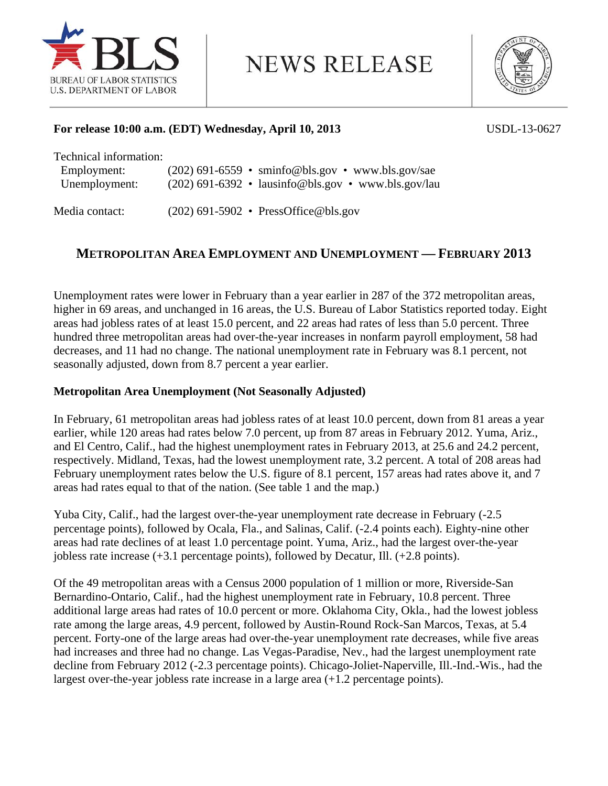

**NEWS RELEASE** 



### **For release 10:00 a.m. (EDT) Wednesday, April 10, 2013** USDL-13-0627

| Employment:   | $(202)$ 691-6559 • sminfo@bls.gov • www.bls.gov/sae   |
|---------------|-------------------------------------------------------|
| Unemployment: | $(202)$ 691-6392 • lausinfo@bls.gov • www.bls.gov/lau |
|               |                                                       |

Media contact: (202) 691-5902 • PressOffice@bls.gov

## **METROPOLITAN AREA EMPLOYMENT AND UNEMPLOYMENT — FEBRUARY 2013**

Unemployment rates were lower in February than a year earlier in 287 of the 372 metropolitan areas, higher in 69 areas, and unchanged in 16 areas, the U.S. Bureau of Labor Statistics reported today. Eight areas had jobless rates of at least 15.0 percent, and 22 areas had rates of less than 5.0 percent. Three hundred three metropolitan areas had over-the-year increases in nonfarm payroll employment, 58 had decreases, and 11 had no change. The national unemployment rate in February was 8.1 percent, not seasonally adjusted, down from 8.7 percent a year earlier.

### **Metropolitan Area Unemployment (Not Seasonally Adjusted)**

In February, 61 metropolitan areas had jobless rates of at least 10.0 percent, down from 81 areas a year earlier, while 120 areas had rates below 7.0 percent, up from 87 areas in February 2012. Yuma, Ariz., and El Centro, Calif., had the highest unemployment rates in February 2013, at 25.6 and 24.2 percent, respectively. Midland, Texas, had the lowest unemployment rate, 3.2 percent. A total of 208 areas had February unemployment rates below the U.S. figure of 8.1 percent, 157 areas had rates above it, and 7 areas had rates equal to that of the nation. (See table 1 and the map.)

Yuba City, Calif., had the largest over-the-year unemployment rate decrease in February (-2.5 percentage points), followed by Ocala, Fla., and Salinas, Calif. (-2.4 points each). Eighty-nine other areas had rate declines of at least 1.0 percentage point. Yuma, Ariz., had the largest over-the-year jobless rate increase (+3.1 percentage points), followed by Decatur, Ill. (+2.8 points).

Of the 49 metropolitan areas with a Census 2000 population of 1 million or more, Riverside-San Bernardino-Ontario, Calif., had the highest unemployment rate in February, 10.8 percent. Three additional large areas had rates of 10.0 percent or more. Oklahoma City, Okla., had the lowest jobless rate among the large areas, 4.9 percent, followed by Austin-Round Rock-San Marcos, Texas, at 5.4 percent. Forty-one of the large areas had over-the-year unemployment rate decreases, while five areas had increases and three had no change. Las Vegas-Paradise, Nev., had the largest unemployment rate decline from February 2012 (-2.3 percentage points). Chicago-Joliet-Naperville, Ill.-Ind.-Wis., had the largest over-the-year jobless rate increase in a large area (+1.2 percentage points).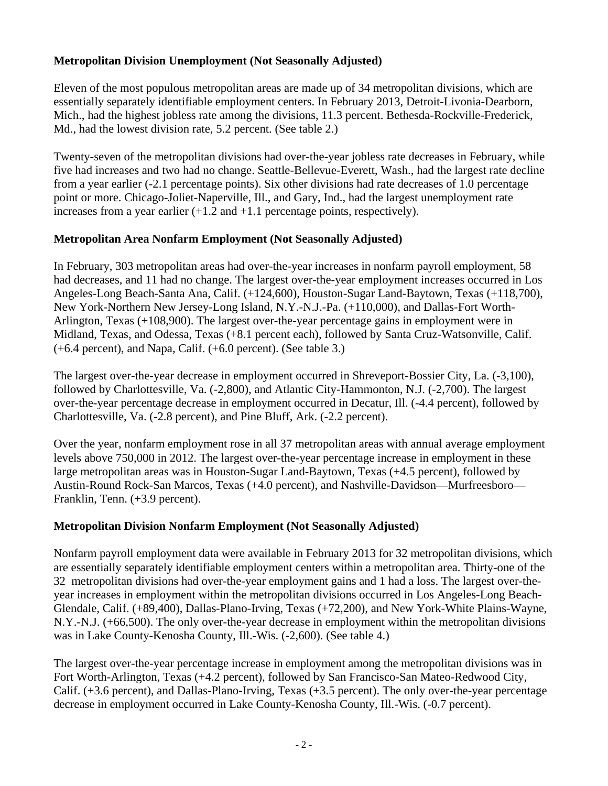## **Metropolitan Division Unemployment (Not Seasonally Adjusted)**

Eleven of the most populous metropolitan areas are made up of 34 metropolitan divisions, which are essentially separately identifiable employment centers. In February 2013, Detroit-Livonia-Dearborn, Mich., had the highest jobless rate among the divisions, 11.3 percent. Bethesda-Rockville-Frederick, Md., had the lowest division rate, 5.2 percent. (See table 2.)

Twenty-seven of the metropolitan divisions had over-the-year jobless rate decreases in February, while five had increases and two had no change. Seattle-Bellevue-Everett, Wash., had the largest rate decline from a year earlier (-2.1 percentage points). Six other divisions had rate decreases of 1.0 percentage point or more. Chicago-Joliet-Naperville, Ill., and Gary, Ind., had the largest unemployment rate increases from a year earlier  $(+1.2 \text{ and } +1.1 \text{ percentage points, respectively}).$ 

## **Metropolitan Area Nonfarm Employment (Not Seasonally Adjusted)**

In February, 303 metropolitan areas had over-the-year increases in nonfarm payroll employment, 58 had decreases, and 11 had no change. The largest over-the-year employment increases occurred in Los Angeles-Long Beach-Santa Ana, Calif. (+124,600), Houston-Sugar Land-Baytown, Texas (+118,700), New York-Northern New Jersey-Long Island, N.Y.-N.J.-Pa. (+110,000), and Dallas-Fort Worth-Arlington, Texas (+108,900). The largest over-the-year percentage gains in employment were in Midland, Texas, and Odessa, Texas (+8.1 percent each), followed by Santa Cruz-Watsonville, Calif. (+6.4 percent), and Napa, Calif. (+6.0 percent). (See table 3.)

The largest over-the-year decrease in employment occurred in Shreveport-Bossier City, La. (-3,100), followed by Charlottesville, Va. (-2,800), and Atlantic City-Hammonton, N.J. (-2,700). The largest over-the-year percentage decrease in employment occurred in Decatur, Ill. (-4.4 percent), followed by Charlottesville, Va. (-2.8 percent), and Pine Bluff, Ark. (-2.2 percent).

Over the year, nonfarm employment rose in all 37 metropolitan areas with annual average employment levels above 750,000 in 2012. The largest over-the-year percentage increase in employment in these large metropolitan areas was in Houston-Sugar Land-Baytown, Texas (+4.5 percent), followed by Austin-Round Rock-San Marcos, Texas (+4.0 percent), and Nashville-Davidson—Murfreesboro— Franklin, Tenn. (+3.9 percent).

## **Metropolitan Division Nonfarm Employment (Not Seasonally Adjusted)**

Nonfarm payroll employment data were available in February 2013 for 32 metropolitan divisions, which are essentially separately identifiable employment centers within a metropolitan area. Thirty-one of the 32 metropolitan divisions had over-the-year employment gains and 1 had a loss. The largest over-theyear increases in employment within the metropolitan divisions occurred in Los Angeles-Long Beach-Glendale, Calif. (+89,400), Dallas-Plano-Irving, Texas (+72,200), and New York-White Plains-Wayne, N.Y.-N.J. (+66,500). The only over-the-year decrease in employment within the metropolitan divisions was in Lake County-Kenosha County, Ill.-Wis. (-2,600). (See table 4.)

The largest over-the-year percentage increase in employment among the metropolitan divisions was in Fort Worth-Arlington, Texas (+4.2 percent), followed by San Francisco-San Mateo-Redwood City, Calif. (+3.6 percent), and Dallas-Plano-Irving, Texas (+3.5 percent). The only over-the-year percentage decrease in employment occurred in Lake County-Kenosha County, Ill.-Wis. (-0.7 percent).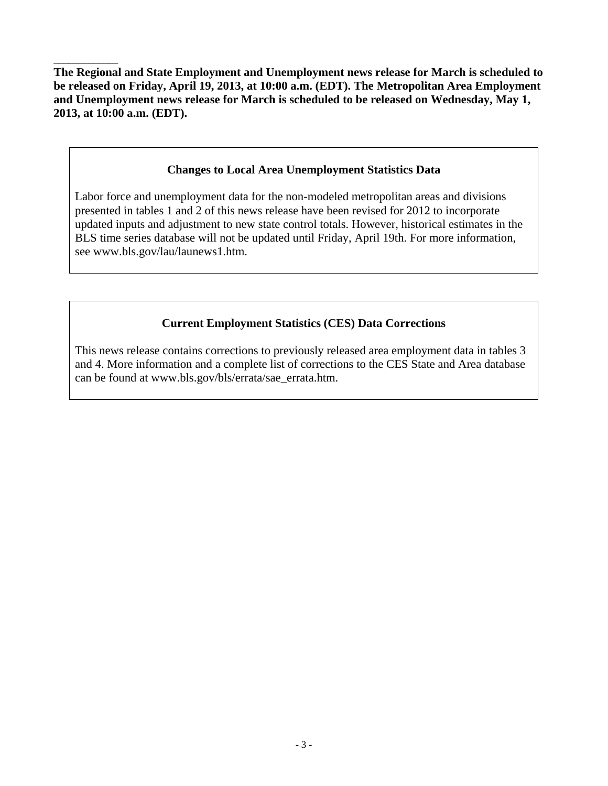**The Regional and State Employment and Unemployment news release for March is scheduled to be released on Friday, April 19, 2013, at 10:00 a.m. (EDT). The Metropolitan Area Employment and Unemployment news release for March is scheduled to be released on Wednesday, May 1, 2013, at 10:00 a.m. (EDT).** 

\_\_\_\_\_\_\_\_\_\_\_\_\_

## **Changes to Local Area Unemployment Statistics Data**

Labor force and unemployment data for the non-modeled metropolitan areas and divisions presented in tables 1 and 2 of this news release have been revised for 2012 to incorporate updated inputs and adjustment to new state control totals. However, historical estimates in the BLS time series database will not be updated until Friday, April 19th. For more information, see www.bls.gov/lau/launews1.htm.

## **Current Employment Statistics (CES) Data Corrections**

This news release contains corrections to previously released area employment data in tables 3 and 4. More information and a complete list of corrections to the CES State and Area database can be found at www.bls.gov/bls/errata/sae\_errata.htm.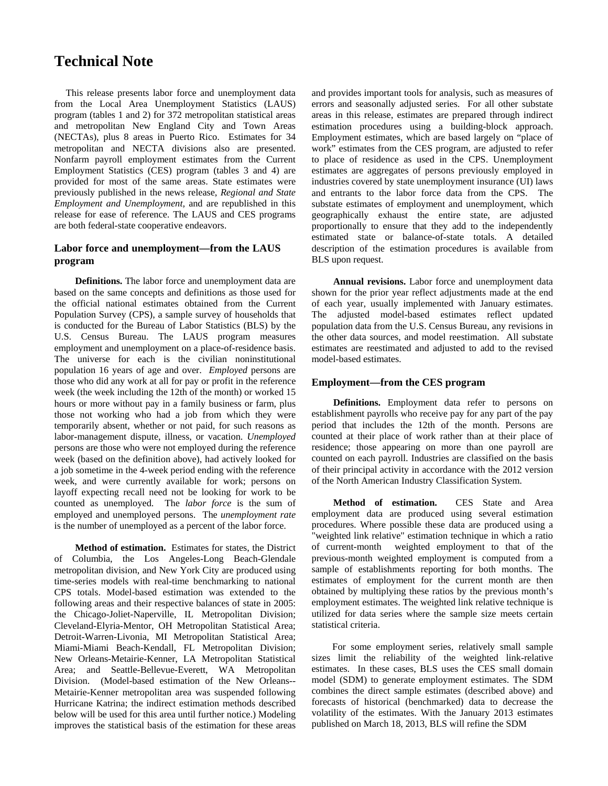## **Technical Note**

This release presents labor force and unemployment data from the Local Area Unemployment Statistics (LAUS) program (tables 1 and 2) for 372 metropolitan statistical areas and metropolitan New England City and Town Areas (NECTAs), plus 8 areas in Puerto Rico. Estimates for 34 metropolitan and NECTA divisions also are presented. Nonfarm payroll employment estimates from the Current Employment Statistics (CES) program (tables 3 and 4) are provided for most of the same areas. State estimates were previously published in the news release, *Regional and State Employment and Unemployment,* and are republished in this release for ease of reference. The LAUS and CES programs are both federal-state cooperative endeavors.

### **Labor force and unemployment—from the LAUS program**

**Definitions.** The labor force and unemployment data are based on the same concepts and definitions as those used for the official national estimates obtained from the Current Population Survey (CPS), a sample survey of households that is conducted for the Bureau of Labor Statistics (BLS) by the U.S. Census Bureau. The LAUS program measures employment and unemployment on a place-of-residence basis. The universe for each is the civilian noninstitutional population 16 years of age and over. *Employed* persons are those who did any work at all for pay or profit in the reference week (the week including the 12th of the month) or worked 15 hours or more without pay in a family business or farm, plus those not working who had a job from which they were temporarily absent, whether or not paid, for such reasons as labor-management dispute, illness, or vacation. *Unemployed* persons are those who were not employed during the reference week (based on the definition above), had actively looked for a job sometime in the 4-week period ending with the reference week, and were currently available for work; persons on layoff expecting recall need not be looking for work to be counted as unemployed. The *labor force* is the sum of employed and unemployed persons. The *unemployment rate* is the number of unemployed as a percent of the labor force.

**Method of estimation.** Estimates for states, the District of Columbia, the Los Angeles-Long Beach-Glendale metropolitan division, and New York City are produced using time-series models with real-time benchmarking to national CPS totals. Model-based estimation was extended to the following areas and their respective balances of state in 2005: the Chicago-Joliet-Naperville, IL Metropolitan Division; Cleveland-Elyria-Mentor, OH Metropolitan Statistical Area; Detroit-Warren-Livonia, MI Metropolitan Statistical Area; Miami-Miami Beach-Kendall, FL Metropolitan Division; New Orleans-Metairie-Kenner, LA Metropolitan Statistical Area; and Seattle-Bellevue-Everett, WA Metropolitan Division. (Model-based estimation of the New Orleans-- Metairie-Kenner metropolitan area was suspended following Hurricane Katrina; the indirect estimation methods described below will be used for this area until further notice.) Modeling improves the statistical basis of the estimation for these areas

and provides important tools for analysis, such as measures of errors and seasonally adjusted series. For all other substate areas in this release, estimates are prepared through indirect estimation procedures using a building-block approach. Employment estimates, which are based largely on "place of work" estimates from the CES program, are adjusted to refer to place of residence as used in the CPS. Unemployment estimates are aggregates of persons previously employed in industries covered by state unemployment insurance (UI) laws and entrants to the labor force data from the CPS. The substate estimates of employment and unemployment, which geographically exhaust the entire state, are adjusted proportionally to ensure that they add to the independently estimated state or balance-of-state totals. A detailed description of the estimation procedures is available from BLS upon request.

**Annual revisions.** Labor force and unemployment data shown for the prior year reflect adjustments made at the end of each year, usually implemented with January estimates. The adjusted model-based estimates reflect updated population data from the U.S. Census Bureau, any revisions in the other data sources, and model reestimation. All substate estimates are reestimated and adjusted to add to the revised model-based estimates.

#### **Employment—from the CES program**

**Definitions.** Employment data refer to persons on establishment payrolls who receive pay for any part of the pay period that includes the 12th of the month. Persons are counted at their place of work rather than at their place of residence; those appearing on more than one payroll are counted on each payroll. Industries are classified on the basis of their principal activity in accordance with the 2012 version of the North American Industry Classification System.

**Method of estimation.** CES State and Area employment data are produced using several estimation procedures. Where possible these data are produced using a "weighted link relative" estimation technique in which a ratio of current-month weighted employment to that of the previous-month weighted employment is computed from a sample of establishments reporting for both months. The estimates of employment for the current month are then obtained by multiplying these ratios by the previous month's employment estimates. The weighted link relative technique is utilized for data series where the sample size meets certain statistical criteria.

For some employment series, relatively small sample sizes limit the reliability of the weighted link-relative estimates. In these cases, BLS uses the CES small domain model (SDM) to generate employment estimates. The SDM combines the direct sample estimates (described above) and forecasts of historical (benchmarked) data to decrease the volatility of the estimates. With the January 2013 estimates published on March 18, 2013, BLS will refine the SDM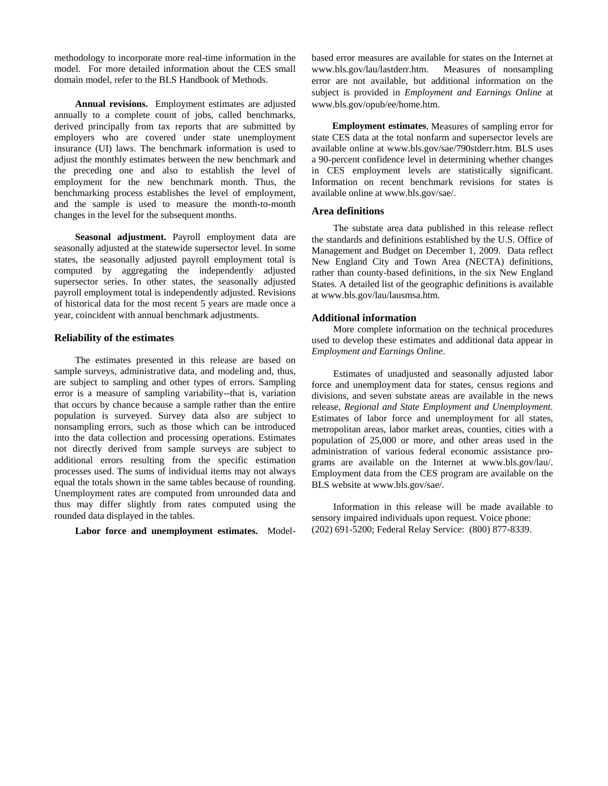methodology to incorporate more real-time information in the model. For more detailed information about the CES small domain model, refer to the BLS Handbook of Methods.

**Annual revisions.** Employment estimates are adjusted annually to a complete count of jobs, called benchmarks, derived principally from tax reports that are submitted by employers who are covered under state unemployment insurance (UI) laws. The benchmark information is used to adjust the monthly estimates between the new benchmark and the preceding one and also to establish the level of employment for the new benchmark month. Thus, the benchmarking process establishes the level of employment, and the sample is used to measure the month-to-month changes in the level for the subsequent months.

**Seasonal adjustment.** Payroll employment data are seasonally adjusted at the statewide supersector level. In some states, the seasonally adjusted payroll employment total is computed by aggregating the independently adjusted supersector series. In other states, the seasonally adjusted payroll employment total is independently adjusted. Revisions of historical data for the most recent 5 years are made once a year, coincident with annual benchmark adjustments.

#### **Reliability of the estimates**

The estimates presented in this release are based on sample surveys, administrative data, and modeling and, thus, are subject to sampling and other types of errors. Sampling error is a measure of sampling variability--that is, variation that occurs by chance because a sample rather than the entire population is surveyed. Survey data also are subject to nonsampling errors, such as those which can be introduced into the data collection and processing operations. Estimates not directly derived from sample surveys are subject to additional errors resulting from the specific estimation processes used. The sums of individual items may not always equal the totals shown in the same tables because of rounding. Unemployment rates are computed from unrounded data and thus may differ slightly from rates computed using the rounded data displayed in the tables.

**Labor force and unemployment estimates.** Model-

based error measures are available for states on the Internet at www.bls.gov/lau/lastderr.htm. Measures of nonsampling error are not available, but additional information on the subject is provided in *Employment and Earnings Online* at www.bls.gov/opub/ee/home.htm.

**Employment estimates.** Measures of sampling error for state CES data at the total nonfarm and supersector levels are available online at www.bls.gov/sae/790stderr.htm. BLS uses a 90-percent confidence level in determining whether changes in CES employment levels are statistically significant. Information on recent benchmark revisions for states is available online at www.bls.gov/sae/.

#### **Area definitions**

The substate area data published in this release reflect the standards and definitions established by the U.S. Office of Management and Budget on December 1, 2009. Data reflect New England City and Town Area (NECTA) definitions, rather than county-based definitions, in the six New England States. A detailed list of the geographic definitions is available at www.bls.gov/lau/lausmsa.htm*.* 

#### **Additional information**

More complete information on the technical procedures used to develop these estimates and additional data appear in *Employment and Earnings Online*.

Estimates of unadjusted and seasonally adjusted labor force and unemployment data for states, census regions and divisions, and seven substate areas are available in the news release, *Regional and State Employment and Unemployment.*  Estimates of labor force and unemployment for all states, metropolitan areas, labor market areas, counties, cities with a population of 25,000 or more, and other areas used in the administration of various federal economic assistance programs are available on the Internet at www.bls.gov/lau/. Employment data from the CES program are available on the BLS website at www.bls.gov/sae/.

Information in this release will be made available to sensory impaired individuals upon request. Voice phone: (202) 691-5200; Federal Relay Service: (800) 877-8339.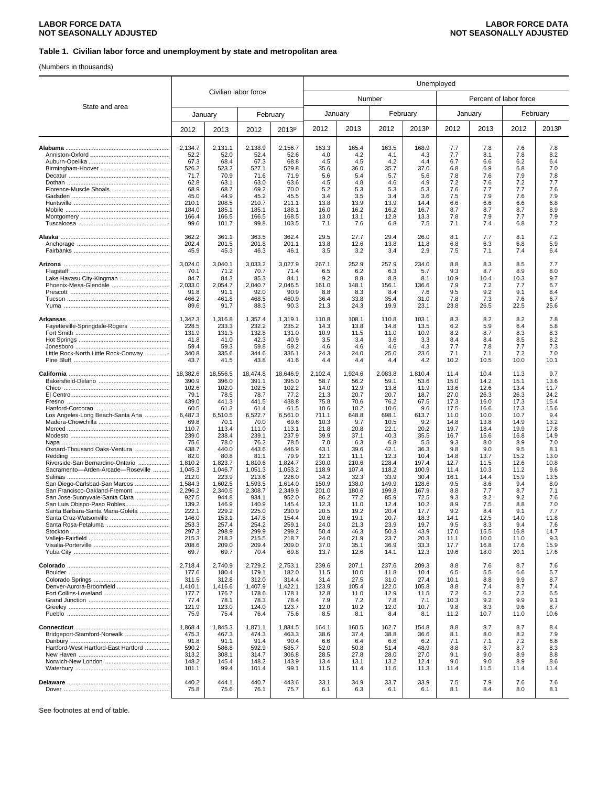### **Table 1. Civilian labor force and unemployment by state and metropolitan area**

(Numbers in thousands)

|                                                                       |                    |                    |                      |                    | Unemployed     |                |                |                |              |                        |              |              |
|-----------------------------------------------------------------------|--------------------|--------------------|----------------------|--------------------|----------------|----------------|----------------|----------------|--------------|------------------------|--------------|--------------|
| State and area                                                        |                    |                    | Civilian labor force |                    |                | Number         |                |                |              | Percent of labor force |              |              |
|                                                                       |                    | January            |                      | February           | January        |                |                | February       |              | January                |              | February     |
|                                                                       | 2012               | 2013               | 2012                 | 2013P              | 2012           | 2013           | 2012           | 2013P          | 2012         | 2013                   | 2012         | 2013P        |
|                                                                       | 2,134.7            | 2,131.1            | 2,138.9              | 2,156.7            | 163.3          | 165.4          | 163.5          | 168.9          | 7.7          | 7.8                    | 7.6          | 7.8          |
|                                                                       | 52.2               | 52.0               | 52.4                 | 52.6               | 4.0            | 4.2            | 4.1            | 4.3            | 7.7          | 8.1                    | 7.8          | 8.2          |
|                                                                       | 67.3<br>526.2      | 68.4<br>523.2      | 67.3<br>527.1        | 68.8<br>529.8      | 4.5<br>35.6    | 4.5<br>36.0    | 4.2<br>35.7    | 4.4<br>37.0    | 6.7<br>6.8   | 6.6<br>6.9             | 6.2<br>6.8   | 6.4<br>7.0   |
|                                                                       | 71.7               | 70.9               | 71.6                 | 71.9               | 5.6            | 5.4            | 5.7            | 5.6            | 7.8          | 7.6                    | 7.9          | 7.8          |
|                                                                       | 62.8               | 63.1               | 63.0                 | 63.6               | 4.5            | 4.8            | 4.6            | 4.9            | 7.2          | 7.6                    | 7.2          | 7.7          |
|                                                                       | 68.9               | 68.7               | 69.2                 | 70.0               | 5.2            | 5.3            | 5.3            | 5.3            | 7.6          | 7.7                    | 7.7          | 7.6          |
|                                                                       | 45.0<br>210.1      | 44.9<br>208.5      | 45.2<br>210.7        | 45.5<br>211.1      | 3.4<br>13.8    | 3.5<br>13.9    | 3.4<br>13.9    | 3.6<br>14.4    | 7.5<br>6.6   | 7.9<br>6.6             | 7.6<br>6.6   | 7.9<br>6.8   |
|                                                                       | 184.0              | 185.1              | 185.1                | 188.1              | 16.0           | 16.2           | 16.2           | 16.7           | 8.7          | 8.7                    | 8.7          | 8.9          |
|                                                                       | 166.4              | 166.5              | 166.5                | 168.5              | 13.0           | 13.1           | 12.8           | 13.3           | 7.8          | 7.9                    | 7.7          | 7.9          |
|                                                                       | 99.6               | 101.7              | 99.8                 | 103.5              | 7.1            | 7.6            | 6.8            | 7.5            | 7.1          | 7.4                    | 6.8          | 7.2          |
|                                                                       | 362.2<br>202.4     | 361.1<br>201.5     | 363.5<br>201.8       | 362.4<br>201.1     | 29.5<br>13.8   | 27.7<br>12.6   | 29.4<br>13.8   | 26.0<br>11.8   | 8.1<br>6.8   | 7.7<br>6.3             | 8.1<br>6.8   | 7.2<br>5.9   |
|                                                                       | 45.9               | 45.3               | 46.3                 | 46.1               | 3.5            | 3.2            | 3.4            | 2.9            | 7.5          | 7.1                    | 7.4          | 6.4          |
|                                                                       | 3,024.0            | 3,040.1            | 3,033.2              | 3,027.9            | 267.1          | 252.9          | 257.9          | 234.0          | 8.8          | 8.3                    | 8.5          | 7.7          |
|                                                                       | 70.1               | 71.2               | 70.7                 | 71.4               | 6.5            | 6.2            | 6.3            | 5.7            | 9.3          | 8.7                    | 8.9          | 8.0          |
| Lake Havasu City-Kingman<br>Phoenix-Mesa-Glendale                     | 84.7<br>2,033.0    | 84.3<br>2,054.7    | 85.3<br>2.040.7      | 84.1<br>2,046.5    | 9.2<br>161.0   | 8.8<br>148.1   | 8.8<br>156.1   | 8.1<br>136.6   | 10.9<br>7.9  | 10.4<br>7.2            | 10.3<br>7.7  | 9.7<br>6.7   |
|                                                                       | 91.8               | 91.1               | 92.0                 | 90.9               | 8.8            | 8.3            | 8.4            | 7.6            | 9.5          | 9.2                    | 9.1          | 8.4          |
|                                                                       | 466.2<br>89.6      | 461.8<br>91.7      | 468.5<br>88.3        | 460.9<br>90.3      | 36.4<br>21.3   | 33.8<br>24.3   | 35.4<br>19.9   | 31.0<br>23.1   | 7.8<br>23.8  | 7.3<br>26.5            | 7.6<br>22.5  | 6.7<br>25.6  |
|                                                                       | 1,342.3            | 1,316.8            | 1,357.4              | 1,319.1            | 110.8          | 108.1          | 110.8          | 103.1          | 8.3          | 8.2                    | 8.2          | 7.8          |
| Fayetteville-Springdale-Rogers                                        | 228.5              | 233.3              | 232.2                | 235.2              | 14.3           | 13.8           | 14.8           | 13.5           | 6.2          | 5.9                    | 6.4          | 5.8          |
|                                                                       | 131.9              | 131.3              | 132.8                | 131.0              | 10.9           | 11.5           | 11.0           | 10.9           | 8.2          | 8.7                    | 8.3          | 8.3          |
|                                                                       | 41.8<br>59.4       | 41.0<br>59.3       | 42.3<br>59.8         | 40.9<br>59.2       | 3.5<br>4.6     | 3.4<br>4.6     | 3.6<br>4.6     | 3.3<br>4.3     | 8.4<br>7.7   | 8.4<br>7.8             | 8.5<br>7.7   | 8.2<br>7.3   |
| Little Rock-North Little Rock-Conway                                  | 340.8<br>43.7      | 335.6<br>41.5      | 344.6<br>43.8        | 336.1<br>41.6      | 24.3<br>4.4    | 24.0<br>4.4    | 25.0<br>4.4    | 23.6<br>4.2    | 7.1<br>10.2  | 7.1<br>10.5            | 7.2<br>10.0  | 7.0<br>10.1  |
|                                                                       | 18,382.6           | 18,556.5           | 18,474.8             | 18,646.9           | 2,102.4        | 1,924.6        | 2,083.8        | 1,810.4        | 11.4         | 10.4                   | 11.3         | 9.7          |
|                                                                       | 390.9<br>102.6     | 396.0<br>102.0     | 391.1<br>102.5       | 395.0<br>102.2     | 58.7<br>14.0   | 56.2<br>12.9   | 59.1<br>13.8   | 53.6<br>11.9   | 15.0<br>13.6 | 14.2<br>12.6           | 15.1<br>13.4 | 13.6<br>11.7 |
|                                                                       | 79.1               | 78.5               | 78.7                 | 77.2               | 21.3           | 20.7           | 20.7           | 18.7           | 27.0         | 26.3                   | 26.3         | 24.2         |
|                                                                       | 439.0              | 441.3              | 441.5                | 438.8              | 75.8           | 70.6           | 76.2           | 67.5           | 17.3         | 16.0                   | 17.3         | 15.4         |
| Los Angeles-Long Beach-Santa Ana                                      | 60.5<br>6,487.3    | 61.3<br>6,510.5    | 61.4<br>6,522.7      | 61.5<br>6,561.0    | 10.6<br>711.1  | 10.2<br>648.8  | 10.6<br>698.1  | 9.6<br>613.7   | 17.5<br>11.0 | 16.6<br>10.0           | 17.3<br>10.7 | 15.6<br>9.4  |
|                                                                       | 69.8               | 70.1               | 70.0                 | 69.6               | 10.3           | 9.7            | 10.5           | 9.2            | 14.8         | 13.8                   | 14.9         | 13.2         |
|                                                                       | 110.7              | 113.4              | 111.0                | 113.1              | 21.8           | 20.8           | 22.1           | 20.2           | 19.7         | 18.4                   | 19.9         | 17.8         |
|                                                                       | 239.0<br>75.6      | 238.4<br>78.0      | 239.1<br>76.2        | 237.9<br>78.5      | 39.9<br>7.0    | 37.1<br>6.3    | 40.3<br>6.8    | 35.5<br>5.5    | 16.7<br>9.3  | 15.6<br>8.0            | 16.8<br>8.9  | 14.9<br>7.0  |
| Oxnard-Thousand Oaks-Ventura                                          | 438.7              | 440.0              | 443.6                | 446.9              | 43.1           | 39.6           | 42.1           | 36.3           | 9.8          | 9.0                    | 9.5          | 8.1          |
|                                                                       | 82.0               | 80.8               | 81.1                 | 79.9               | 12.1           | 11.1           | 12.3           | 10.4           | 14.8         | 13.7                   | 15.2         | 13.0         |
| Riverside-San Bernardino-Ontario<br>Sacramento-Arden-Arcade-Roseville | 1,810.2<br>1,045.3 | 1,823.7<br>1,046.7 | 1,810.6<br>1,051.3   | 1,824.7<br>1,053.2 | 230.0<br>118.9 | 210.6<br>107.4 | 228.4<br>118.2 | 197.4<br>100.9 | 12.7<br>11.4 | 11.5<br>10.3           | 12.6<br>11.2 | 10.8<br>9.6  |
|                                                                       | 212.0              | 223.9              | 213.6                | 226.0              | 34.2           | 32.3           | 33.9           | 30.4           | 16.1         | 14.4                   | 15.9         | 13.5         |
| San Diego-Carlsbad-San Marcos                                         | 1,584.3            | 1,602.5            | 1,593.5              | 1,614.0            | 150.9          | 138.0          | 149.9          | 128.6          | 9.5          | 8.6                    | 9.4          | 8.0          |
| San Francisco-Oakland-Fremont<br>San Jose-Sunnyvale-Santa Clara       | 2,296.2<br>927.5   | 2.340.5<br>944.8   | 2,308.7<br>934.1     | 2,349.9<br>952.0   | 201.0<br>86.2  | 180.6<br>77.2  | 199.8<br>85.9  | 167.9<br>72.5  | 8.8<br>9.3   | 7.7<br>8.2             | 8.7<br>9.2   | 7.1<br>7.6   |
| San Luis Obispo-Paso Robles                                           | 139.2              | 146.9              | 140.9                | 145.4              | 12.3           | 11.0           | 12.4           | 10.2           | 8.9          | 7.5                    | 8.8          | 7.0          |
| Santa Barbara-Santa Maria-Goleta                                      | 222.1              | 229.2              | 225.0                | 230.9              | 20.5           | 19.2           | 20.4           | 17.7           | 9.2          | 8.4                    | 9.1          | 7.7          |
|                                                                       | 146.0<br>253.3     | 153.1<br>257.4     | 147.8<br>254.2       | 154.4<br>259.1     | 20.6<br>24.0   | 19.1<br>21.3   | 20.7<br>23.9   | 18.3<br>19.7   | 14.1<br>9.5  | 12.5<br>8.3            | 14.U<br>9.4  | 11.8<br>7.6  |
|                                                                       | 297.3              | 298.9              | 299.9                | 299.2              | 50.4           | 46.3           | 50.3           | 43.9           | 17.0         | 15.5                   | 16.8         | 14.7         |
|                                                                       | 215.3              | 218.3              | 215.5                | 218.7              | 24.0           | 21.9           | 23.7           | 20.3           | 11.1         | 10.0                   | 11.0         | 9.3          |
|                                                                       | 208.6<br>69.7      | 209.0<br>69.7      | 209.4<br>70.4        | 209.0<br>69.8      | 37.0<br>13.7   | 35.1<br>12.6   | 36.9<br>14.1   | 33.3<br>12.3   | 17.7<br>19.6 | 16.8<br>18.0           | 17.6<br>20.1 | 15.9<br>17.6 |
|                                                                       | 2,718.4            | 2,740.9            | 2,729.2              | 2,753.1            | 239.6          | 207.1          | 237.6          | 209.3          | 8.8          | 7.6                    | 8.7          | 7.6          |
|                                                                       | 177.6              | 180.4              | 179.1                | 182.0              | 11.5           | 10.0           | 11.8           | 10.4           | 6.5          | 5.5                    | 6.6          | 5.7          |
|                                                                       | 311.5              | 312.8              | 312.0                | 314.4              | 31.4           | 27.5           | 31.0           | 27.4           | 10.1         | 8.8                    | 9.9          | 8.7          |
| Denver-Aurora-Broomfield                                              | 1,410.1<br>177.7   | 1,416.6<br>176.7   | 1,407.9<br>178.6     | 1,422.1<br>178.1   | 123.9<br>12.8  | 105.4<br>11.0  | 122.0<br>12.9  | 105.8<br>11.5  | 8.8<br>7.2   | 7.4<br>6.2             | 8.7<br>7.2   | 7.4<br>6.5   |
|                                                                       | 77.4               | 78.1               | 78.3                 | 78.4               | 7.9            | 7.2            | 7.8            | 7.1            | 10.3         | 9.2                    | 9.9          | 9.1          |
|                                                                       | 121.9<br>75.9      | 123.0<br>75.4      | 124.0<br>76.4        | 123.7<br>75.6      | 12.0<br>8.5    | 10.2<br>8.1    | 12.0<br>8.4    | 10.7<br>8.1    | 9.8<br>11.2  | 8.3<br>10.7            | 9.6<br>11.0  | 8.7<br>10.6  |
|                                                                       | 1,868.4            | 1,845.3            | 1,871.1              | 1,834.5            | 164.1          | 160.5          | 162.7          | 154.8          | 8.8          | 8.7                    | 8.7          | 8.4          |
| Bridgeport-Stamford-Norwalk                                           | 475.3              | 467.3              | 474.3                | 463.3              | 38.6           | 37.4           | 38.8           | 36.6           | 8.1          | 8.0                    | 8.2          | 7.9          |
|                                                                       | 91.8               | 91.1               | 91.4                 | 90.4               | 6.6            | 6.4            | 6.6            | 6.2            | 7.1          | 7.1                    | 7.2          | 6.8          |
| Hartford-West Hartford-East Hartford                                  | 590.2<br>313.2     | 586.8<br>308.1     | 592.9<br>314.7       | 585.7<br>306.8     | 52.0<br>28.5   | 50.8<br>27.8   | 51.4<br>28.0   | 48.9<br>27.0   | 8.8<br>9.1   | 8.7<br>9.0             | 8.7<br>8.9   | 8.3<br>8.8   |
|                                                                       | 148.2              | 145.4              | 148.2                | 143.9              | 13.4           | 13.1           | 13.2           | 12.4           | 9.0          | 9.0                    | 8.9          | 8.6          |
|                                                                       | 101.1              | 99.4               | 101.4                | 99.1               | 11.5           | 11.4           | 11.6           | 11.3           | 11.4         | 11.5                   | 11.4         | 11.4         |
|                                                                       | 440.2              | 444.1              | 440.7                | 443.6              | 33.1           | 34.9           | 33.7           | 33.9           | 7.5          | 7.9                    | 7.6          | 7.6          |
|                                                                       | 75.8               | 75.6               | 76.1                 | 75.7               | 6.1            | 6.3            | 6.1            | 6.1            | 8.1          | 8.4                    | 8.0          | 8.1          |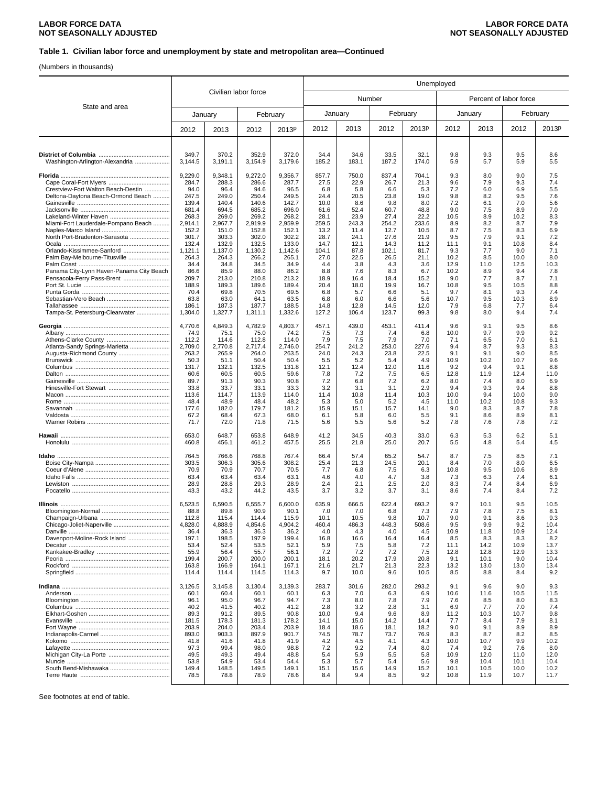### **Table 1. Civilian labor force and unemployment by state and metropolitan area—Continued**

(Numbers in thousands)

|                                                           | Unemployed       |                  |                      |                  |               |               |               |               |              |                        |              |              |  |
|-----------------------------------------------------------|------------------|------------------|----------------------|------------------|---------------|---------------|---------------|---------------|--------------|------------------------|--------------|--------------|--|
| State and area                                            |                  |                  | Civilian labor force |                  |               |               | Number        |               |              | Percent of labor force |              |              |  |
|                                                           |                  | January          |                      | February         |               | January       |               | February      |              | January                |              | February     |  |
|                                                           | 2012             | 2013             | 2012                 | 2013P            | 2012          | 2013          | 2012          | 2013P         | 2012         | 2013                   | 2012         | 2013P        |  |
| Washington-Arlington-Alexandria                           | 349.7<br>3,144.5 | 370.2<br>3,191.1 | 352.9<br>3,154.9     | 372.0<br>3,179.6 | 34.4<br>185.2 | 34.6<br>183.1 | 33.5<br>187.2 | 32.1<br>174.0 | 9.8<br>5.9   | 9.3<br>5.7             | 9.5<br>5.9   | 8.6<br>5.5   |  |
|                                                           | 9,229.0          | 9,348.1          | 9,272.0              | 9,356.7          | 857.7         | 750.0         | 837.4         | 704.1         | 9.3          | 8.0                    | 9.0          | 7.5          |  |
|                                                           | 284.7            | 288.3            | 286.6                | 287.7            | 27.5          | 22.9          | 26.7          | 21.3          | 9.6          | 7.9                    | 9.3          | 7.4          |  |
| Crestview-Fort Walton Beach-Destin                        | 94.0             | 96.4             | 94.6                 | 96.5             | 6.8           | 5.8           | 6.6           | 5.3           | 7.2          | 6.0                    | 6.9          | 5.5          |  |
| Deltona-Daytona Beach-Ormond Beach                        | 247.5<br>139.4   | 249.0<br>140.4   | 250.4<br>140.6       | 249.5<br>142.7   | 24.4<br>10.0  | 20.5<br>8.6   | 23.8<br>9.8   | 19.0<br>8.0   | 9.8<br>7.2   | 8.2<br>6.1             | 9.5<br>7.0   | 7.6<br>5.6   |  |
|                                                           | 681.4            | 694.5            | 685.2                | 696.0            | 61.6          | 52.4          | 60.7          | 48.8          | 9.0          | 7.5                    | 8.9          | 7.0          |  |
|                                                           | 268.3            | 269.0            | 269.2                | 268.2            | 28.1          | 23.9          | 27.4          | 22.2          | 10.5         | 8.9                    | 10.2         | 8.3          |  |
| Miami-Fort Lauderdale-Pompano Beach                       | 2,914.1          | 2,967.7          | 2,919.9              | 2,959.9          | 259.5         | 243.3         | 254.2         | 233.6         | 8.9          | 8.2                    | 8.7          | 7.9          |  |
| North Port-Bradenton-Sarasota                             | 152.2<br>301.7   | 151.0<br>303.3   | 152.8<br>302.0       | 152.1<br>302.2   | 13.2<br>28.7  | 11.4<br>24.1  | 12.7<br>27.6  | 10.5<br>21.9  | 8.7<br>9.5   | 7.5<br>7.9             | 8.3<br>9.1   | 6.9<br>7.2   |  |
|                                                           | 132.4            | 132.9            | 132.5                | 133.0            | 14.7          | 12.1          | 14.3          | 11.2          | 11.1         | 9.1                    | 10.8         | 8.4          |  |
| Orlando-Kissimmee-Sanford                                 | 1,121.1          | 1,137.0          | 1,130.2              | 1,142.6          | 104.1         | 87.8          | 102.1         | 81.7          | 9.3          | 7.7                    | 9.0          | 7.1          |  |
| Palm Bay-Melbourne-Titusville                             | 264.3            | 264.3            | 266.2                | 265.1            | 27.0          | 22.5          | 26.5          | 21.1          | 10.2         | 8.5                    | 10.0         | 8.0          |  |
| Panama City-Lynn Haven-Panama City Beach                  | 34.4<br>86.6     | 34.8<br>85.9     | 34.5<br>88.0         | 34.9<br>86.2     | 4.4<br>8.8    | 3.8<br>7.6    | 4.3<br>8.3    | 3.6<br>6.7    | 12.9<br>10.2 | 11.0<br>8.9            | 12.5<br>9.4  | 10.3<br>7.8  |  |
| Pensacola-Ferry Pass-Brent                                | 209.7            | 213.0            | 210.8                | 213.2            | 18.9          | 16.4          | 18.4          | 15.2          | 9.0          | 7.7                    | 8.7          | 7.1          |  |
|                                                           | 188.9            | 189.3            | 189.6                | 189.4            | 20.4          | 18.0          | 19.9          | 16.7          | 10.8         | 9.5                    | 10.5         | 8.8          |  |
|                                                           | 70.4             | 69.8             | 70.5                 | 69.5             | 6.8           | 5.7           | 6.6           | 5.1           | 9.7          | 8.1                    | 9.3          | 7.4          |  |
|                                                           | 63.8<br>186.1    | 63.0<br>187.3    | 64.1<br>187.7        | 63.5<br>188.5    | 6.8<br>14.8   | 6.0<br>12.8   | 6.6<br>14.5   | 5.6<br>12.0   | 10.7<br>7.9  | 9.5<br>6.8             | 10.3<br>7.7  | 8.9<br>6.4   |  |
| Tampa-St. Petersburg-Clearwater                           | 1,304.0          | 1,327.7          | 1,311.1              | 1,332.6          | 127.2         | 106.4         | 123.7         | 99.3          | 9.8          | 8.0                    | 9.4          | 7.4          |  |
|                                                           | 4,770.6          | 4,849.3          | 4,782.9              | 4,803.7          | 457.1         | 439.0         | 453.1         | 411.4         | 9.6          | 9.1                    | 9.5          | 8.6          |  |
|                                                           | 74.9             | 75.1             | 75.0                 | 74.2             | 7.5           | 7.3           | 7.4           | 6.8           | 10.0         | 9.7                    | 9.9          | 9.2          |  |
|                                                           | 112.2<br>2,709.0 | 114.6<br>2,770.8 | 112.8<br>2,717.4     | 114.0<br>2,746.0 | 7.9<br>254.7  | 7.5<br>241.2  | 7.9<br>253.0  | 7.0<br>227.6  | 7.1<br>9.4   | 6.5<br>8.7             | 7.0<br>9.3   | 6.1<br>8.3   |  |
| Atlanta-Sandy Springs-Marietta<br>Augusta-Richmond County | 263.2            | 265.9            | 264.0                | 263.5            | 24.0          | 24.3          | 23.8          | 22.5          | 9.1          | 9.1                    | 9.0          | 8.5          |  |
|                                                           | 50.3             | 51.1             | 50.4                 | 50.4             | 5.5           | 5.2           | 5.4           | 4.9           | 10.9         | 10.2                   | 10.7         | 9.6          |  |
|                                                           | 131.7            | 132.1            | 132.5                | 131.8            | 12.1          | 12.4          | 12.0          | 11.6          | 9.2          | 9.4                    | 9.1          | 8.8          |  |
|                                                           | 60.6<br>89.7     | 60.5<br>91.3     | 60.5<br>90.3         | 59.6<br>90.8     | 7.8<br>7.2    | 7.2<br>6.8    | 7.5<br>7.2    | 6.5<br>6.2    | 12.8<br>8.0  | 11.9<br>7.4            | 12.4<br>8.0  | 11.0<br>6.9  |  |
|                                                           | 33.8             | 33.7             | 33.1                 | 33.3             | 3.2           | 3.1           | 3.1           | 2.9           | 9.4          | 9.3                    | 9.4          | 8.8          |  |
|                                                           | 113.6            | 114.7            | 113.9                | 114.0            | 11.4          | 10.8          | 11.4          | 10.3          | 10.0         | 9.4                    | 10.0         | 9.0          |  |
|                                                           | 48.4             | 48.9             | 48.4                 | 48.2             | 5.3           | 5.0           | 5.2           | 4.5           | 11.0         | 10.2                   | 10.8         | 9.3          |  |
|                                                           | 177.6<br>67.2    | 182.0<br>68.4    | 179.7<br>67.3        | 181.2<br>68.0    | 15.9<br>6.1   | 15.1<br>5.8   | 15.7<br>6.0   | 14.1<br>5.5   | 9.0<br>9.1   | 8.3<br>8.6             | 8.7<br>8.9   | 7.8<br>8.1   |  |
|                                                           | 71.7             | 72.0             | 71.8                 | 71.5             | 5.6           | 5.5           | 5.6           | 5.2           | 7.8          | 7.6                    | 7.8          | 7.2          |  |
|                                                           | 653.0<br>460.8   | 648.7<br>456.1   | 653.8<br>461.2       | 648.9<br>457.5   | 41.2<br>25.5  | 34.5<br>21.8  | 40.3<br>25.0  | 33.0<br>20.7  | 6.3<br>5.5   | 5.3<br>4.8             | 6.2<br>5.4   | 5.1<br>4.5   |  |
|                                                           | 764.5            | 766.6            | 768.8                | 767.4            | 66.4          | 57.4          | 65.2          | 54.7          | 8.7          | 7.5                    | 8.5          | 7.1          |  |
|                                                           | 303.5            | 306.3            | 305.6                | 308.2            | 25.4          | 21.3          | 24.5          | 20.1          | 8.4          | 7.0                    | 8.0          | 6.5          |  |
|                                                           | 70.9<br>63.4     | 70.9<br>63.4     | 70.7<br>63.4         | 70.5<br>63.1     | 7.7<br>4.6    | 6.8<br>4.0    | 7.5<br>4.7    | 6.3<br>3.8    | 10.8<br>7.3  | 9.5<br>6.3             | 10.6<br>7.4  | 8.9<br>6.1   |  |
|                                                           | 28.9             | 28.8             | 29.3                 | 28.9             | 2.4           | 2.1           | 2.5           | 2.0           | 8.3          | 7.4                    | 8.4          | 6.9          |  |
|                                                           | 43.3             | 43.2             | 44.2                 | 43.5             | 3.7           | 3.2           | 3.7           | 3.1           | 8.6          | 7.4                    | 8.4          | 7.2          |  |
|                                                           | 6,523.5          | 6,590.5          | 6,555.7              | 6,600.0          | 635.9         | 666.5         | 622.4         | 693.2         | 9.7          | 10.1                   | 9.5          | 10.5         |  |
| Champaign-Urbana                                          | 88.8<br>112.8    | 89.8<br>115.4    | 90.9<br>114.4        | 90.1<br>115.9    | 7.0<br>10.1   | 7.0<br>10.5   | 6.8<br>9.8    | 7.3<br>10.7   | 7.9<br>9.0   | 7.8<br>9.1             | 7.5<br>8.6   | 8.1<br>9.3   |  |
| Chicago-Joliet-Naperville                                 | 4,828.0          | 4,888.9          | 4,854.6              | 4,904.2          | 460.4         | 486.3         | 448.3         | 508.6         | 9.5          | 9.9                    | 9.2          | 10.4         |  |
|                                                           | 36.4             | 36.3             | 36.3                 | 36.2             | 4.0           | 4.3           | 4.0           | 4.5           | 10.9         | 11.8                   | 10.9         | 12.4         |  |
| Davenport-Moline-Rock Island                              | 197.1            | 198.5            | 197.9                | 199.4            | 16.8          | 16.6          | 16.4          | 16.4          | 8.5          | 8.3                    | 8.3          | 8.2          |  |
|                                                           | 53.4<br>55.9     | 52.4<br>56.4     | 53.5<br>55.7         | 52.1<br>56.1     | 5.9<br>7.2    | 7.5<br>7.2    | 5.8<br>7.2    | 7.2<br>7.5    | 11.1<br>12.8 | 14.2<br>12.8           | 10.9<br>12.9 | 13.7<br>13.3 |  |
|                                                           | 199.4            | 200.7            | 200.0                | 200.1            | 18.1          | 20.2          | 17.9          | 20.8          | 9.1          | 10.1                   | 9.0          | 10.4         |  |
|                                                           | 163.8<br>114.4   | 166.9<br>114.4   | 164.1<br>114.5       | 167.1<br>114.3   | 21.6<br>9.7   | 21.7<br>10.0  | 21.3<br>9.6   | 22.3<br>10.5  | 13.2<br>8.5  | 13.0<br>8.8            | 13.0<br>8.4  | 13.4<br>9.2  |  |
|                                                           | 3,126.5          | 3,145.8          | 3,130.4              | 3,139.3          | 283.7         | 301.6         | 282.0         | 293.2         | 9.1          | 9.6                    | 9.0          | 9.3          |  |
|                                                           | 60.1             | 60.4             | 60.1                 | 60.1             | 6.3           | 7.0           | 6.3           | 6.9           | 10.6         | 11.6                   | 10.5         | 11.5         |  |
|                                                           | 96.1             | 95.0             | 96.7                 | 94.7             | 7.3           | 8.0           | 7.8           | 7.9           | 7.6          | 8.5                    | 8.0          | 8.3          |  |
|                                                           | 40.2<br>89.3     | 41.5<br>91.2     | 40.2<br>89.5         | 41.2<br>90.8     | 2.8<br>10.0   | 3.2<br>9.4    | 2.8<br>9.6    | 3.1<br>8.9    | 6.9<br>11.2  | 7.7<br>10.3            | 7.0<br>10.7  | 7.4<br>9.8   |  |
|                                                           | 181.5            | 178.3            | 181.3                | 178.2            | 14.1          | 15.0          | 14.2          | 14.4          | 7.7          | 8.4                    | 7.9          | 8.1          |  |
|                                                           | 203.9            | 204.0            | 203.4                | 203.9            | 18.4          | 18.6          | 18.1          | 18.2          | 9.0          | 9.1                    | 8.9          | 8.9          |  |
|                                                           | 893.0            | 903.3            | 897.9                | 901.7            | 74.5          | 78.7          | 73.7          | 76.9          | 8.3          | 8.7                    | 8.2          | 8.5          |  |
|                                                           | 41.8<br>97.3     | 41.6<br>99.4     | 41.8<br>98.0         | 41.9<br>98.8     | 4.2<br>7.2    | 4.5<br>9.2    | 4.1<br>7.4    | 4.3<br>8.0    | 10.0<br>7.4  | 10.7<br>9.2            | 9.9<br>7.6   | 10.2<br>8.0  |  |
|                                                           | 49.5             | 49.3             | 49.4                 | 48.8             | 5.4           | 5.9           | 5.5           | 5.8           | 10.9         | 12.0                   | 11.0         | 12.0         |  |
|                                                           | 53.8             | 54.9             | 53.4                 | 54.4             | 5.3           | 5.7           | 5.4           | 5.6           | 9.8          | 10.4                   | 10.1         | 10.4         |  |
|                                                           | 149.4            | 148.5            | 149.5                | 149.1            | 15.1          | 15.6          | 14.9          | 15.2          | 10.1         | 10.5                   | 10.0         | 10.2         |  |
|                                                           | 78.5             | 78.8             | 78.9                 | 78.6             | 8.4           | 9.4           | 8.5           | 9.2           | 10.8         | 11.9                   | 10.7         | 11.7         |  |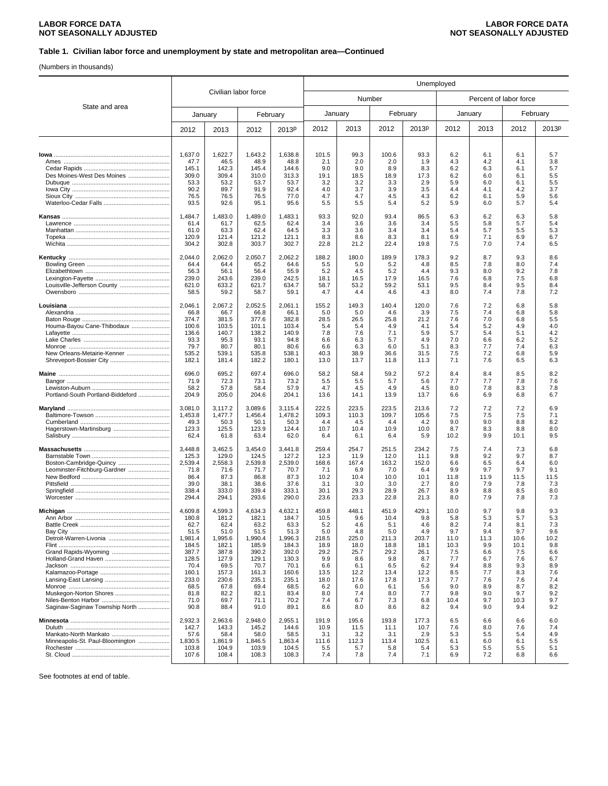### **Table 1. Civilian labor force and unemployment by state and metropolitan area—Continued**

(Numbers in thousands)

|                                   |                  |                  |                      |                  |               | Unemployed    |               |               |                        |             |             |             |  |
|-----------------------------------|------------------|------------------|----------------------|------------------|---------------|---------------|---------------|---------------|------------------------|-------------|-------------|-------------|--|
| State and area                    |                  |                  | Civilian labor force |                  |               |               | Number        |               | Percent of labor force |             |             |             |  |
|                                   |                  | January          |                      | February         |               | January       |               | February      |                        | January     |             | February    |  |
|                                   | 2012             | 2013             | 2012                 | 2013P            | 2012          | 2013          | 2012          | 2013P         | 2012                   | 2013        | 2012        | 2013P       |  |
|                                   |                  |                  |                      |                  |               |               |               |               |                        |             |             |             |  |
|                                   | 1,637.0<br>47.7  | 1,622.7<br>46.5  | 1,643.2<br>48.9      | 1,638.8<br>48.8  | 101.5<br>2.1  | 99.3<br>2.0   | 100.6<br>2.0  | 93.3<br>1.9   | 6.2<br>4.3             | 6.1<br>4.2  | 6.1<br>4.1  | 5.7<br>3.8  |  |
|                                   | 145.1            | 142.3            | 145.4                | 144.6            | 9.0           | 9.0           | 8.9           | 8.3           | 6.2                    | 6.3         | 6.1         | 5.7         |  |
| Des Moines-West Des Moines        | 309.0            | 309.4            | 310.0                | 313.3            | 19.1          | 18.5          | 18.9          | 17.3          | 6.2                    | 6.0         | 6.1         | 5.5         |  |
|                                   | 53.3             | 53.2             | 53.7                 | 53.7             | 3.2           | 3.2           | 3.3           | 2.9           | 5.9                    | 6.0         | 6.1         | 5.5         |  |
|                                   | 90.2<br>76.5     | 89.7<br>76.5     | 91.9<br>76.5         | 92.4<br>77.0     | 4.0<br>4.7    | 3.7<br>4.7    | 3.9<br>4.5    | 3.5<br>4.3    | 4.4<br>6.2             | 4.1<br>6.1  | 4.2<br>5.9  | 3.7<br>5.6  |  |
|                                   | 93.5             | 92.6             | 95.1                 | 95.6             | 5.5           | 5.5           | 5.4           | 5.2           | 5.9                    | 6.0         | 5.7         | 5.4         |  |
|                                   | 1,484.7          | 1,483.0          | 1,489.0              | 1,483.1          | 93.3          | 92.0          | 93.4          | 86.5          | 6.3                    | 6.2         | 6.3         | 5.8         |  |
|                                   | 61.4             | 61.7             | 62.5                 | 62.4             | 3.4           | 3.6           | 3.6           | 3.4           | 5.5                    | 5.8         | 5.7         | 5.4         |  |
|                                   | 61.0             | 63.3             | 62.4                 | 64.5             | 3.3           | 3.6           | 3.4           | 3.4           | 5.4<br>6.9             | 5.7         | 5.5         | 5.3         |  |
|                                   | 120.9<br>304.2   | 121.4<br>302.8   | 121.2<br>303.7       | 121.1<br>302.7   | 8.3<br>22.8   | 8.6<br>21.2   | 8.3<br>22.4   | 8.1<br>19.8   | 7.5                    | 7.1<br>7.0  | 6.9<br>7.4  | 6.7<br>6.5  |  |
|                                   | 2,044.0          | 2,062.0          | 2,050.7              | 2,062.2          | 188.2         | 180.0         | 189.9         | 178.3         | 9.2                    | 8.7         | 9.3         | 8.6         |  |
|                                   | 64.4             | 64.4             | 65.2                 | 64.6             | 5.5           | 5.0           | 5.2           | 4.8           | 8.5                    | 7.8         | 8.0         | 7.4         |  |
|                                   | 56.3<br>239.0    | 56.1<br>243.6    | 56.4<br>239.0        | 55.9<br>242.5    | 5.2<br>18.1   | 4.5<br>16.5   | 5.2<br>17.9   | 4.4<br>16.5   | 9.3<br>7.6             | 8.0<br>6.8  | 9.2<br>7.5  | 7.8<br>6.8  |  |
| Louisville-Jefferson County       | 621.0            | 633.2            | 621.7                | 634.7            | 58.7          | 53.2          | 59.2          | 53.1          | 9.5                    | 8.4         | 9.5         | 8.4         |  |
|                                   | 58.5             | 59.2             | 58.7                 | 59.1             | 4.7           | 4.4           | 4.6           | 4.3           | 8.0                    | 7.4         | 7.8         | 7.2         |  |
|                                   | 2,046.1          | 2,067.2          | 2,052.5              | 2,061.1          | 155.2         | 149.3         | 140.4         | 120.0         | 7.6                    | 7.2         | 6.8         | 5.8         |  |
|                                   | 66.8             | 66.7             | 66.8                 | 66.1             | 5.0           | 5.0           | 4.6           | 3.9           | 7.5                    | 7.4         | 6.8         | 5.8         |  |
| Houma-Bayou Cane-Thibodaux        | 374.7<br>100.6   | 381.5<br>103.5   | 377.6<br>101.1       | 382.8<br>103.4   | 28.5<br>5.4   | 26.5<br>5.4   | 25.8<br>4.9   | 21.2<br>4.1   | 7.6<br>5.4             | 7.0<br>5.2  | 6.8<br>4.9  | 5.5<br>4.0  |  |
|                                   | 136.6            | 140.7            | 138.2                | 140.9            | 7.8           | 7.6           | 7.1           | 5.9           | 5.7                    | 5.4         | 5.1         | 4.2         |  |
|                                   | 93.3             | 95.3             | 93.1                 | 94.8             | 6.6           | 6.3           | 5.7           | 4.9           | 7.0                    | 6.6         | 6.2         | 5.2         |  |
|                                   | 79.7             | 80.7             | 80.1                 | 80.6             | 6.6           | 6.3           | 6.0           | 5.1           | 8.3                    | 7.7         | 7.4         | 6.3         |  |
| New Orleans-Metairie-Kenner       | 535.2<br>182.1   | 539.1<br>181.4   | 535.8<br>182.2       | 538.1<br>180.1   | 40.3<br>13.0  | 38.9<br>13.7  | 36.6<br>11.8  | 31.5<br>11.3  | 7.5<br>7.1             | 7.2<br>7.6  | 6.8<br>6.5  | 5.9<br>6.3  |  |
|                                   | 696.0            | 695.2            | 697.4                | 696.0            | 58.2          | 58.4          | 59.2          | 57.2          | 8.4                    | 8.4         | 8.5         | 8.2         |  |
|                                   | 71.9             | 72.3             | 73.1                 | 73.2             | 5.5           | 5.5           | 5.7           | 5.6           | 7.7                    | 7.7         | 7.8         | 7.6         |  |
| Portland-South Portland-Biddeford | 58.2<br>204.9    | 57.8<br>205.0    | 58.4<br>204.6        | 57.9<br>204.1    | 4.7<br>13.6   | 4.5<br>14.1   | 4.9<br>13.9   | 4.5<br>13.7   | 8.0<br>6.6             | 7.8<br>6.9  | 8.3<br>6.8  | 7.8<br>6.7  |  |
|                                   | 3,081.0          | 3,117.2          | 3,089.6              | 3,115.4          | 222.5         | 223.5         | 223.5         | 213.6         | 7.2                    | 7.2         | 7.2         | 6.9         |  |
|                                   | 1,453.8          | 1,477.7          | 1,456.4              | 1,478.2          | 109.3         | 110.3         | 109.7         | 105.6         | 7.5                    | 7.5         | 7.5         | 7.1         |  |
|                                   | 49.3             | 50.3             | 50.1                 | 50.3             | 4.4           | 4.5           | 4.4           | 4.2           | 9.0                    | 9.0         | 8.8         | 8.2         |  |
| Hagerstown-Martinsburg            | 123.3            | 125.5            | 123.9                | 124.4            | 10.7          | 10.4          | 10.9          | 10.0          | 8.7                    | 8.3         | 8.8         | 8.0         |  |
|                                   | 62.4             | 61.8             | 63.4                 | 62.0             | 6.4           | 6.1           | 6.4           | 5.9           | 10.2                   | 9.9         | 10.1        | 9.5         |  |
|                                   | 3,448.8          | 3,462.5          | 3,454.0              | 3,441.8          | 259.4         | 254.7         | 251.5         | 234.2         | 7.5                    | 7.4         | 7.3         | 6.8         |  |
| Boston-Cambridge-Quincy           | 125.3<br>2,539.4 | 129.0<br>2,558.3 | 124.5<br>2,539.8     | 127.2<br>2,539.0 | 12.3<br>168.6 | 11.9<br>167.4 | 12.0<br>163.2 | 11.1<br>152.0 | 9.8<br>6.6             | 9.2<br>6.5  | 9.7<br>6.4  | 8.7<br>6.0  |  |
| Leominster-Fitchburg-Gardner      | 71.8             | 71.6             | 71.7                 | 70.7             | 7.1           | 6.9           | 7.0           | 6.4           | 9.9                    | 9.7         | 9.7         | 9.1         |  |
|                                   | 86.4             | 87.3             | 86.8                 | 87.3             | 10.2          | 10.4          | 10.0          | 10.1          | 11.8                   | 11.9        | 11.5        | 11.5        |  |
|                                   | 39.0             | 38.1             | 38.6                 | 37.6             | 3.1           | 3.0           | 3.0           | 2.7           | 8.0                    | 7.9         | 7.8         | 7.3         |  |
|                                   | 338.4<br>294.4   | 333.0<br>294.1   | 339.4<br>293.6       | 333.1<br>290.0   | 30.1<br>23.6  | 29.3<br>23.3  | 28.9<br>22.8  | 26.7<br>21.3  | 8.9<br>8.0             | 8.8<br>7.9  | 8.5<br>7.8  | 8.0<br>7.3  |  |
|                                   | 4,609.8          | 4,599.3          | 4,634.3              | 4,632.1          | 459.8         | 448.1         | 451.9         | 429.1         | 10.0                   | 9.7         | 9.8         | 9.3         |  |
|                                   | 180.8            | 181.2            | 182.1                | 184.7            | 10.5          | 9.6           | 10.4          | 9.8           | 5.8                    | 5.3         | 5.7         | 5.3         |  |
|                                   | 62.7             | 62.4             | 63.2                 | 63.3             | 5.2           | 4.6           | 5.1           | 4.6           | 8.2                    | 7.4         | 8.1         | 7.3         |  |
|                                   | 51.5<br>1,981.4  | 51.0<br>1,995.6  | 51.5<br>1,990.4      | 51.3<br>1,996.3  | 5.0<br>218.5  | 4.8<br>225.0  | 5.0<br>211.3  | 4.9<br>203.7  | 9.7<br>11.0            | 9.4<br>11.3 | 9.7<br>10.6 | 9.6<br>10.2 |  |
|                                   | 184.5            | 182.1            | 185.9                | 184.3            | 18.9          | 18.0          | 18.8          | 18.1          | 10.3                   | 9.9         | 10.1        | 9.8         |  |
|                                   | 387.7            | 387.8            | 390.2                | 392.0            | 29.2          | 25.7          | 29.2          | 26.1          | 7.5                    | 6.6         | 7.5         | 6.6         |  |
|                                   | 128.5            | 127.9            | 129.1                | 130.3            | 9.9           | 8.6           | 9.8           | 8.7           | 7.7                    | 6.7         | 7.6         | 6.7         |  |
|                                   | 70.4<br>160.1    | 69.5<br>157.3    | 70.7<br>161.3        | 70.1<br>160.6    | 6.6<br>13.5   | 6.1<br>12.2   | 6.5<br>13.4   | 6.2<br>12.2   | 9.4<br>8.5             | 8.8<br>7.7  | 9.3<br>8.3  | 8.9<br>7.6  |  |
|                                   | 233.0            | 230.6            | 235.1                | 235.1            | 18.0          | 17.6          | 17.8          | 17.3          | 7.7                    | 7.6         | 7.6         | 7.4         |  |
|                                   | 68.5             | 67.8             | 69.4                 | 68.5             | 6.2           | 6.0           | 6.1           | 5.6           | 9.0                    | 8.9         | 8.7         | 8.2         |  |
| Muskegon-Norton Shores            | 81.8             | 82.2             | 82.1                 | 83.4             | 8.0           | 7.4           | 8.0           | 7.7           | 9.8                    | 9.0         | 9.7         | 9.2         |  |
| Saginaw-Saginaw Township North    | 71.0<br>90.8     | 69.7<br>88.4     | 71.1<br>91.0         | 70.2<br>89.1     | 7.4<br>8.6    | 6.7<br>8.0    | 7.3<br>8.6    | 6.8<br>8.2    | 10.4<br>9.4            | 9.7<br>9.0  | 10.3<br>9.4 | 9.7<br>9.2  |  |
|                                   | 2,932.3          | 2,963.6          | 2,948.0              | 2,955.1          | 191.9         | 195.6         | 193.8         | 177.3         | 6.5                    | 6.6         | 6.6         | 6.0         |  |
|                                   | 142.7            | 143.3            | 145.2                | 144.6            | 10.9          | 11.5          | 11.1          | 10.7          | 7.6                    | 8.0         | 7.6         | 7.4         |  |
|                                   | 57.6             | 58.4             | 58.0                 | 58.5             | 3.1           | 3.2           | 3.1           | 2.9           | 5.3                    | 5.5         | 5.4         | 4.9         |  |
| Minneapolis-St. Paul-Bloomington  | 1,830.5          | 1,861.9          | 1,846.5              | 1,863.4          | 111.6         | 112.3         | 113.4         | 102.5         | 6.1                    | 6.0         | 6.1         | 5.5         |  |
|                                   | 103.8<br>107.6   | 104.9<br>108.4   | 103.9<br>108.3       | 104.5<br>108.3   | 5.5<br>7.4    | 5.7<br>7.8    | 5.8<br>7.4    | 5.4<br>7.1    | 5.3<br>6.9             | 5.5<br>7.2  | 5.5<br>6.8  | 5.1<br>6.6  |  |
|                                   |                  |                  |                      |                  |               |               |               |               |                        |             |             |             |  |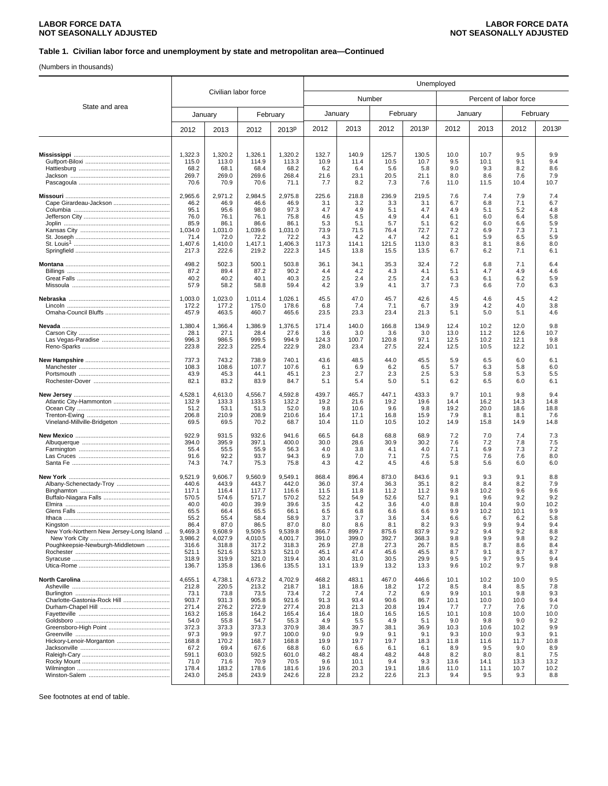### **Table 1. Civilian labor force and unemployment by state and metropolitan area—Continued**

(Numbers in thousands)

|                                          |         |         |                      |          |       | Unemployed |          |       |                        |      |          |       |  |  |
|------------------------------------------|---------|---------|----------------------|----------|-------|------------|----------|-------|------------------------|------|----------|-------|--|--|
| State and area                           |         |         | Civilian labor force |          |       |            | Number   |       | Percent of labor force |      |          |       |  |  |
|                                          |         | January |                      | February |       | January    | February |       | January                |      | February |       |  |  |
|                                          | 2012    | 2013    | 2012                 | 2013P    | 2012  | 2013       | 2012     | 2013P | 2012                   | 2013 | 2012     | 2013P |  |  |
|                                          | 1,322.3 | 1,320.2 | 1,326.1              | 1,320.2  | 132.7 | 140.9      | 125.7    | 130.5 | 10.0                   | 10.7 | 9.5      | 9.9   |  |  |
|                                          | 115.0   | 113.0   | 114.9                | 113.3    | 10.9  | 11.4       | 10.5     | 10.7  | 9.5                    | 10.1 | 9.1      | 9.4   |  |  |
|                                          | 68.2    | 68.1    | 68.4                 | 68.2     | 6.2   | 6.4        | 5.6      | 5.8   | 9.0                    | 9.3  | 8.2      | 8.6   |  |  |
|                                          | 269.7   | 269.0   | 269.6                | 268.4    | 21.6  | 23.1       | 20.5     | 21.1  | 8.0                    | 8.6  | 7.6      | 7.9   |  |  |
|                                          | 70.6    | 70.9    | 70.6                 | 71.1     | 7.7   | 8.2        | 7.3      | 7.6   | 11.0                   | 11.5 | 10.4     | 10.7  |  |  |
|                                          | 2,965.6 | 2.971.2 | 2,984.5              | 2,975.8  | 225.6 | 218.8      | 236.9    | 219.5 | 7.6                    | 7.4  | 7.9      | 7.4   |  |  |
|                                          | 46.2    | 46.9    | 46.6                 | 46.9     | 3.1   | 3.2        | 3.3      | 3.1   | 6.7                    | 6.8  | 7.1      | 6.7   |  |  |
|                                          | 95.1    | 95.6    | 98.0                 | 97.3     | 4.7   | 4.9        | 5.1      | 4.7   | 4.9                    | 5.1  | 5.2      | 4.8   |  |  |
|                                          | 76.0    | 76.1    | 76.1                 | 75.8     | 4.6   | 4.5        | 4.9      | 4.4   | 6.1                    | 6.0  | 6.4      | 5.8   |  |  |
|                                          | 85.9    | 86.1    | 86.6                 | 86.1     | 5.3   | 5.1        | 5.7      | 5.1   | 6.2                    | 6.0  | 6.6      | 5.9   |  |  |
|                                          | 1,034.0 | 1,031.0 | 1,039.6              | 1,031.0  | 73.9  | 71.5       | 76.4     | 72.7  | 7.2                    | 6.9  | 7.3      | 7.1   |  |  |
|                                          | 71.4    | 72.0    | 72.2                 | 72.2     | 4.3   | 4.2        | 4.7      | 4.2   | 6.1                    | 5.9  | 6.5      | 5.9   |  |  |
|                                          | 1,407.6 | 1,410.0 | 1,417.1              | 1,406.3  | 117.3 | 114.1      | 121.5    | 113.0 | 8.3                    | 8.1  | 8.6      | 8.0   |  |  |
|                                          | 217.3   | 222.6   | 219.2                | 222.3    | 14.5  | 13.8       | 15.5     | 13.5  | 6.7                    | 6.2  | 7.1      | 6.1   |  |  |
|                                          | 498.2   | 502.3   | 500.1                | 503.8    | 36.1  | 34.1       | 35.3     | 32.4  | 7.2                    | 6.8  | 7.1      | 6.4   |  |  |
|                                          | 87.2    | 89.4    | 87.2                 | 90.2     | 4.4   | 4.2        | 4.3      | 4.1   | 5.1                    | 4.7  | 4.9      | 4.6   |  |  |
|                                          | 40.2    | 40.2    | 40.1                 | 40.3     | 2.5   | 2.4        | 2.5      | 2.4   | 6.3                    | 6.1  | 6.2      | 5.9   |  |  |
|                                          | 57.9    | 58.2    | 58.8                 | 59.4     | 4.2   | 3.9        | 4.1      | 3.7   | 7.3                    | 6.6  | 7.0      | 6.3   |  |  |
|                                          | 1,003.0 | 1,023.0 | 1,011.4              | 1,026.1  | 45.5  | 47.0       | 45.7     | 42.6  | 4.5                    | 4.6  | 4.5      | 4.2   |  |  |
|                                          | 172.2   | 177.2   | 175.0                | 178.6    | 6.8   | 7.4        | 7.1      | 6.7   | 3.9                    | 4.2  | 4.0      | 3.8   |  |  |
|                                          | 457.9   | 463.5   | 460.7                | 465.6    | 23.5  | 23.3       | 23.4     | 21.3  | 5.1                    | 5.0  | 5.1      | 4.6   |  |  |
|                                          | 1,380.4 | 1,366.4 | 1,386.9              | 1,376.5  | 171.4 | 140.0      | 166.8    | 134.9 | 12.4                   | 10.2 | 12.0     | 9.8   |  |  |
|                                          | 28.1    | 27.1    | 28.4                 | 27.6     | 3.6   | 3.0        | 3.6      | 3.0   | 13.0                   | 11.2 | 12.6     | 10.7  |  |  |
|                                          | 996.3   | 986.5   | 999.5                | 994.9    | 124.3 | 100.7      | 120.8    | 97.1  | 12.5                   | 10.2 | 12.1     | 9.8   |  |  |
|                                          | 223.8   | 222.3   | 225.4                | 222.9    | 28.0  | 23.4       | 27.5     | 22.4  | 12.5                   | 10.5 | 12.2     | 10.1  |  |  |
|                                          | 737.3   | 743.2   | 738.9                | 740.1    | 43.6  | 48.5       | 44.0     | 45.5  | 5.9                    | 6.5  | 6.0      | 6.1   |  |  |
|                                          | 108.3   | 108.6   | 107.7                | 107.6    | 6.1   | 6.9        | 6.2      | 6.5   | 5.7                    | 6.3  | 5.8      | 6.0   |  |  |
|                                          | 43.9    | 45.3    | 44.1                 | 45.1     | 2.3   | 2.7        | 2.3      | 2.5   | 5.3                    | 5.8  | 5.3      | 5.5   |  |  |
|                                          | 82.1    | 83.2    | 83.9                 | 84.7     | 5.1   | 5.4        | 5.0      | 5.1   | 6.2                    | 6.5  | 6.0      | 6.1   |  |  |
|                                          | 4,528.1 | 4,613.0 | 4,556.7              | 4,592.8  | 439.7 | 465.7      | 447.1    | 433.3 | 9.7                    | 10.1 | 9.8      | 9.4   |  |  |
|                                          | 132.9   | 133.3   | 133.5                | 132.2    | 19.2  | 21.6       | 19.2     | 19.6  | 14.4                   | 16.2 | 14.3     | 14.8  |  |  |
|                                          | 51.2    | 53.1    | 51.3                 | 52.0     | 9.8   | 10.6       | 9.6      | 9.8   | 19.2                   | 20.0 | 18.6     | 18.8  |  |  |
|                                          | 206.8   | 210.9   | 208.9                | 210.6    | 16.4  | 17.1       | 16.8     | 15.9  | 7.9                    | 8.1  | 8.1      | 7.6   |  |  |
| Vineland-Millville-Bridgeton             | 69.5    | 69.5    | 70.2                 | 68.7     | 10.4  | 11.0       | 10.5     | 10.2  | 14.9                   | 15.8 | 14.9     | 14.8  |  |  |
|                                          | 922.9   | 931.5   | 932.6                | 941.6    | 66.5  | 64.8       | 68.8     | 68.9  | 7.2                    | 7.0  | 7.4      | 7.3   |  |  |
|                                          | 394.0   | 395.9   | 397.1                | 400.0    | 30.0  | 28.6       | 30.9     | 30.2  | 7.6                    | 7.2  | 7.8      | 7.5   |  |  |
|                                          | 55.4    | 55.5    | 55.9                 | 56.3     | 4.0   | 3.8        | 4.1      | 4.0   | 7.1                    | 6.9  | 7.3      | 7.2   |  |  |
|                                          | 91.6    | 92.2    | 93.7                 | 94.3     | 6.9   | 7.0        | 7.1      | 7.5   | 7.5                    | 7.6  | 7.6      | 8.0   |  |  |
|                                          | 74.3    | 74.7    | 75.3                 | 75.8     | 4.3   | 4.2        | 4.5      | 4.6   | 5.8                    | 5.6  | 6.0      | 6.0   |  |  |
|                                          | 9,521.9 | 9,606.7 | 9,560.9              | 9,549.1  | 868.4 | 896.4      | 873.0    | 843.6 | 9.1                    | 9.3  | 9.1      | 8.8   |  |  |
| Albany-Schenectady-Troy                  | 440.6   | 443.9   | 443.7                | 442.0    | 36.0  | 37.4       | 36.3     | 35.1  | 8.2                    | 8.4  | 8.2      | 7.9   |  |  |
|                                          | 117.1   | 116.4   | 117.7                | 116.6    | 11.5  | 11.8       | 11.2     | 11.2  | 9.8                    | 10.2 | 9.6      | 9.6   |  |  |
|                                          | 570.5   | 574.6   | 571.7                | 570.2    | 52.2  | 54.9       | 52.6     | 52.7  | 9.1                    | 9.6  | 9.2      | 9.2   |  |  |
|                                          | 40.0    | 40.0    | 39.9                 | 39.6     | 3.5   | 4.2        | 3.6      | 4.0   | 8.8                    | 10.4 | 9.0      | 10.2  |  |  |
|                                          | 65.5    | 66.4    | 65.5                 | 66.1     | 6.5   | 6.8        | 6.6      | 6.6   | 9.9                    | 10.2 | 10.1     | 9.9   |  |  |
| Ithaca                                   | 55.2    | 55.4    | 58.4                 | 58.9     | 3.7   | 3.7        | 3.6      | 3.4   | 6.6                    | 6.7  | 6.2      | 5.8   |  |  |
|                                          | 86.4    | 87.0    | 86.5                 | 87.0     | 8.0   | 8.6        | 8.1      | 8.2   | 9.3                    | 9.9  | 9.4      | 9.4   |  |  |
| New York-Northern New Jersey-Long Island | 9,469.3 | 9,608.9 | 9,509.5              | 9,539.8  | 866.7 | 899.7      | 875.6    | 837.9 | 9.2                    | 9.4  | 9.2      | 8.8   |  |  |
|                                          | 3,986.2 | 4,027.9 | 4,010.5              | 4,001.7  | 391.0 | 399.0      | 392.7    | 368.3 | 9.8                    | 9.9  | 9.8      | 9.2   |  |  |
| Poughkeepsie-Newburgh-Middletown         | 316.6   | 318.8   | 317.2                | 318.3    | 26.9  | 27.8       | 27.3     | 26.7  | 8.5                    | 8.7  | 8.6      | 8.4   |  |  |
|                                          | 521.1   | 521.6   | 523.3                | 521.0    | 45.1  | 47.4       | 45.6     | 45.5  | 8.7                    | 9.1  | 8.7      | 8.7   |  |  |
|                                          | 318.9   | 319.9   | 321.0                | 319.4    | 30.4  | 31.0       | 30.5     | 29.9  | 9.5                    | 9.7  | 9.5      | 9.4   |  |  |
|                                          | 136.7   | 135.8   | 136.6                | 135.5    | 13.1  | 13.9       | 13.2     | 13.3  | 9.6                    | 10.2 | 9.7      | 9.8   |  |  |
|                                          | 4,655.1 | 4,738.1 | 4,673.2              | 4,702.9  | 468.2 | 483.1      | 467.0    | 446.6 | 10.1                   | 10.2 | 10.0     | 9.5   |  |  |
|                                          | 212.8   | 220.5   | 213.2                | 218.7    | 18.1  | 18.6       | 18.2     | 17.2  | 8.5                    | 8.4  | 8.5      | 7.8   |  |  |
|                                          | 73.1    | 73.8    | 73.5                 | 73.4     | 7.2   | 7.4        | 7.2      | 6.9   | 9.9                    | 10.1 | 9.8      | 9.3   |  |  |
| Charlotte-Gastonia-Rock Hill             | 903.7   | 931.3   | 905.8                | 921.6    | 91.3  | 93.4       | 90.6     | 86.7  | 10.1                   | 10.0 | 10.0     | 9.4   |  |  |
|                                          | 271.4   | 276.2   | 272.9                | 277.4    | 20.8  | 21.3       | 20.8     | 19.4  | 7.7                    | 7.7  | 7.6      | 7.0   |  |  |
|                                          | 163.2   | 165.8   | 164.2                | 165.4    | 16.4  | 18.0       | 16.5     | 16.5  | 10.1                   | 10.8 | 10.0     | 10.0  |  |  |
|                                          | 54.0    | 55.8    | 54.7                 | 55.3     | 4.9   | 5.5        | 4.9      | 5.1   | 9.0                    | 9.8  | 9.0      | 9.2   |  |  |
|                                          | 372.3   | 373.3   | 373.3                | 370.9    | 38.4  | 39.7       | 38.1     | 36.9  | 10.3                   | 10.6 | 10.2     | 9.9   |  |  |
|                                          | 97.3    | 99.9    | 97.7                 | 100.0    | 9.0   | 9.9        | 9.1      | 9.1   | 9.3                    | 10.0 | 9.3      | 9.1   |  |  |
| Hickory-Lenoir-Morganton                 | 168.8   | 170.2   | 168.7                | 168.8    | 19.9  | 19.7       | 19.7     | 18.3  | 11.8                   | 11.6 | 11.7     | 10.8  |  |  |
|                                          | 67.2    | 69.4    | 67.6                 | 68.8     | 6.0   | 6.6        | 6.1      | 6.1   | 8.9                    | 9.5  | 9.0      | 8.9   |  |  |
|                                          | 591.1   | 603.0   | 592.5                | 601.0    | 48.2  | 48.4       | 48.2     | 44.8  | 8.2                    | 8.0  | 8.1      | 7.5   |  |  |
|                                          | 71.0    | 71.6    | 70.9                 | 70.5     | 9.6   | 10.1       | 9.4      | 9.3   | 13.6                   | 14.1 | 13.3     | 13.2  |  |  |
|                                          | 178.4   | 183.2   | 178.6                | 181.6    | 19.6  | 20.3       | 19.1     | 18.6  | 11.0                   | 11.1 | 10.7     | 10.2  |  |  |
|                                          | 243.0   | 245.8   | 243.9                | 242.6    | 22.8  | 23.2       | 22.6     | 21.3  | 9.4                    | 9.5  | 9.3      | 8.8   |  |  |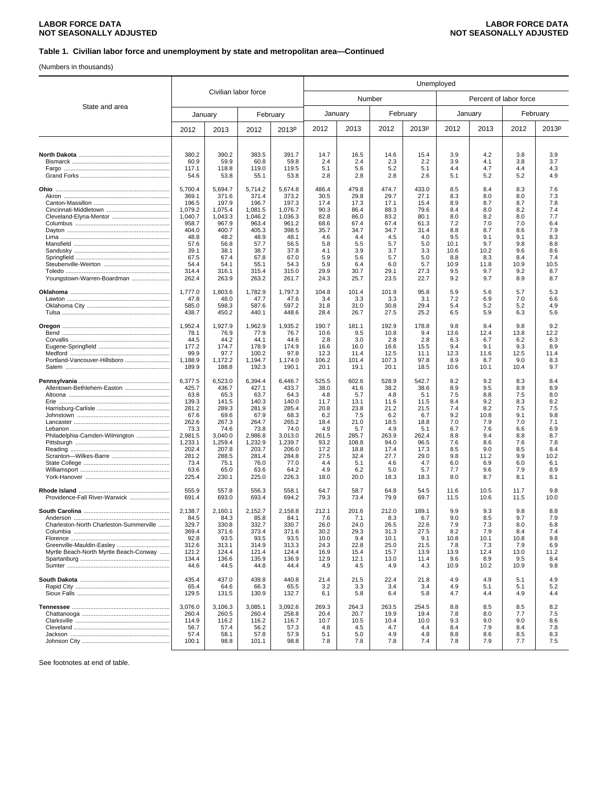### **Table 1. Civilian labor force and unemployment by state and metropolitan area—Continued**

(Numbers in thousands)

| Civilian labor force<br>Number<br>Percent of labor force<br>State and area<br>January<br>February<br>January<br>February<br>January<br>February<br>2013<br>2012<br>2013P<br>2012<br>2013P<br>2012<br>2012<br>2013<br>2012<br>2013<br>2012<br>2013P<br>383.5<br>380.2<br>390.2<br>391.7<br>14.7<br>15.4<br>3.9<br>4.2<br>3.8<br>3.9<br>16.5<br>14.6<br>59.9<br>60.8<br>2.4<br>2.3<br>2.2<br>3.9<br>3.7<br>60.9<br>59.8<br>2.4<br>4.1<br>3.8<br>5.1<br>5.2<br>5.1<br>4.3<br>117.1<br>118.8<br>119.0<br>119.5<br>5.6<br>4.4<br>4.7<br>4.4<br>5.2<br>4.9<br>54.6<br>53.8<br>55.1<br>53.8<br>2.8<br>2.8<br>2.8<br>2.6<br>5.1<br>5.2<br>5,700.4<br>486.4<br>479.8<br>433.0<br>5,694.7<br>5,714.2<br>5,674.8<br>474.7<br>8.5<br>8.4<br>8.3<br>7.6<br>30.5<br>29.8<br>29.7<br>27.1<br>8.0<br>7.3<br>369.1<br>371.6<br>371.4<br>373.2<br>8.3<br>8.0<br>196.5<br>197.9<br>196.7<br>197.3<br>17.4<br>17.3<br>17.1<br>15.4<br>8.9<br>8.7<br>8.7<br>7.8<br>1,079.2<br>79.6<br>7.4<br>1,075.4<br>1,081.5<br>1,076.7<br>90.3<br>86.4<br>88.3<br>8.4<br>8.0<br>8.2<br>7.7<br>1,040.7<br>1,043.3<br>1,046.2<br>1,036.3<br>82.8<br>86.0<br>83.2<br>80.1<br>8.0<br>8.2<br>8.0<br>958.7<br>967.9<br>963.4<br>961.2<br>68.6<br>67.4<br>67.4<br>61.3<br>7.2<br>7.0<br>7.0<br>6.4<br>400.7<br>405.3<br>7.9<br>404.0<br>398.5<br>35.7<br>34.7<br>34.7<br>31.4<br>8.8<br>8.7<br>8.6<br>48.8<br>48.2<br>48.9<br>48.1<br>4.6<br>4.4<br>4.5<br>4.0<br>9.5<br>9.1<br>9.1<br>8.3<br>57.6<br>56.8<br>57.7<br>56.5<br>5.8<br>5.5<br>5.7<br>5.0<br>10.1<br>9.7<br>9.8<br>8.8<br>39.1<br>38.1<br>38.7<br>37.8<br>4.1<br>3.9<br>3.7<br>3.3<br>10.6<br>10.2<br>9.6<br>8.6<br>5.9<br>67.5<br>67.4<br>67.8<br>67.0<br>5.6<br>5.7<br>5.0<br>8.3<br>8.4<br>7.4<br>8.8<br>10.5<br>54.4<br>54.1<br>55.1<br>54.3<br>5.9<br>6.4<br>6.0<br>5.7<br>10.9<br>11.8<br>10.9<br>314.4<br>316.1<br>315.4<br>315.0<br>29.9<br>30.7<br>29.1<br>27.3<br>9.5<br>9.7<br>9.2<br>8.7<br>262.4<br>263.9<br>9.2<br>Youngstown-Warren-Boardman<br>263.2<br>261.7<br>24.3<br>25.7<br>23.5<br>22.7<br>9.7<br>8.9<br>8.7<br>1,777.0<br>1,803.6<br>1.782.9<br>1,797.3<br>104.8<br>101.4<br>101.9<br>95.8<br>5.7<br>5.3<br>5.9<br>5.6<br>3.1<br>7.2<br>6.6<br>47.8<br>48.0<br>47.7<br>47.6<br>3.4<br>3.3<br>3.3<br>6.9<br>7.0<br>585.0<br>598.3<br>587.6<br>597.2<br>31.8<br>31.0<br>30.8<br>29.4<br>5.4<br>5.2<br>5.2<br>4.9<br>440.1<br>438.7<br>450.2<br>448.6<br>28.4<br>26.7<br>27.5<br>25.2<br>6.5<br>5.9<br>5.6<br>6.3<br>1,952.4<br>1,927.9<br>1,935.2<br>190.7<br>192.9<br>178.8<br>1,962.9<br>181.1<br>9.8<br>9.4<br>9.8<br>9.2<br>10.6<br>9.4<br>12.2<br>Bend<br>78.1<br>76.9<br>77.9<br>76.7<br>9.5<br>10.8<br>13.6<br>12.4<br>13.8<br>44.5<br>44.2<br>44.1<br>44.6<br>2.8<br>3.0<br>2.8<br>6.3<br>6.7<br>6.2<br>6.3<br>2.8<br>8.9<br>177.2<br>174.7<br>178.9<br>174.9<br>16.6<br>16.0<br>15.5<br>9.4<br>9.1<br>9.3<br>16.6<br>99.9<br>97.7<br>100.2<br>97.8<br>12.3<br>11.4<br>12.5<br>11.1<br>12.3<br>11.6<br>12.5<br>11.4<br>Portland-Vancouver-Hillsboro<br>1,188.9<br>1,194.7<br>106.2<br>101.4<br>107.3<br>97.8<br>1.172.2<br>1,174.0<br>8.9<br>8.7<br>9.0<br>8.3<br>189.9<br>188.8<br>192.3<br>190.1<br>20.1<br>19.1<br>20.1<br>18.5<br>10.6<br>10.1<br>10.4<br>9.7<br>6,377.5<br>6,523.0<br>6,394.4<br>525.5<br>602.6<br>528.9<br>542.7<br>9.2<br>8.4<br>6,446.7<br>8.2<br>8.3<br>8.9<br>Allentown-Bethlehem-Easton<br>425.7<br>436.7<br>427.1<br>433.7<br>38.0<br>41.6<br>38.2<br>38.6<br>8.9<br>9.5<br>8.9<br>7.5<br>7.5<br>63.8<br>65.3<br>63.7<br>4.8<br>5.7<br>4.8<br>5.1<br>8.8<br>8.0<br>64.3<br>140.3<br>9.2<br>139.3<br>141.5<br>140.0<br>13.1<br>11.6<br>11.5<br>8.4<br>8.3<br>8.2<br>11.7<br>281.2<br>289.3<br>281.9<br>285.4<br>20.8<br>23.8<br>21.2<br>21.5<br>7.4<br>8.2<br>7.5<br>7.5<br>6.2<br>6.7<br>9.2<br>9.8<br>67.6<br>69.6<br>67.9<br>68.3<br>7.5<br>6.2<br>10.8<br>9.1<br>267.3<br>264.7<br>262.6<br>265.2<br>18.4<br>21.0<br>18.5<br>18.8<br>7.0<br>7.9<br>7.0<br>7.1<br>73.8<br>4.9<br>6.7<br>7.6<br>6.6<br>6.9<br>73.3<br>74.6<br>74.0<br>5.7<br>4.9<br>5.1<br>2,981.5<br>3,040.0<br>8.7<br>Philadelphia-Camden-Wilmington<br>2,986.8<br>3,013.0<br>261.5<br>285.7<br>263.9<br>262.4<br>8.8<br>9.4<br>8.8<br>1,233.1<br>1,259.4<br>1,232.9<br>1,239.7<br>93.2<br>108.8<br>94.0<br>96.5<br>7.6<br>8.6<br>7.6<br>7.8<br>203.7<br>202.4<br>207.8<br>206.0<br>17.2<br>18.8<br>17.4<br>8.5<br>9.0<br>8.5<br>8.4<br>17.3<br>288.5<br>281.4<br>32.4<br>29.0<br>281.2<br>284.8<br>27.5<br>27.7<br>9.8<br>11.2<br>9.9<br>10.2<br>6.9<br>73.4<br>75.1<br>76.0<br>77.0<br>4.4<br>5.1<br>4.6<br>4.7<br>6.0<br>6.0<br>6.1<br>4.9<br>9.6<br>8.9<br>63.6<br>65.0<br>63.6<br>64.2<br>6.2<br>5.0<br>5.7<br>7.7<br>7.9<br>225.4<br>230.1<br>225.0<br>226.3<br>18.0<br>20.0<br>18.3<br>8.0<br>8.7<br>8.1<br>8.1<br>18.3<br>555.9<br>9.8<br>557.8<br>556.3<br>558.1<br>64.7<br>58.7<br>64.8<br>54.5<br>11.6<br>10.5<br>11.7<br>Providence-Fall River-Warwick<br>691.4<br>693.0<br>693.4<br>694.2<br>79.3<br>73.4<br>10.0<br>79.9<br>69.7<br>11.5<br>10.6<br>11.5<br>2,138.7<br>2,152.7<br>201.6<br>212.0<br>2,160.1<br>2.158.8<br>212.1<br>189.1<br>9.9<br>9.3<br>9.8<br>8.8<br>84.5<br>84.3<br>85.8<br>84.1<br>9.0<br>8.5<br>7.9<br>7.6<br>7.1<br>8.3<br>6.7<br>9.7<br>329.7<br>330.8<br>332.7<br>330.7<br>26.0<br>22.6<br>Charleston-North Charleston-Summerville<br>24.0<br>26.5<br>7.9<br>7.3<br>8.0<br>6.8<br>27.5<br>369.4<br>371.6<br>373.4<br>371.6<br>30.2<br>29.3<br>31.3<br>8.2<br>7.9<br>8.4<br>7.4<br>9.8<br>92.8<br>93.5<br>93.5<br>93.5<br>10.0<br>9.4<br>9.1<br>10.8<br>10.1<br>10.8<br>10.1<br>Greenville-Mauldin-Easley<br>312.6<br>313.1<br>314.9<br>313.3<br>24.3<br>22.8<br>25.0<br>21.5<br>7.8<br>6.9<br>7.3<br>7.9<br>121.2<br>124.4<br>121.4<br>124.4<br>16.9<br>15.4<br>15.7<br>13.9<br>13.9<br>12.4<br>13.0<br>11.2<br>Myrtle Beach-North Myrtle Beach-Conway<br>134.4<br>136.6<br>135.9<br>136.9<br>12.9<br>12.1<br>13.0<br>11.4<br>9.6<br>8.9<br>9.5<br>8.4<br>44.6<br>44.5<br>44.8<br>44.4<br>4.9<br>4.5<br>4.9<br>4.3<br>10.9<br>10.2<br>10.9<br>9.8<br>435.4<br>437.0<br>439.8<br>440.8<br>21.4<br>21.5<br>22.4<br>21.8<br>4.9<br>4.9<br>5.1<br>4.9<br>65.4<br>66.3<br>65.5<br>3.2<br>4.9<br>5.1<br>5.2<br>64.6<br>3.3<br>3.4<br>3.4<br>5.1<br>129.5<br>131.5<br>130.9<br>132.7<br>6.1<br>5.8<br>6.4<br>5.8<br>4.7<br>4.4<br>4.9<br>4.4<br>3,076.0<br>3,092.6<br>269.3<br>264.3<br>254.5<br>8.2<br>3.106.3<br>3,085.1<br>263.5<br>8.8<br>8.5<br>8.5<br>260.4<br>260.5<br>260.4<br>258.8<br>20.4<br>20.7<br>19.9<br>19.4<br>7.8<br>8.0<br>7.7<br>7.5<br>116.2<br>10.7<br>10.5<br>10.0<br>9.3<br>9.0<br>9.0<br>8.6<br>114.9<br>116.2<br>116.7<br>10.4<br>56.7<br>57.4<br>56.2<br>57.3<br>4.8<br>4.5<br>4.7<br>4.4<br>8.4<br>7.9<br>8.4<br>7.8<br>57.4<br>58.1<br>57.8<br>57.9<br>5.1<br>5.0<br>4.9<br>4.8<br>8.8<br>8.6<br>8.5<br>8.3<br>100.1<br>98.8<br>101.1<br>98.8<br>7.8<br>7.8<br>7.8<br>7.4<br>7.8<br>7.9<br>7.7<br>7.5 |  |  |  |  |  | Unemployed |  |  |  |  |  |  |  |  |
|---------------------------------------------------------------------------------------------------------------------------------------------------------------------------------------------------------------------------------------------------------------------------------------------------------------------------------------------------------------------------------------------------------------------------------------------------------------------------------------------------------------------------------------------------------------------------------------------------------------------------------------------------------------------------------------------------------------------------------------------------------------------------------------------------------------------------------------------------------------------------------------------------------------------------------------------------------------------------------------------------------------------------------------------------------------------------------------------------------------------------------------------------------------------------------------------------------------------------------------------------------------------------------------------------------------------------------------------------------------------------------------------------------------------------------------------------------------------------------------------------------------------------------------------------------------------------------------------------------------------------------------------------------------------------------------------------------------------------------------------------------------------------------------------------------------------------------------------------------------------------------------------------------------------------------------------------------------------------------------------------------------------------------------------------------------------------------------------------------------------------------------------------------------------------------------------------------------------------------------------------------------------------------------------------------------------------------------------------------------------------------------------------------------------------------------------------------------------------------------------------------------------------------------------------------------------------------------------------------------------------------------------------------------------------------------------------------------------------------------------------------------------------------------------------------------------------------------------------------------------------------------------------------------------------------------------------------------------------------------------------------------------------------------------------------------------------------------------------------------------------------------------------------------------------------------------------------------------------------------------------------------------------------------------------------------------------------------------------------------------------------------------------------------------------------------------------------------------------------------------------------------------------------------------------------------------------------------------------------------------------------------------------------------------------------------------------------------------------------------------------------------------------------------------------------------------------------------------------------------------------------------------------------------------------------------------------------------------------------------------------------------------------------------------------------------------------------------------------------------------------------------------------------------------------------------------------------------------------------------------------------------------------------------------------------------------------------------------------------------------------------------------------------------------------------------------------------------------------------------------------------------------------------------------------------------------------------------------------------------------------------------------------------------------------------------------------------------------------------------------------------------------------------------------------------------------------------------------------------------------------------------------------------------------------------------------------------------------------------------------------------------------------------------------------------------------------------------------------------------------------------------------------------------------------------------------------------------------------------------------------------------------------------------------------------------------------------------------------------------------------------------------------------------------------------------------------------------------------------------------------------------------------------------------------------------------------------------------------------------------------------------------------------------------------------------------------------------------------------------------------------------------------------------------------------------------------------------------------------------------------------------------------------------------------------------------------------------------------------------------------------------------------------------------------------------------------------------------------------------------------------------------------------------------------------------------------------------------------------------------------------------------------------------------------------------------------------------------------------------------------------------------------------------------------------------------------------------------------------------------------------------------------------------------------------------------------------------------------------------------------------------------------------------------------------------------------------------------------------------------------------------------------------------------------------------------------------------------------------------------------------------------------------------------|--|--|--|--|--|------------|--|--|--|--|--|--|--|--|
|                                                                                                                                                                                                                                                                                                                                                                                                                                                                                                                                                                                                                                                                                                                                                                                                                                                                                                                                                                                                                                                                                                                                                                                                                                                                                                                                                                                                                                                                                                                                                                                                                                                                                                                                                                                                                                                                                                                                                                                                                                                                                                                                                                                                                                                                                                                                                                                                                                                                                                                                                                                                                                                                                                                                                                                                                                                                                                                                                                                                                                                                                                                                                                                                                                                                                                                                                                                                                                                                                                                                                                                                                                                                                                                                                                                                                                                                                                                                                                                                                                                                                                                                                                                                                                                                                                                                                                                                                                                                                                                                                                                                                                                                                                                                                                                                                                                                                                                                                                                                                                                                                                                                                                                                                                                                                                                                                                                                                                                                                                                                                                                                                                                                                                                                                                                                                                                                                                                                                                                                                                                                                                                                                                                                                                                                                                                                                                                                                                                                                                                                                                                                                                                                                                                                                                                                                                                                                                                     |  |  |  |  |  |            |  |  |  |  |  |  |  |  |
|                                                                                                                                                                                                                                                                                                                                                                                                                                                                                                                                                                                                                                                                                                                                                                                                                                                                                                                                                                                                                                                                                                                                                                                                                                                                                                                                                                                                                                                                                                                                                                                                                                                                                                                                                                                                                                                                                                                                                                                                                                                                                                                                                                                                                                                                                                                                                                                                                                                                                                                                                                                                                                                                                                                                                                                                                                                                                                                                                                                                                                                                                                                                                                                                                                                                                                                                                                                                                                                                                                                                                                                                                                                                                                                                                                                                                                                                                                                                                                                                                                                                                                                                                                                                                                                                                                                                                                                                                                                                                                                                                                                                                                                                                                                                                                                                                                                                                                                                                                                                                                                                                                                                                                                                                                                                                                                                                                                                                                                                                                                                                                                                                                                                                                                                                                                                                                                                                                                                                                                                                                                                                                                                                                                                                                                                                                                                                                                                                                                                                                                                                                                                                                                                                                                                                                                                                                                                                                                     |  |  |  |  |  |            |  |  |  |  |  |  |  |  |
|                                                                                                                                                                                                                                                                                                                                                                                                                                                                                                                                                                                                                                                                                                                                                                                                                                                                                                                                                                                                                                                                                                                                                                                                                                                                                                                                                                                                                                                                                                                                                                                                                                                                                                                                                                                                                                                                                                                                                                                                                                                                                                                                                                                                                                                                                                                                                                                                                                                                                                                                                                                                                                                                                                                                                                                                                                                                                                                                                                                                                                                                                                                                                                                                                                                                                                                                                                                                                                                                                                                                                                                                                                                                                                                                                                                                                                                                                                                                                                                                                                                                                                                                                                                                                                                                                                                                                                                                                                                                                                                                                                                                                                                                                                                                                                                                                                                                                                                                                                                                                                                                                                                                                                                                                                                                                                                                                                                                                                                                                                                                                                                                                                                                                                                                                                                                                                                                                                                                                                                                                                                                                                                                                                                                                                                                                                                                                                                                                                                                                                                                                                                                                                                                                                                                                                                                                                                                                                                     |  |  |  |  |  |            |  |  |  |  |  |  |  |  |
|                                                                                                                                                                                                                                                                                                                                                                                                                                                                                                                                                                                                                                                                                                                                                                                                                                                                                                                                                                                                                                                                                                                                                                                                                                                                                                                                                                                                                                                                                                                                                                                                                                                                                                                                                                                                                                                                                                                                                                                                                                                                                                                                                                                                                                                                                                                                                                                                                                                                                                                                                                                                                                                                                                                                                                                                                                                                                                                                                                                                                                                                                                                                                                                                                                                                                                                                                                                                                                                                                                                                                                                                                                                                                                                                                                                                                                                                                                                                                                                                                                                                                                                                                                                                                                                                                                                                                                                                                                                                                                                                                                                                                                                                                                                                                                                                                                                                                                                                                                                                                                                                                                                                                                                                                                                                                                                                                                                                                                                                                                                                                                                                                                                                                                                                                                                                                                                                                                                                                                                                                                                                                                                                                                                                                                                                                                                                                                                                                                                                                                                                                                                                                                                                                                                                                                                                                                                                                                                     |  |  |  |  |  |            |  |  |  |  |  |  |  |  |
|                                                                                                                                                                                                                                                                                                                                                                                                                                                                                                                                                                                                                                                                                                                                                                                                                                                                                                                                                                                                                                                                                                                                                                                                                                                                                                                                                                                                                                                                                                                                                                                                                                                                                                                                                                                                                                                                                                                                                                                                                                                                                                                                                                                                                                                                                                                                                                                                                                                                                                                                                                                                                                                                                                                                                                                                                                                                                                                                                                                                                                                                                                                                                                                                                                                                                                                                                                                                                                                                                                                                                                                                                                                                                                                                                                                                                                                                                                                                                                                                                                                                                                                                                                                                                                                                                                                                                                                                                                                                                                                                                                                                                                                                                                                                                                                                                                                                                                                                                                                                                                                                                                                                                                                                                                                                                                                                                                                                                                                                                                                                                                                                                                                                                                                                                                                                                                                                                                                                                                                                                                                                                                                                                                                                                                                                                                                                                                                                                                                                                                                                                                                                                                                                                                                                                                                                                                                                                                                     |  |  |  |  |  |            |  |  |  |  |  |  |  |  |
|                                                                                                                                                                                                                                                                                                                                                                                                                                                                                                                                                                                                                                                                                                                                                                                                                                                                                                                                                                                                                                                                                                                                                                                                                                                                                                                                                                                                                                                                                                                                                                                                                                                                                                                                                                                                                                                                                                                                                                                                                                                                                                                                                                                                                                                                                                                                                                                                                                                                                                                                                                                                                                                                                                                                                                                                                                                                                                                                                                                                                                                                                                                                                                                                                                                                                                                                                                                                                                                                                                                                                                                                                                                                                                                                                                                                                                                                                                                                                                                                                                                                                                                                                                                                                                                                                                                                                                                                                                                                                                                                                                                                                                                                                                                                                                                                                                                                                                                                                                                                                                                                                                                                                                                                                                                                                                                                                                                                                                                                                                                                                                                                                                                                                                                                                                                                                                                                                                                                                                                                                                                                                                                                                                                                                                                                                                                                                                                                                                                                                                                                                                                                                                                                                                                                                                                                                                                                                                                     |  |  |  |  |  |            |  |  |  |  |  |  |  |  |
|                                                                                                                                                                                                                                                                                                                                                                                                                                                                                                                                                                                                                                                                                                                                                                                                                                                                                                                                                                                                                                                                                                                                                                                                                                                                                                                                                                                                                                                                                                                                                                                                                                                                                                                                                                                                                                                                                                                                                                                                                                                                                                                                                                                                                                                                                                                                                                                                                                                                                                                                                                                                                                                                                                                                                                                                                                                                                                                                                                                                                                                                                                                                                                                                                                                                                                                                                                                                                                                                                                                                                                                                                                                                                                                                                                                                                                                                                                                                                                                                                                                                                                                                                                                                                                                                                                                                                                                                                                                                                                                                                                                                                                                                                                                                                                                                                                                                                                                                                                                                                                                                                                                                                                                                                                                                                                                                                                                                                                                                                                                                                                                                                                                                                                                                                                                                                                                                                                                                                                                                                                                                                                                                                                                                                                                                                                                                                                                                                                                                                                                                                                                                                                                                                                                                                                                                                                                                                                                     |  |  |  |  |  |            |  |  |  |  |  |  |  |  |
|                                                                                                                                                                                                                                                                                                                                                                                                                                                                                                                                                                                                                                                                                                                                                                                                                                                                                                                                                                                                                                                                                                                                                                                                                                                                                                                                                                                                                                                                                                                                                                                                                                                                                                                                                                                                                                                                                                                                                                                                                                                                                                                                                                                                                                                                                                                                                                                                                                                                                                                                                                                                                                                                                                                                                                                                                                                                                                                                                                                                                                                                                                                                                                                                                                                                                                                                                                                                                                                                                                                                                                                                                                                                                                                                                                                                                                                                                                                                                                                                                                                                                                                                                                                                                                                                                                                                                                                                                                                                                                                                                                                                                                                                                                                                                                                                                                                                                                                                                                                                                                                                                                                                                                                                                                                                                                                                                                                                                                                                                                                                                                                                                                                                                                                                                                                                                                                                                                                                                                                                                                                                                                                                                                                                                                                                                                                                                                                                                                                                                                                                                                                                                                                                                                                                                                                                                                                                                                                     |  |  |  |  |  |            |  |  |  |  |  |  |  |  |
|                                                                                                                                                                                                                                                                                                                                                                                                                                                                                                                                                                                                                                                                                                                                                                                                                                                                                                                                                                                                                                                                                                                                                                                                                                                                                                                                                                                                                                                                                                                                                                                                                                                                                                                                                                                                                                                                                                                                                                                                                                                                                                                                                                                                                                                                                                                                                                                                                                                                                                                                                                                                                                                                                                                                                                                                                                                                                                                                                                                                                                                                                                                                                                                                                                                                                                                                                                                                                                                                                                                                                                                                                                                                                                                                                                                                                                                                                                                                                                                                                                                                                                                                                                                                                                                                                                                                                                                                                                                                                                                                                                                                                                                                                                                                                                                                                                                                                                                                                                                                                                                                                                                                                                                                                                                                                                                                                                                                                                                                                                                                                                                                                                                                                                                                                                                                                                                                                                                                                                                                                                                                                                                                                                                                                                                                                                                                                                                                                                                                                                                                                                                                                                                                                                                                                                                                                                                                                                                     |  |  |  |  |  |            |  |  |  |  |  |  |  |  |
|                                                                                                                                                                                                                                                                                                                                                                                                                                                                                                                                                                                                                                                                                                                                                                                                                                                                                                                                                                                                                                                                                                                                                                                                                                                                                                                                                                                                                                                                                                                                                                                                                                                                                                                                                                                                                                                                                                                                                                                                                                                                                                                                                                                                                                                                                                                                                                                                                                                                                                                                                                                                                                                                                                                                                                                                                                                                                                                                                                                                                                                                                                                                                                                                                                                                                                                                                                                                                                                                                                                                                                                                                                                                                                                                                                                                                                                                                                                                                                                                                                                                                                                                                                                                                                                                                                                                                                                                                                                                                                                                                                                                                                                                                                                                                                                                                                                                                                                                                                                                                                                                                                                                                                                                                                                                                                                                                                                                                                                                                                                                                                                                                                                                                                                                                                                                                                                                                                                                                                                                                                                                                                                                                                                                                                                                                                                                                                                                                                                                                                                                                                                                                                                                                                                                                                                                                                                                                                                     |  |  |  |  |  |            |  |  |  |  |  |  |  |  |
|                                                                                                                                                                                                                                                                                                                                                                                                                                                                                                                                                                                                                                                                                                                                                                                                                                                                                                                                                                                                                                                                                                                                                                                                                                                                                                                                                                                                                                                                                                                                                                                                                                                                                                                                                                                                                                                                                                                                                                                                                                                                                                                                                                                                                                                                                                                                                                                                                                                                                                                                                                                                                                                                                                                                                                                                                                                                                                                                                                                                                                                                                                                                                                                                                                                                                                                                                                                                                                                                                                                                                                                                                                                                                                                                                                                                                                                                                                                                                                                                                                                                                                                                                                                                                                                                                                                                                                                                                                                                                                                                                                                                                                                                                                                                                                                                                                                                                                                                                                                                                                                                                                                                                                                                                                                                                                                                                                                                                                                                                                                                                                                                                                                                                                                                                                                                                                                                                                                                                                                                                                                                                                                                                                                                                                                                                                                                                                                                                                                                                                                                                                                                                                                                                                                                                                                                                                                                                                                     |  |  |  |  |  |            |  |  |  |  |  |  |  |  |
|                                                                                                                                                                                                                                                                                                                                                                                                                                                                                                                                                                                                                                                                                                                                                                                                                                                                                                                                                                                                                                                                                                                                                                                                                                                                                                                                                                                                                                                                                                                                                                                                                                                                                                                                                                                                                                                                                                                                                                                                                                                                                                                                                                                                                                                                                                                                                                                                                                                                                                                                                                                                                                                                                                                                                                                                                                                                                                                                                                                                                                                                                                                                                                                                                                                                                                                                                                                                                                                                                                                                                                                                                                                                                                                                                                                                                                                                                                                                                                                                                                                                                                                                                                                                                                                                                                                                                                                                                                                                                                                                                                                                                                                                                                                                                                                                                                                                                                                                                                                                                                                                                                                                                                                                                                                                                                                                                                                                                                                                                                                                                                                                                                                                                                                                                                                                                                                                                                                                                                                                                                                                                                                                                                                                                                                                                                                                                                                                                                                                                                                                                                                                                                                                                                                                                                                                                                                                                                                     |  |  |  |  |  |            |  |  |  |  |  |  |  |  |
|                                                                                                                                                                                                                                                                                                                                                                                                                                                                                                                                                                                                                                                                                                                                                                                                                                                                                                                                                                                                                                                                                                                                                                                                                                                                                                                                                                                                                                                                                                                                                                                                                                                                                                                                                                                                                                                                                                                                                                                                                                                                                                                                                                                                                                                                                                                                                                                                                                                                                                                                                                                                                                                                                                                                                                                                                                                                                                                                                                                                                                                                                                                                                                                                                                                                                                                                                                                                                                                                                                                                                                                                                                                                                                                                                                                                                                                                                                                                                                                                                                                                                                                                                                                                                                                                                                                                                                                                                                                                                                                                                                                                                                                                                                                                                                                                                                                                                                                                                                                                                                                                                                                                                                                                                                                                                                                                                                                                                                                                                                                                                                                                                                                                                                                                                                                                                                                                                                                                                                                                                                                                                                                                                                                                                                                                                                                                                                                                                                                                                                                                                                                                                                                                                                                                                                                                                                                                                                                     |  |  |  |  |  |            |  |  |  |  |  |  |  |  |
|                                                                                                                                                                                                                                                                                                                                                                                                                                                                                                                                                                                                                                                                                                                                                                                                                                                                                                                                                                                                                                                                                                                                                                                                                                                                                                                                                                                                                                                                                                                                                                                                                                                                                                                                                                                                                                                                                                                                                                                                                                                                                                                                                                                                                                                                                                                                                                                                                                                                                                                                                                                                                                                                                                                                                                                                                                                                                                                                                                                                                                                                                                                                                                                                                                                                                                                                                                                                                                                                                                                                                                                                                                                                                                                                                                                                                                                                                                                                                                                                                                                                                                                                                                                                                                                                                                                                                                                                                                                                                                                                                                                                                                                                                                                                                                                                                                                                                                                                                                                                                                                                                                                                                                                                                                                                                                                                                                                                                                                                                                                                                                                                                                                                                                                                                                                                                                                                                                                                                                                                                                                                                                                                                                                                                                                                                                                                                                                                                                                                                                                                                                                                                                                                                                                                                                                                                                                                                                                     |  |  |  |  |  |            |  |  |  |  |  |  |  |  |
|                                                                                                                                                                                                                                                                                                                                                                                                                                                                                                                                                                                                                                                                                                                                                                                                                                                                                                                                                                                                                                                                                                                                                                                                                                                                                                                                                                                                                                                                                                                                                                                                                                                                                                                                                                                                                                                                                                                                                                                                                                                                                                                                                                                                                                                                                                                                                                                                                                                                                                                                                                                                                                                                                                                                                                                                                                                                                                                                                                                                                                                                                                                                                                                                                                                                                                                                                                                                                                                                                                                                                                                                                                                                                                                                                                                                                                                                                                                                                                                                                                                                                                                                                                                                                                                                                                                                                                                                                                                                                                                                                                                                                                                                                                                                                                                                                                                                                                                                                                                                                                                                                                                                                                                                                                                                                                                                                                                                                                                                                                                                                                                                                                                                                                                                                                                                                                                                                                                                                                                                                                                                                                                                                                                                                                                                                                                                                                                                                                                                                                                                                                                                                                                                                                                                                                                                                                                                                                                     |  |  |  |  |  |            |  |  |  |  |  |  |  |  |
|                                                                                                                                                                                                                                                                                                                                                                                                                                                                                                                                                                                                                                                                                                                                                                                                                                                                                                                                                                                                                                                                                                                                                                                                                                                                                                                                                                                                                                                                                                                                                                                                                                                                                                                                                                                                                                                                                                                                                                                                                                                                                                                                                                                                                                                                                                                                                                                                                                                                                                                                                                                                                                                                                                                                                                                                                                                                                                                                                                                                                                                                                                                                                                                                                                                                                                                                                                                                                                                                                                                                                                                                                                                                                                                                                                                                                                                                                                                                                                                                                                                                                                                                                                                                                                                                                                                                                                                                                                                                                                                                                                                                                                                                                                                                                                                                                                                                                                                                                                                                                                                                                                                                                                                                                                                                                                                                                                                                                                                                                                                                                                                                                                                                                                                                                                                                                                                                                                                                                                                                                                                                                                                                                                                                                                                                                                                                                                                                                                                                                                                                                                                                                                                                                                                                                                                                                                                                                                                     |  |  |  |  |  |            |  |  |  |  |  |  |  |  |
|                                                                                                                                                                                                                                                                                                                                                                                                                                                                                                                                                                                                                                                                                                                                                                                                                                                                                                                                                                                                                                                                                                                                                                                                                                                                                                                                                                                                                                                                                                                                                                                                                                                                                                                                                                                                                                                                                                                                                                                                                                                                                                                                                                                                                                                                                                                                                                                                                                                                                                                                                                                                                                                                                                                                                                                                                                                                                                                                                                                                                                                                                                                                                                                                                                                                                                                                                                                                                                                                                                                                                                                                                                                                                                                                                                                                                                                                                                                                                                                                                                                                                                                                                                                                                                                                                                                                                                                                                                                                                                                                                                                                                                                                                                                                                                                                                                                                                                                                                                                                                                                                                                                                                                                                                                                                                                                                                                                                                                                                                                                                                                                                                                                                                                                                                                                                                                                                                                                                                                                                                                                                                                                                                                                                                                                                                                                                                                                                                                                                                                                                                                                                                                                                                                                                                                                                                                                                                                                     |  |  |  |  |  |            |  |  |  |  |  |  |  |  |
|                                                                                                                                                                                                                                                                                                                                                                                                                                                                                                                                                                                                                                                                                                                                                                                                                                                                                                                                                                                                                                                                                                                                                                                                                                                                                                                                                                                                                                                                                                                                                                                                                                                                                                                                                                                                                                                                                                                                                                                                                                                                                                                                                                                                                                                                                                                                                                                                                                                                                                                                                                                                                                                                                                                                                                                                                                                                                                                                                                                                                                                                                                                                                                                                                                                                                                                                                                                                                                                                                                                                                                                                                                                                                                                                                                                                                                                                                                                                                                                                                                                                                                                                                                                                                                                                                                                                                                                                                                                                                                                                                                                                                                                                                                                                                                                                                                                                                                                                                                                                                                                                                                                                                                                                                                                                                                                                                                                                                                                                                                                                                                                                                                                                                                                                                                                                                                                                                                                                                                                                                                                                                                                                                                                                                                                                                                                                                                                                                                                                                                                                                                                                                                                                                                                                                                                                                                                                                                                     |  |  |  |  |  |            |  |  |  |  |  |  |  |  |
|                                                                                                                                                                                                                                                                                                                                                                                                                                                                                                                                                                                                                                                                                                                                                                                                                                                                                                                                                                                                                                                                                                                                                                                                                                                                                                                                                                                                                                                                                                                                                                                                                                                                                                                                                                                                                                                                                                                                                                                                                                                                                                                                                                                                                                                                                                                                                                                                                                                                                                                                                                                                                                                                                                                                                                                                                                                                                                                                                                                                                                                                                                                                                                                                                                                                                                                                                                                                                                                                                                                                                                                                                                                                                                                                                                                                                                                                                                                                                                                                                                                                                                                                                                                                                                                                                                                                                                                                                                                                                                                                                                                                                                                                                                                                                                                                                                                                                                                                                                                                                                                                                                                                                                                                                                                                                                                                                                                                                                                                                                                                                                                                                                                                                                                                                                                                                                                                                                                                                                                                                                                                                                                                                                                                                                                                                                                                                                                                                                                                                                                                                                                                                                                                                                                                                                                                                                                                                                                     |  |  |  |  |  |            |  |  |  |  |  |  |  |  |
|                                                                                                                                                                                                                                                                                                                                                                                                                                                                                                                                                                                                                                                                                                                                                                                                                                                                                                                                                                                                                                                                                                                                                                                                                                                                                                                                                                                                                                                                                                                                                                                                                                                                                                                                                                                                                                                                                                                                                                                                                                                                                                                                                                                                                                                                                                                                                                                                                                                                                                                                                                                                                                                                                                                                                                                                                                                                                                                                                                                                                                                                                                                                                                                                                                                                                                                                                                                                                                                                                                                                                                                                                                                                                                                                                                                                                                                                                                                                                                                                                                                                                                                                                                                                                                                                                                                                                                                                                                                                                                                                                                                                                                                                                                                                                                                                                                                                                                                                                                                                                                                                                                                                                                                                                                                                                                                                                                                                                                                                                                                                                                                                                                                                                                                                                                                                                                                                                                                                                                                                                                                                                                                                                                                                                                                                                                                                                                                                                                                                                                                                                                                                                                                                                                                                                                                                                                                                                                                     |  |  |  |  |  |            |  |  |  |  |  |  |  |  |
|                                                                                                                                                                                                                                                                                                                                                                                                                                                                                                                                                                                                                                                                                                                                                                                                                                                                                                                                                                                                                                                                                                                                                                                                                                                                                                                                                                                                                                                                                                                                                                                                                                                                                                                                                                                                                                                                                                                                                                                                                                                                                                                                                                                                                                                                                                                                                                                                                                                                                                                                                                                                                                                                                                                                                                                                                                                                                                                                                                                                                                                                                                                                                                                                                                                                                                                                                                                                                                                                                                                                                                                                                                                                                                                                                                                                                                                                                                                                                                                                                                                                                                                                                                                                                                                                                                                                                                                                                                                                                                                                                                                                                                                                                                                                                                                                                                                                                                                                                                                                                                                                                                                                                                                                                                                                                                                                                                                                                                                                                                                                                                                                                                                                                                                                                                                                                                                                                                                                                                                                                                                                                                                                                                                                                                                                                                                                                                                                                                                                                                                                                                                                                                                                                                                                                                                                                                                                                                                     |  |  |  |  |  |            |  |  |  |  |  |  |  |  |
|                                                                                                                                                                                                                                                                                                                                                                                                                                                                                                                                                                                                                                                                                                                                                                                                                                                                                                                                                                                                                                                                                                                                                                                                                                                                                                                                                                                                                                                                                                                                                                                                                                                                                                                                                                                                                                                                                                                                                                                                                                                                                                                                                                                                                                                                                                                                                                                                                                                                                                                                                                                                                                                                                                                                                                                                                                                                                                                                                                                                                                                                                                                                                                                                                                                                                                                                                                                                                                                                                                                                                                                                                                                                                                                                                                                                                                                                                                                                                                                                                                                                                                                                                                                                                                                                                                                                                                                                                                                                                                                                                                                                                                                                                                                                                                                                                                                                                                                                                                                                                                                                                                                                                                                                                                                                                                                                                                                                                                                                                                                                                                                                                                                                                                                                                                                                                                                                                                                                                                                                                                                                                                                                                                                                                                                                                                                                                                                                                                                                                                                                                                                                                                                                                                                                                                                                                                                                                                                     |  |  |  |  |  |            |  |  |  |  |  |  |  |  |
|                                                                                                                                                                                                                                                                                                                                                                                                                                                                                                                                                                                                                                                                                                                                                                                                                                                                                                                                                                                                                                                                                                                                                                                                                                                                                                                                                                                                                                                                                                                                                                                                                                                                                                                                                                                                                                                                                                                                                                                                                                                                                                                                                                                                                                                                                                                                                                                                                                                                                                                                                                                                                                                                                                                                                                                                                                                                                                                                                                                                                                                                                                                                                                                                                                                                                                                                                                                                                                                                                                                                                                                                                                                                                                                                                                                                                                                                                                                                                                                                                                                                                                                                                                                                                                                                                                                                                                                                                                                                                                                                                                                                                                                                                                                                                                                                                                                                                                                                                                                                                                                                                                                                                                                                                                                                                                                                                                                                                                                                                                                                                                                                                                                                                                                                                                                                                                                                                                                                                                                                                                                                                                                                                                                                                                                                                                                                                                                                                                                                                                                                                                                                                                                                                                                                                                                                                                                                                                                     |  |  |  |  |  |            |  |  |  |  |  |  |  |  |
|                                                                                                                                                                                                                                                                                                                                                                                                                                                                                                                                                                                                                                                                                                                                                                                                                                                                                                                                                                                                                                                                                                                                                                                                                                                                                                                                                                                                                                                                                                                                                                                                                                                                                                                                                                                                                                                                                                                                                                                                                                                                                                                                                                                                                                                                                                                                                                                                                                                                                                                                                                                                                                                                                                                                                                                                                                                                                                                                                                                                                                                                                                                                                                                                                                                                                                                                                                                                                                                                                                                                                                                                                                                                                                                                                                                                                                                                                                                                                                                                                                                                                                                                                                                                                                                                                                                                                                                                                                                                                                                                                                                                                                                                                                                                                                                                                                                                                                                                                                                                                                                                                                                                                                                                                                                                                                                                                                                                                                                                                                                                                                                                                                                                                                                                                                                                                                                                                                                                                                                                                                                                                                                                                                                                                                                                                                                                                                                                                                                                                                                                                                                                                                                                                                                                                                                                                                                                                                                     |  |  |  |  |  |            |  |  |  |  |  |  |  |  |
|                                                                                                                                                                                                                                                                                                                                                                                                                                                                                                                                                                                                                                                                                                                                                                                                                                                                                                                                                                                                                                                                                                                                                                                                                                                                                                                                                                                                                                                                                                                                                                                                                                                                                                                                                                                                                                                                                                                                                                                                                                                                                                                                                                                                                                                                                                                                                                                                                                                                                                                                                                                                                                                                                                                                                                                                                                                                                                                                                                                                                                                                                                                                                                                                                                                                                                                                                                                                                                                                                                                                                                                                                                                                                                                                                                                                                                                                                                                                                                                                                                                                                                                                                                                                                                                                                                                                                                                                                                                                                                                                                                                                                                                                                                                                                                                                                                                                                                                                                                                                                                                                                                                                                                                                                                                                                                                                                                                                                                                                                                                                                                                                                                                                                                                                                                                                                                                                                                                                                                                                                                                                                                                                                                                                                                                                                                                                                                                                                                                                                                                                                                                                                                                                                                                                                                                                                                                                                                                     |  |  |  |  |  |            |  |  |  |  |  |  |  |  |
|                                                                                                                                                                                                                                                                                                                                                                                                                                                                                                                                                                                                                                                                                                                                                                                                                                                                                                                                                                                                                                                                                                                                                                                                                                                                                                                                                                                                                                                                                                                                                                                                                                                                                                                                                                                                                                                                                                                                                                                                                                                                                                                                                                                                                                                                                                                                                                                                                                                                                                                                                                                                                                                                                                                                                                                                                                                                                                                                                                                                                                                                                                                                                                                                                                                                                                                                                                                                                                                                                                                                                                                                                                                                                                                                                                                                                                                                                                                                                                                                                                                                                                                                                                                                                                                                                                                                                                                                                                                                                                                                                                                                                                                                                                                                                                                                                                                                                                                                                                                                                                                                                                                                                                                                                                                                                                                                                                                                                                                                                                                                                                                                                                                                                                                                                                                                                                                                                                                                                                                                                                                                                                                                                                                                                                                                                                                                                                                                                                                                                                                                                                                                                                                                                                                                                                                                                                                                                                                     |  |  |  |  |  |            |  |  |  |  |  |  |  |  |
|                                                                                                                                                                                                                                                                                                                                                                                                                                                                                                                                                                                                                                                                                                                                                                                                                                                                                                                                                                                                                                                                                                                                                                                                                                                                                                                                                                                                                                                                                                                                                                                                                                                                                                                                                                                                                                                                                                                                                                                                                                                                                                                                                                                                                                                                                                                                                                                                                                                                                                                                                                                                                                                                                                                                                                                                                                                                                                                                                                                                                                                                                                                                                                                                                                                                                                                                                                                                                                                                                                                                                                                                                                                                                                                                                                                                                                                                                                                                                                                                                                                                                                                                                                                                                                                                                                                                                                                                                                                                                                                                                                                                                                                                                                                                                                                                                                                                                                                                                                                                                                                                                                                                                                                                                                                                                                                                                                                                                                                                                                                                                                                                                                                                                                                                                                                                                                                                                                                                                                                                                                                                                                                                                                                                                                                                                                                                                                                                                                                                                                                                                                                                                                                                                                                                                                                                                                                                                                                     |  |  |  |  |  |            |  |  |  |  |  |  |  |  |
|                                                                                                                                                                                                                                                                                                                                                                                                                                                                                                                                                                                                                                                                                                                                                                                                                                                                                                                                                                                                                                                                                                                                                                                                                                                                                                                                                                                                                                                                                                                                                                                                                                                                                                                                                                                                                                                                                                                                                                                                                                                                                                                                                                                                                                                                                                                                                                                                                                                                                                                                                                                                                                                                                                                                                                                                                                                                                                                                                                                                                                                                                                                                                                                                                                                                                                                                                                                                                                                                                                                                                                                                                                                                                                                                                                                                                                                                                                                                                                                                                                                                                                                                                                                                                                                                                                                                                                                                                                                                                                                                                                                                                                                                                                                                                                                                                                                                                                                                                                                                                                                                                                                                                                                                                                                                                                                                                                                                                                                                                                                                                                                                                                                                                                                                                                                                                                                                                                                                                                                                                                                                                                                                                                                                                                                                                                                                                                                                                                                                                                                                                                                                                                                                                                                                                                                                                                                                                                                     |  |  |  |  |  |            |  |  |  |  |  |  |  |  |
|                                                                                                                                                                                                                                                                                                                                                                                                                                                                                                                                                                                                                                                                                                                                                                                                                                                                                                                                                                                                                                                                                                                                                                                                                                                                                                                                                                                                                                                                                                                                                                                                                                                                                                                                                                                                                                                                                                                                                                                                                                                                                                                                                                                                                                                                                                                                                                                                                                                                                                                                                                                                                                                                                                                                                                                                                                                                                                                                                                                                                                                                                                                                                                                                                                                                                                                                                                                                                                                                                                                                                                                                                                                                                                                                                                                                                                                                                                                                                                                                                                                                                                                                                                                                                                                                                                                                                                                                                                                                                                                                                                                                                                                                                                                                                                                                                                                                                                                                                                                                                                                                                                                                                                                                                                                                                                                                                                                                                                                                                                                                                                                                                                                                                                                                                                                                                                                                                                                                                                                                                                                                                                                                                                                                                                                                                                                                                                                                                                                                                                                                                                                                                                                                                                                                                                                                                                                                                                                     |  |  |  |  |  |            |  |  |  |  |  |  |  |  |
|                                                                                                                                                                                                                                                                                                                                                                                                                                                                                                                                                                                                                                                                                                                                                                                                                                                                                                                                                                                                                                                                                                                                                                                                                                                                                                                                                                                                                                                                                                                                                                                                                                                                                                                                                                                                                                                                                                                                                                                                                                                                                                                                                                                                                                                                                                                                                                                                                                                                                                                                                                                                                                                                                                                                                                                                                                                                                                                                                                                                                                                                                                                                                                                                                                                                                                                                                                                                                                                                                                                                                                                                                                                                                                                                                                                                                                                                                                                                                                                                                                                                                                                                                                                                                                                                                                                                                                                                                                                                                                                                                                                                                                                                                                                                                                                                                                                                                                                                                                                                                                                                                                                                                                                                                                                                                                                                                                                                                                                                                                                                                                                                                                                                                                                                                                                                                                                                                                                                                                                                                                                                                                                                                                                                                                                                                                                                                                                                                                                                                                                                                                                                                                                                                                                                                                                                                                                                                                                     |  |  |  |  |  |            |  |  |  |  |  |  |  |  |
|                                                                                                                                                                                                                                                                                                                                                                                                                                                                                                                                                                                                                                                                                                                                                                                                                                                                                                                                                                                                                                                                                                                                                                                                                                                                                                                                                                                                                                                                                                                                                                                                                                                                                                                                                                                                                                                                                                                                                                                                                                                                                                                                                                                                                                                                                                                                                                                                                                                                                                                                                                                                                                                                                                                                                                                                                                                                                                                                                                                                                                                                                                                                                                                                                                                                                                                                                                                                                                                                                                                                                                                                                                                                                                                                                                                                                                                                                                                                                                                                                                                                                                                                                                                                                                                                                                                                                                                                                                                                                                                                                                                                                                                                                                                                                                                                                                                                                                                                                                                                                                                                                                                                                                                                                                                                                                                                                                                                                                                                                                                                                                                                                                                                                                                                                                                                                                                                                                                                                                                                                                                                                                                                                                                                                                                                                                                                                                                                                                                                                                                                                                                                                                                                                                                                                                                                                                                                                                                     |  |  |  |  |  |            |  |  |  |  |  |  |  |  |
|                                                                                                                                                                                                                                                                                                                                                                                                                                                                                                                                                                                                                                                                                                                                                                                                                                                                                                                                                                                                                                                                                                                                                                                                                                                                                                                                                                                                                                                                                                                                                                                                                                                                                                                                                                                                                                                                                                                                                                                                                                                                                                                                                                                                                                                                                                                                                                                                                                                                                                                                                                                                                                                                                                                                                                                                                                                                                                                                                                                                                                                                                                                                                                                                                                                                                                                                                                                                                                                                                                                                                                                                                                                                                                                                                                                                                                                                                                                                                                                                                                                                                                                                                                                                                                                                                                                                                                                                                                                                                                                                                                                                                                                                                                                                                                                                                                                                                                                                                                                                                                                                                                                                                                                                                                                                                                                                                                                                                                                                                                                                                                                                                                                                                                                                                                                                                                                                                                                                                                                                                                                                                                                                                                                                                                                                                                                                                                                                                                                                                                                                                                                                                                                                                                                                                                                                                                                                                                                     |  |  |  |  |  |            |  |  |  |  |  |  |  |  |
|                                                                                                                                                                                                                                                                                                                                                                                                                                                                                                                                                                                                                                                                                                                                                                                                                                                                                                                                                                                                                                                                                                                                                                                                                                                                                                                                                                                                                                                                                                                                                                                                                                                                                                                                                                                                                                                                                                                                                                                                                                                                                                                                                                                                                                                                                                                                                                                                                                                                                                                                                                                                                                                                                                                                                                                                                                                                                                                                                                                                                                                                                                                                                                                                                                                                                                                                                                                                                                                                                                                                                                                                                                                                                                                                                                                                                                                                                                                                                                                                                                                                                                                                                                                                                                                                                                                                                                                                                                                                                                                                                                                                                                                                                                                                                                                                                                                                                                                                                                                                                                                                                                                                                                                                                                                                                                                                                                                                                                                                                                                                                                                                                                                                                                                                                                                                                                                                                                                                                                                                                                                                                                                                                                                                                                                                                                                                                                                                                                                                                                                                                                                                                                                                                                                                                                                                                                                                                                                     |  |  |  |  |  |            |  |  |  |  |  |  |  |  |
|                                                                                                                                                                                                                                                                                                                                                                                                                                                                                                                                                                                                                                                                                                                                                                                                                                                                                                                                                                                                                                                                                                                                                                                                                                                                                                                                                                                                                                                                                                                                                                                                                                                                                                                                                                                                                                                                                                                                                                                                                                                                                                                                                                                                                                                                                                                                                                                                                                                                                                                                                                                                                                                                                                                                                                                                                                                                                                                                                                                                                                                                                                                                                                                                                                                                                                                                                                                                                                                                                                                                                                                                                                                                                                                                                                                                                                                                                                                                                                                                                                                                                                                                                                                                                                                                                                                                                                                                                                                                                                                                                                                                                                                                                                                                                                                                                                                                                                                                                                                                                                                                                                                                                                                                                                                                                                                                                                                                                                                                                                                                                                                                                                                                                                                                                                                                                                                                                                                                                                                                                                                                                                                                                                                                                                                                                                                                                                                                                                                                                                                                                                                                                                                                                                                                                                                                                                                                                                                     |  |  |  |  |  |            |  |  |  |  |  |  |  |  |
|                                                                                                                                                                                                                                                                                                                                                                                                                                                                                                                                                                                                                                                                                                                                                                                                                                                                                                                                                                                                                                                                                                                                                                                                                                                                                                                                                                                                                                                                                                                                                                                                                                                                                                                                                                                                                                                                                                                                                                                                                                                                                                                                                                                                                                                                                                                                                                                                                                                                                                                                                                                                                                                                                                                                                                                                                                                                                                                                                                                                                                                                                                                                                                                                                                                                                                                                                                                                                                                                                                                                                                                                                                                                                                                                                                                                                                                                                                                                                                                                                                                                                                                                                                                                                                                                                                                                                                                                                                                                                                                                                                                                                                                                                                                                                                                                                                                                                                                                                                                                                                                                                                                                                                                                                                                                                                                                                                                                                                                                                                                                                                                                                                                                                                                                                                                                                                                                                                                                                                                                                                                                                                                                                                                                                                                                                                                                                                                                                                                                                                                                                                                                                                                                                                                                                                                                                                                                                                                     |  |  |  |  |  |            |  |  |  |  |  |  |  |  |
|                                                                                                                                                                                                                                                                                                                                                                                                                                                                                                                                                                                                                                                                                                                                                                                                                                                                                                                                                                                                                                                                                                                                                                                                                                                                                                                                                                                                                                                                                                                                                                                                                                                                                                                                                                                                                                                                                                                                                                                                                                                                                                                                                                                                                                                                                                                                                                                                                                                                                                                                                                                                                                                                                                                                                                                                                                                                                                                                                                                                                                                                                                                                                                                                                                                                                                                                                                                                                                                                                                                                                                                                                                                                                                                                                                                                                                                                                                                                                                                                                                                                                                                                                                                                                                                                                                                                                                                                                                                                                                                                                                                                                                                                                                                                                                                                                                                                                                                                                                                                                                                                                                                                                                                                                                                                                                                                                                                                                                                                                                                                                                                                                                                                                                                                                                                                                                                                                                                                                                                                                                                                                                                                                                                                                                                                                                                                                                                                                                                                                                                                                                                                                                                                                                                                                                                                                                                                                                                     |  |  |  |  |  |            |  |  |  |  |  |  |  |  |
|                                                                                                                                                                                                                                                                                                                                                                                                                                                                                                                                                                                                                                                                                                                                                                                                                                                                                                                                                                                                                                                                                                                                                                                                                                                                                                                                                                                                                                                                                                                                                                                                                                                                                                                                                                                                                                                                                                                                                                                                                                                                                                                                                                                                                                                                                                                                                                                                                                                                                                                                                                                                                                                                                                                                                                                                                                                                                                                                                                                                                                                                                                                                                                                                                                                                                                                                                                                                                                                                                                                                                                                                                                                                                                                                                                                                                                                                                                                                                                                                                                                                                                                                                                                                                                                                                                                                                                                                                                                                                                                                                                                                                                                                                                                                                                                                                                                                                                                                                                                                                                                                                                                                                                                                                                                                                                                                                                                                                                                                                                                                                                                                                                                                                                                                                                                                                                                                                                                                                                                                                                                                                                                                                                                                                                                                                                                                                                                                                                                                                                                                                                                                                                                                                                                                                                                                                                                                                                                     |  |  |  |  |  |            |  |  |  |  |  |  |  |  |
|                                                                                                                                                                                                                                                                                                                                                                                                                                                                                                                                                                                                                                                                                                                                                                                                                                                                                                                                                                                                                                                                                                                                                                                                                                                                                                                                                                                                                                                                                                                                                                                                                                                                                                                                                                                                                                                                                                                                                                                                                                                                                                                                                                                                                                                                                                                                                                                                                                                                                                                                                                                                                                                                                                                                                                                                                                                                                                                                                                                                                                                                                                                                                                                                                                                                                                                                                                                                                                                                                                                                                                                                                                                                                                                                                                                                                                                                                                                                                                                                                                                                                                                                                                                                                                                                                                                                                                                                                                                                                                                                                                                                                                                                                                                                                                                                                                                                                                                                                                                                                                                                                                                                                                                                                                                                                                                                                                                                                                                                                                                                                                                                                                                                                                                                                                                                                                                                                                                                                                                                                                                                                                                                                                                                                                                                                                                                                                                                                                                                                                                                                                                                                                                                                                                                                                                                                                                                                                                     |  |  |  |  |  |            |  |  |  |  |  |  |  |  |
|                                                                                                                                                                                                                                                                                                                                                                                                                                                                                                                                                                                                                                                                                                                                                                                                                                                                                                                                                                                                                                                                                                                                                                                                                                                                                                                                                                                                                                                                                                                                                                                                                                                                                                                                                                                                                                                                                                                                                                                                                                                                                                                                                                                                                                                                                                                                                                                                                                                                                                                                                                                                                                                                                                                                                                                                                                                                                                                                                                                                                                                                                                                                                                                                                                                                                                                                                                                                                                                                                                                                                                                                                                                                                                                                                                                                                                                                                                                                                                                                                                                                                                                                                                                                                                                                                                                                                                                                                                                                                                                                                                                                                                                                                                                                                                                                                                                                                                                                                                                                                                                                                                                                                                                                                                                                                                                                                                                                                                                                                                                                                                                                                                                                                                                                                                                                                                                                                                                                                                                                                                                                                                                                                                                                                                                                                                                                                                                                                                                                                                                                                                                                                                                                                                                                                                                                                                                                                                                     |  |  |  |  |  |            |  |  |  |  |  |  |  |  |
|                                                                                                                                                                                                                                                                                                                                                                                                                                                                                                                                                                                                                                                                                                                                                                                                                                                                                                                                                                                                                                                                                                                                                                                                                                                                                                                                                                                                                                                                                                                                                                                                                                                                                                                                                                                                                                                                                                                                                                                                                                                                                                                                                                                                                                                                                                                                                                                                                                                                                                                                                                                                                                                                                                                                                                                                                                                                                                                                                                                                                                                                                                                                                                                                                                                                                                                                                                                                                                                                                                                                                                                                                                                                                                                                                                                                                                                                                                                                                                                                                                                                                                                                                                                                                                                                                                                                                                                                                                                                                                                                                                                                                                                                                                                                                                                                                                                                                                                                                                                                                                                                                                                                                                                                                                                                                                                                                                                                                                                                                                                                                                                                                                                                                                                                                                                                                                                                                                                                                                                                                                                                                                                                                                                                                                                                                                                                                                                                                                                                                                                                                                                                                                                                                                                                                                                                                                                                                                                     |  |  |  |  |  |            |  |  |  |  |  |  |  |  |
|                                                                                                                                                                                                                                                                                                                                                                                                                                                                                                                                                                                                                                                                                                                                                                                                                                                                                                                                                                                                                                                                                                                                                                                                                                                                                                                                                                                                                                                                                                                                                                                                                                                                                                                                                                                                                                                                                                                                                                                                                                                                                                                                                                                                                                                                                                                                                                                                                                                                                                                                                                                                                                                                                                                                                                                                                                                                                                                                                                                                                                                                                                                                                                                                                                                                                                                                                                                                                                                                                                                                                                                                                                                                                                                                                                                                                                                                                                                                                                                                                                                                                                                                                                                                                                                                                                                                                                                                                                                                                                                                                                                                                                                                                                                                                                                                                                                                                                                                                                                                                                                                                                                                                                                                                                                                                                                                                                                                                                                                                                                                                                                                                                                                                                                                                                                                                                                                                                                                                                                                                                                                                                                                                                                                                                                                                                                                                                                                                                                                                                                                                                                                                                                                                                                                                                                                                                                                                                                     |  |  |  |  |  |            |  |  |  |  |  |  |  |  |
|                                                                                                                                                                                                                                                                                                                                                                                                                                                                                                                                                                                                                                                                                                                                                                                                                                                                                                                                                                                                                                                                                                                                                                                                                                                                                                                                                                                                                                                                                                                                                                                                                                                                                                                                                                                                                                                                                                                                                                                                                                                                                                                                                                                                                                                                                                                                                                                                                                                                                                                                                                                                                                                                                                                                                                                                                                                                                                                                                                                                                                                                                                                                                                                                                                                                                                                                                                                                                                                                                                                                                                                                                                                                                                                                                                                                                                                                                                                                                                                                                                                                                                                                                                                                                                                                                                                                                                                                                                                                                                                                                                                                                                                                                                                                                                                                                                                                                                                                                                                                                                                                                                                                                                                                                                                                                                                                                                                                                                                                                                                                                                                                                                                                                                                                                                                                                                                                                                                                                                                                                                                                                                                                                                                                                                                                                                                                                                                                                                                                                                                                                                                                                                                                                                                                                                                                                                                                                                                     |  |  |  |  |  |            |  |  |  |  |  |  |  |  |
|                                                                                                                                                                                                                                                                                                                                                                                                                                                                                                                                                                                                                                                                                                                                                                                                                                                                                                                                                                                                                                                                                                                                                                                                                                                                                                                                                                                                                                                                                                                                                                                                                                                                                                                                                                                                                                                                                                                                                                                                                                                                                                                                                                                                                                                                                                                                                                                                                                                                                                                                                                                                                                                                                                                                                                                                                                                                                                                                                                                                                                                                                                                                                                                                                                                                                                                                                                                                                                                                                                                                                                                                                                                                                                                                                                                                                                                                                                                                                                                                                                                                                                                                                                                                                                                                                                                                                                                                                                                                                                                                                                                                                                                                                                                                                                                                                                                                                                                                                                                                                                                                                                                                                                                                                                                                                                                                                                                                                                                                                                                                                                                                                                                                                                                                                                                                                                                                                                                                                                                                                                                                                                                                                                                                                                                                                                                                                                                                                                                                                                                                                                                                                                                                                                                                                                                                                                                                                                                     |  |  |  |  |  |            |  |  |  |  |  |  |  |  |
|                                                                                                                                                                                                                                                                                                                                                                                                                                                                                                                                                                                                                                                                                                                                                                                                                                                                                                                                                                                                                                                                                                                                                                                                                                                                                                                                                                                                                                                                                                                                                                                                                                                                                                                                                                                                                                                                                                                                                                                                                                                                                                                                                                                                                                                                                                                                                                                                                                                                                                                                                                                                                                                                                                                                                                                                                                                                                                                                                                                                                                                                                                                                                                                                                                                                                                                                                                                                                                                                                                                                                                                                                                                                                                                                                                                                                                                                                                                                                                                                                                                                                                                                                                                                                                                                                                                                                                                                                                                                                                                                                                                                                                                                                                                                                                                                                                                                                                                                                                                                                                                                                                                                                                                                                                                                                                                                                                                                                                                                                                                                                                                                                                                                                                                                                                                                                                                                                                                                                                                                                                                                                                                                                                                                                                                                                                                                                                                                                                                                                                                                                                                                                                                                                                                                                                                                                                                                                                                     |  |  |  |  |  |            |  |  |  |  |  |  |  |  |
|                                                                                                                                                                                                                                                                                                                                                                                                                                                                                                                                                                                                                                                                                                                                                                                                                                                                                                                                                                                                                                                                                                                                                                                                                                                                                                                                                                                                                                                                                                                                                                                                                                                                                                                                                                                                                                                                                                                                                                                                                                                                                                                                                                                                                                                                                                                                                                                                                                                                                                                                                                                                                                                                                                                                                                                                                                                                                                                                                                                                                                                                                                                                                                                                                                                                                                                                                                                                                                                                                                                                                                                                                                                                                                                                                                                                                                                                                                                                                                                                                                                                                                                                                                                                                                                                                                                                                                                                                                                                                                                                                                                                                                                                                                                                                                                                                                                                                                                                                                                                                                                                                                                                                                                                                                                                                                                                                                                                                                                                                                                                                                                                                                                                                                                                                                                                                                                                                                                                                                                                                                                                                                                                                                                                                                                                                                                                                                                                                                                                                                                                                                                                                                                                                                                                                                                                                                                                                                                     |  |  |  |  |  |            |  |  |  |  |  |  |  |  |
|                                                                                                                                                                                                                                                                                                                                                                                                                                                                                                                                                                                                                                                                                                                                                                                                                                                                                                                                                                                                                                                                                                                                                                                                                                                                                                                                                                                                                                                                                                                                                                                                                                                                                                                                                                                                                                                                                                                                                                                                                                                                                                                                                                                                                                                                                                                                                                                                                                                                                                                                                                                                                                                                                                                                                                                                                                                                                                                                                                                                                                                                                                                                                                                                                                                                                                                                                                                                                                                                                                                                                                                                                                                                                                                                                                                                                                                                                                                                                                                                                                                                                                                                                                                                                                                                                                                                                                                                                                                                                                                                                                                                                                                                                                                                                                                                                                                                                                                                                                                                                                                                                                                                                                                                                                                                                                                                                                                                                                                                                                                                                                                                                                                                                                                                                                                                                                                                                                                                                                                                                                                                                                                                                                                                                                                                                                                                                                                                                                                                                                                                                                                                                                                                                                                                                                                                                                                                                                                     |  |  |  |  |  |            |  |  |  |  |  |  |  |  |
|                                                                                                                                                                                                                                                                                                                                                                                                                                                                                                                                                                                                                                                                                                                                                                                                                                                                                                                                                                                                                                                                                                                                                                                                                                                                                                                                                                                                                                                                                                                                                                                                                                                                                                                                                                                                                                                                                                                                                                                                                                                                                                                                                                                                                                                                                                                                                                                                                                                                                                                                                                                                                                                                                                                                                                                                                                                                                                                                                                                                                                                                                                                                                                                                                                                                                                                                                                                                                                                                                                                                                                                                                                                                                                                                                                                                                                                                                                                                                                                                                                                                                                                                                                                                                                                                                                                                                                                                                                                                                                                                                                                                                                                                                                                                                                                                                                                                                                                                                                                                                                                                                                                                                                                                                                                                                                                                                                                                                                                                                                                                                                                                                                                                                                                                                                                                                                                                                                                                                                                                                                                                                                                                                                                                                                                                                                                                                                                                                                                                                                                                                                                                                                                                                                                                                                                                                                                                                                                     |  |  |  |  |  |            |  |  |  |  |  |  |  |  |
|                                                                                                                                                                                                                                                                                                                                                                                                                                                                                                                                                                                                                                                                                                                                                                                                                                                                                                                                                                                                                                                                                                                                                                                                                                                                                                                                                                                                                                                                                                                                                                                                                                                                                                                                                                                                                                                                                                                                                                                                                                                                                                                                                                                                                                                                                                                                                                                                                                                                                                                                                                                                                                                                                                                                                                                                                                                                                                                                                                                                                                                                                                                                                                                                                                                                                                                                                                                                                                                                                                                                                                                                                                                                                                                                                                                                                                                                                                                                                                                                                                                                                                                                                                                                                                                                                                                                                                                                                                                                                                                                                                                                                                                                                                                                                                                                                                                                                                                                                                                                                                                                                                                                                                                                                                                                                                                                                                                                                                                                                                                                                                                                                                                                                                                                                                                                                                                                                                                                                                                                                                                                                                                                                                                                                                                                                                                                                                                                                                                                                                                                                                                                                                                                                                                                                                                                                                                                                                                     |  |  |  |  |  |            |  |  |  |  |  |  |  |  |
|                                                                                                                                                                                                                                                                                                                                                                                                                                                                                                                                                                                                                                                                                                                                                                                                                                                                                                                                                                                                                                                                                                                                                                                                                                                                                                                                                                                                                                                                                                                                                                                                                                                                                                                                                                                                                                                                                                                                                                                                                                                                                                                                                                                                                                                                                                                                                                                                                                                                                                                                                                                                                                                                                                                                                                                                                                                                                                                                                                                                                                                                                                                                                                                                                                                                                                                                                                                                                                                                                                                                                                                                                                                                                                                                                                                                                                                                                                                                                                                                                                                                                                                                                                                                                                                                                                                                                                                                                                                                                                                                                                                                                                                                                                                                                                                                                                                                                                                                                                                                                                                                                                                                                                                                                                                                                                                                                                                                                                                                                                                                                                                                                                                                                                                                                                                                                                                                                                                                                                                                                                                                                                                                                                                                                                                                                                                                                                                                                                                                                                                                                                                                                                                                                                                                                                                                                                                                                                                     |  |  |  |  |  |            |  |  |  |  |  |  |  |  |
|                                                                                                                                                                                                                                                                                                                                                                                                                                                                                                                                                                                                                                                                                                                                                                                                                                                                                                                                                                                                                                                                                                                                                                                                                                                                                                                                                                                                                                                                                                                                                                                                                                                                                                                                                                                                                                                                                                                                                                                                                                                                                                                                                                                                                                                                                                                                                                                                                                                                                                                                                                                                                                                                                                                                                                                                                                                                                                                                                                                                                                                                                                                                                                                                                                                                                                                                                                                                                                                                                                                                                                                                                                                                                                                                                                                                                                                                                                                                                                                                                                                                                                                                                                                                                                                                                                                                                                                                                                                                                                                                                                                                                                                                                                                                                                                                                                                                                                                                                                                                                                                                                                                                                                                                                                                                                                                                                                                                                                                                                                                                                                                                                                                                                                                                                                                                                                                                                                                                                                                                                                                                                                                                                                                                                                                                                                                                                                                                                                                                                                                                                                                                                                                                                                                                                                                                                                                                                                                     |  |  |  |  |  |            |  |  |  |  |  |  |  |  |
|                                                                                                                                                                                                                                                                                                                                                                                                                                                                                                                                                                                                                                                                                                                                                                                                                                                                                                                                                                                                                                                                                                                                                                                                                                                                                                                                                                                                                                                                                                                                                                                                                                                                                                                                                                                                                                                                                                                                                                                                                                                                                                                                                                                                                                                                                                                                                                                                                                                                                                                                                                                                                                                                                                                                                                                                                                                                                                                                                                                                                                                                                                                                                                                                                                                                                                                                                                                                                                                                                                                                                                                                                                                                                                                                                                                                                                                                                                                                                                                                                                                                                                                                                                                                                                                                                                                                                                                                                                                                                                                                                                                                                                                                                                                                                                                                                                                                                                                                                                                                                                                                                                                                                                                                                                                                                                                                                                                                                                                                                                                                                                                                                                                                                                                                                                                                                                                                                                                                                                                                                                                                                                                                                                                                                                                                                                                                                                                                                                                                                                                                                                                                                                                                                                                                                                                                                                                                                                                     |  |  |  |  |  |            |  |  |  |  |  |  |  |  |
|                                                                                                                                                                                                                                                                                                                                                                                                                                                                                                                                                                                                                                                                                                                                                                                                                                                                                                                                                                                                                                                                                                                                                                                                                                                                                                                                                                                                                                                                                                                                                                                                                                                                                                                                                                                                                                                                                                                                                                                                                                                                                                                                                                                                                                                                                                                                                                                                                                                                                                                                                                                                                                                                                                                                                                                                                                                                                                                                                                                                                                                                                                                                                                                                                                                                                                                                                                                                                                                                                                                                                                                                                                                                                                                                                                                                                                                                                                                                                                                                                                                                                                                                                                                                                                                                                                                                                                                                                                                                                                                                                                                                                                                                                                                                                                                                                                                                                                                                                                                                                                                                                                                                                                                                                                                                                                                                                                                                                                                                                                                                                                                                                                                                                                                                                                                                                                                                                                                                                                                                                                                                                                                                                                                                                                                                                                                                                                                                                                                                                                                                                                                                                                                                                                                                                                                                                                                                                                                     |  |  |  |  |  |            |  |  |  |  |  |  |  |  |
|                                                                                                                                                                                                                                                                                                                                                                                                                                                                                                                                                                                                                                                                                                                                                                                                                                                                                                                                                                                                                                                                                                                                                                                                                                                                                                                                                                                                                                                                                                                                                                                                                                                                                                                                                                                                                                                                                                                                                                                                                                                                                                                                                                                                                                                                                                                                                                                                                                                                                                                                                                                                                                                                                                                                                                                                                                                                                                                                                                                                                                                                                                                                                                                                                                                                                                                                                                                                                                                                                                                                                                                                                                                                                                                                                                                                                                                                                                                                                                                                                                                                                                                                                                                                                                                                                                                                                                                                                                                                                                                                                                                                                                                                                                                                                                                                                                                                                                                                                                                                                                                                                                                                                                                                                                                                                                                                                                                                                                                                                                                                                                                                                                                                                                                                                                                                                                                                                                                                                                                                                                                                                                                                                                                                                                                                                                                                                                                                                                                                                                                                                                                                                                                                                                                                                                                                                                                                                                                     |  |  |  |  |  |            |  |  |  |  |  |  |  |  |
|                                                                                                                                                                                                                                                                                                                                                                                                                                                                                                                                                                                                                                                                                                                                                                                                                                                                                                                                                                                                                                                                                                                                                                                                                                                                                                                                                                                                                                                                                                                                                                                                                                                                                                                                                                                                                                                                                                                                                                                                                                                                                                                                                                                                                                                                                                                                                                                                                                                                                                                                                                                                                                                                                                                                                                                                                                                                                                                                                                                                                                                                                                                                                                                                                                                                                                                                                                                                                                                                                                                                                                                                                                                                                                                                                                                                                                                                                                                                                                                                                                                                                                                                                                                                                                                                                                                                                                                                                                                                                                                                                                                                                                                                                                                                                                                                                                                                                                                                                                                                                                                                                                                                                                                                                                                                                                                                                                                                                                                                                                                                                                                                                                                                                                                                                                                                                                                                                                                                                                                                                                                                                                                                                                                                                                                                                                                                                                                                                                                                                                                                                                                                                                                                                                                                                                                                                                                                                                                     |  |  |  |  |  |            |  |  |  |  |  |  |  |  |
|                                                                                                                                                                                                                                                                                                                                                                                                                                                                                                                                                                                                                                                                                                                                                                                                                                                                                                                                                                                                                                                                                                                                                                                                                                                                                                                                                                                                                                                                                                                                                                                                                                                                                                                                                                                                                                                                                                                                                                                                                                                                                                                                                                                                                                                                                                                                                                                                                                                                                                                                                                                                                                                                                                                                                                                                                                                                                                                                                                                                                                                                                                                                                                                                                                                                                                                                                                                                                                                                                                                                                                                                                                                                                                                                                                                                                                                                                                                                                                                                                                                                                                                                                                                                                                                                                                                                                                                                                                                                                                                                                                                                                                                                                                                                                                                                                                                                                                                                                                                                                                                                                                                                                                                                                                                                                                                                                                                                                                                                                                                                                                                                                                                                                                                                                                                                                                                                                                                                                                                                                                                                                                                                                                                                                                                                                                                                                                                                                                                                                                                                                                                                                                                                                                                                                                                                                                                                                                                     |  |  |  |  |  |            |  |  |  |  |  |  |  |  |
|                                                                                                                                                                                                                                                                                                                                                                                                                                                                                                                                                                                                                                                                                                                                                                                                                                                                                                                                                                                                                                                                                                                                                                                                                                                                                                                                                                                                                                                                                                                                                                                                                                                                                                                                                                                                                                                                                                                                                                                                                                                                                                                                                                                                                                                                                                                                                                                                                                                                                                                                                                                                                                                                                                                                                                                                                                                                                                                                                                                                                                                                                                                                                                                                                                                                                                                                                                                                                                                                                                                                                                                                                                                                                                                                                                                                                                                                                                                                                                                                                                                                                                                                                                                                                                                                                                                                                                                                                                                                                                                                                                                                                                                                                                                                                                                                                                                                                                                                                                                                                                                                                                                                                                                                                                                                                                                                                                                                                                                                                                                                                                                                                                                                                                                                                                                                                                                                                                                                                                                                                                                                                                                                                                                                                                                                                                                                                                                                                                                                                                                                                                                                                                                                                                                                                                                                                                                                                                                     |  |  |  |  |  |            |  |  |  |  |  |  |  |  |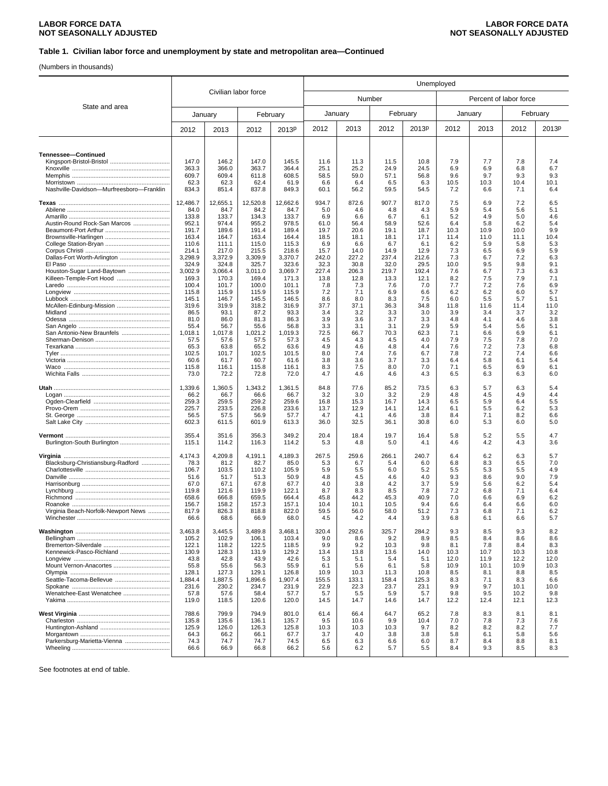### **Table 1. Civilian labor force and unemployment by state and metropolitan area—Continued**

(Numbers in thousands)

|                                          |                  |                  |                      |                  |               | Unemployed    |               |               |                        |              |              |             |  |  |
|------------------------------------------|------------------|------------------|----------------------|------------------|---------------|---------------|---------------|---------------|------------------------|--------------|--------------|-------------|--|--|
| State and area                           |                  |                  | Civilian labor force |                  |               | Number        |               |               | Percent of labor force |              |              |             |  |  |
|                                          |                  | January          | February             |                  |               | January       |               | February      |                        | January      |              | February    |  |  |
|                                          | 2012             | 2013             | 2012                 | 2013P            | 2012          | 2013          | 2012          | 2013P         | 2012                   | 2013         | 2012         | 2013P       |  |  |
|                                          |                  |                  |                      |                  |               |               |               |               |                        |              |              |             |  |  |
| Tennessee-Continued                      | 147.0            | 146.2            | 147.0                | 145.5            | 11.6          | 11.3          | 11.5          | 10.8          | 7.9                    | 7.7          | 7.8          | 7.4         |  |  |
|                                          | 363.3            | 366.0            | 363.7                | 364.4            | 25.1          | 25.2          | 24.9          | 24.5          | 6.9                    | 6.9          | 6.8          | 6.7         |  |  |
|                                          | 609.7            | 609.4            | 611.8                | 608.5            | 58.5          | 59.0          | 57.1          | 56.8          | 9.6                    | 9.7          | 9.3          | 9.3         |  |  |
| Nashville-Davidson-Murfreesboro-Franklin | 62.3<br>834.3    | 62.3<br>851.4    | 62.4<br>837.8        | 61.9<br>849.3    | 6.6<br>60.1   | 6.4<br>56.2   | 6.5<br>59.5   | 6.3<br>54.5   | 10.5<br>7.2            | 10.3<br>6.6  | 10.4<br>7.1  | 10.1<br>6.4 |  |  |
|                                          | 12.486.7         | 12,655.1         | 12,520.8             | 12,662.6         | 934.7         | 872.6         | 907.7         | 817.0         | 7.5                    | 6.9          | 7.2          | 6.5         |  |  |
|                                          | 84.0             | 84.7             | 84.2                 | 84.7             | 5.0           | 4.6           | 4.8           | 4.3           | 5.9                    | 5.4          | 5.6          | 5.1         |  |  |
|                                          | 133.8            | 133.7            | 134.3                | 133.7            | 6.9           | 6.6           | 6.7           | 6.1           | 5.2                    | 4.9          | 5.0          | 4.6         |  |  |
| Austin-Round Rock-San Marcos             | 952.1            | 974.4            | 955.2                | 978.5            | 61.0          | 56.4          | 58.9          | 52.6          | 6.4                    | 5.8          | 6.2          | 5.4         |  |  |
|                                          | 191.7<br>163.4   | 189.6<br>164.7   | 191.4<br>163.4       | 189.4<br>164.4   | 19.7<br>18.5  | 20.6<br>18.1  | 19.1<br>18.1  | 18.7<br>17.1  | 10.3<br>11.4           | 10.9<br>11.0 | 10.0<br>11.1 | 9.9<br>10.4 |  |  |
|                                          | 110.6            | 111.1            | 115.0                | 115.3            | 6.9           | 6.6           | 6.7           | 6.1           | 6.2                    | 5.9          | 5.8          | 5.3         |  |  |
|                                          | 214.1            | 217.0            | 215.5                | 218.6            | 15.7          | 14.0          | 14.9          | 12.9          | 7.3                    | 6.5          | 6.9          | 5.9         |  |  |
|                                          | 3,298.9          | 3,372.9          | 3,309.9              | 3,370.7          | 242.0         | 227.2         | 237.4         | 212.6         | 7.3                    | 6.7          | 7.2          | 6.3         |  |  |
|                                          | 324.9            | 324.8            | 325.7                | 323.6            | 32.3          | 30.8          | 32.0          | 29.5          | 10.0                   | 9.5          | 9.8          | 9.1         |  |  |
| Houston-Sugar Land-Baytown               | 3,002.9<br>169.3 | 3,066.4<br>170.3 | 3,011.0<br>169.4     | 3,069.7<br>171.3 | 227.4<br>13.8 | 206.3<br>12.8 | 219.7<br>13.3 | 192.4<br>12.1 | 7.6<br>8.2             | 6.7<br>7.5   | 7.3<br>7.9   | 6.3<br>7.1  |  |  |
|                                          | 100.4            | 101.7            | 100.0                | 101.1            | 7.8           | 7.3           | 7.6           | 7.0           | 7.7                    | 7.2          | 7.6          | 6.9         |  |  |
|                                          | 115.8            | 115.9            | 115.9                | 115.9            | 7.2           | 7.1           | 6.9           | 6.6           | 6.2                    | 6.2          | 6.0          | 5.7         |  |  |
|                                          | 145.1            | 146.7            | 145.5                | 146.5            | 8.6           | 8.0           | 8.3           | 7.5           | 6.0                    | 5.5          | 5.7          | 5.1         |  |  |
|                                          | 319.6            | 319.9            | 318.2                | 316.9            | 37.7          | 37.1          | 36.3          | 34.8          | 11.8                   | 11.6         | 11.4         | 11.0        |  |  |
|                                          | 86.5<br>81.0     | 93.1<br>86.0     | 87.2<br>81.3         | 93.3<br>86.3     | 3.4<br>3.9    | 3.2<br>3.6    | 3.3<br>3.7    | 3.0<br>3.3    | 3.9<br>4.8             | 3.4<br>4.1   | 3.7<br>4.6   | 3.2<br>3.8  |  |  |
|                                          | 55.4             | 56.7             | 55.6                 | 56.8             | 3.3           | 3.1           | 3.1           | 2.9           | 5.9                    | 5.4          | 5.6          | 5.1         |  |  |
| San Antonio-New Braunfels                | 1,018.1          | 1,017.8          | 1,021.2              | 1,019.3          | 72.5          | 66.7          | 70.3          | 62.3          | 7.1                    | 6.6          | 6.9          | 6.1         |  |  |
|                                          | 57.5             | 57.6             | 57.5                 | 57.3             | 4.5           | 4.3           | 4.5           | 4.0           | 7.9                    | 7.5          | 7.8          | 7.0         |  |  |
|                                          | 65.3             | 63.8             | 65.2                 | 63.6             | 4.9           | 4.6           | 4.8           | 4.4           | 7.6                    | 7.2          | 7.3          | 6.8         |  |  |
|                                          | 102.5<br>60.6    | 101.7<br>61.7    | 102.5<br>60.7        | 101.5<br>61.6    | 8.0<br>3.8    | 7.4<br>3.6    | 7.6<br>3.7    | 6.7<br>3.3    | 7.8<br>6.4             | 7.2<br>5.8   | 7.4<br>6.1   | 6.6<br>5.4  |  |  |
|                                          | 115.8            | 116.1            | 115.8                | 116.1            | 8.3           | 7.5           | 8.0           | 7.0           | 7.1                    | 6.5          | 6.9          | 6.1         |  |  |
|                                          | 73.0             | 72.2             | 72.8                 | 72.0             | 4.7           | 4.6           | 4.6           | 4.3           | 6.5                    | 6.3          | 6.3          | 6.0         |  |  |
|                                          | 1,339.6          | 1,360.5          | 1,343.2              | 1,361.5          | 84.8          | 77.6          | 85.2          | 73.5          | 6.3                    | 5.7          | 6.3          | 5.4         |  |  |
|                                          | 66.2             | 66.7             | 66.6                 | 66.7             | 3.2           | 3.0           | 3.2           | 2.9           | 4.8                    | 4.5          | 4.9          | 4.4         |  |  |
|                                          | 259.3            | 259.5            | 259.2                | 259.6            | 16.8          | 15.3          | 16.7          | 14.3          | 6.5                    | 5.9          | 6.4          | 5.5         |  |  |
|                                          | 225.7            | 233.5            | 226.8                | 233.6            | 13.7          | 12.9          | 14.1          | 12.4          | 6.1                    | 5.5          | 6.2          | 5.3         |  |  |
|                                          | 56.5<br>602.3    | 57.5<br>611.5    | 56.9<br>601.9        | 57.7<br>613.3    | 4.7<br>36.0   | 4.1<br>32.5   | 4.6<br>36.1   | 3.8<br>30.8   | 8.4<br>6.0             | 7.1<br>5.3   | 8.2<br>6.0   | 6.6<br>5.0  |  |  |
|                                          |                  |                  |                      |                  |               |               |               |               |                        |              |              |             |  |  |
| Burlington-South Burlington              | 355.4<br>115.1   | 351.6<br>114.2   | 356.3<br>116.3       | 349.2<br>114.2   | 20.4<br>5.3   | 18.4<br>4.8   | 19.7<br>5.0   | 16.4<br>4.1   | 5.8<br>4.6             | 5.2<br>4.2   | 5.5<br>4.3   | 4.7<br>3.6  |  |  |
|                                          | 4,174.3          | 4,209.8          | 4,191.1              | 4,189.3          | 267.5         | 259.6         | 266.1         | 240.7         | 6.4                    | 6.2          | 6.3          | 5.7         |  |  |
| Blacksburg-Christiansburg-Radford        | 78.3             | 81.2             | 82.7                 | 85.0             | 5.3           | 6.7           | 5.4           | 6.0           | 6.8                    | 8.3          | 6.5          | 7.0         |  |  |
|                                          | 106.7<br>51.6    | 103.5<br>51.7    | 110.2<br>51.3        | 105.9<br>50.9    | 5.9<br>4.8    | 5.5<br>4.5    | 6.0<br>4.6    | 5.2<br>4.0    | 5.5<br>9.3             | 5.3<br>8.6   | 5.5<br>9.0   | 4.9<br>7.9  |  |  |
|                                          | 67.0             | 67.1             | 67.8                 | 67.7             | 4.0           | 3.8           | 4.2           | 3.7           | 5.9                    | 5.6          | 6.2          | 5.4         |  |  |
|                                          | 119.8            | 121.6            | 119.9                | 122.1            | 8.7           | 8.3           | 8.5           | 7.8           | 7.2                    | 6.8          | 7.1          | 6.4         |  |  |
|                                          | 658.6            | 666.8            | 659.5                | 664.4            | 45.8          | 44.2          | 45.3          | 40.9          | 7.0                    | 6.6          | 6.9          | 6.2         |  |  |
|                                          | 156.7            | 158.2            | 157.3                | 157.1            | 10.4          | 10.1          | 10.5          | 9.4           | 6.6                    | 6.4          | 6.6          | 6.0         |  |  |
| Virginia Beach-Norfolk-Newport News      | 817.9<br>66.6    | 826.3<br>68.6    | 818.8<br>66.9        | 822.0<br>68.0    | 59.5<br>4.5   | 56.0<br>4.2   | 58.0<br>4.4   | 51.2<br>3.9   | 7.3<br>6.8             | 6.8<br>6.1   | 7.1<br>6.6   | 6.2<br>5.7  |  |  |
|                                          |                  |                  |                      |                  |               |               |               |               |                        |              |              |             |  |  |
|                                          | 3,463.8<br>105.2 | 3,445.5<br>102.9 | 3,489.8<br>106.1     | 3,468.1<br>103.4 | 320.4<br>9.0  | 292.6<br>8.6  | 325.7<br>9.2  | 284.2<br>8.9  | 9.3<br>8.5             | 8.5<br>8.4   | 9.3<br>8.6   | 8.2<br>8.6  |  |  |
|                                          | 122.1            | 118.2            | 122.5                | 118.5            | 9.9           | 9.2           | 10.3          | 9.8           | 8.1                    | 7.8          | 8.4          | 8.3         |  |  |
| Kennewick-Pasco-Richland                 | 130.9            | 128.3            | 131.9                | 129.2            | 13.4          | 13.8          | 13.6          | 14.0          | 10.3                   | 10.7         | 10.3         | 10.8        |  |  |
|                                          | 43.8             | 42.8             | 43.9                 | 42.6             | 5.3           | 5.1           | 5.4           | 5.1           | 12.0                   | 11.9         | 12.2         | 12.0        |  |  |
|                                          | 55.8             | 55.6             | 56.3                 | 55.9             | 6.1           | 5.6           | 6.1           | 5.8           | 10.9                   | 10.1         | 10.9         | 10.3        |  |  |
|                                          | 128.1<br>1,884.4 | 127.3<br>1,887.5 | 129.1<br>1,896.6     | 126.8<br>1,907.4 | 10.9<br>155.5 | 10.3<br>133.1 | 11.3<br>158.4 | 10.8<br>125.3 | 8.5<br>8.3             | 8.1<br>7.1   | 8.8<br>8.3   | 8.5<br>6.6  |  |  |
|                                          | 231.6            | 230.2            | 234.7                | 231.9            | 22.9          | 22.3          | 23.7          | 23.1          | 9.9                    | 9.7          | 10.1         | 10.0        |  |  |
| Wenatchee-East Wenatchee                 | 57.8             | 57.6             | 58.4                 | 57.7             | 5.7           | 5.5           | 5.9           | 5.7           | 9.8                    | 9.5          | 10.2         | 9.8         |  |  |
|                                          | 119.0            | 118.5            | 120.6                | 120.0            | 14.5          | 14.7          | 14.6          | 14.7          | 12.2                   | 12.4         | 12.1         | 12.3        |  |  |
|                                          | 788.6<br>135.8   | 799.9<br>135.6   | 794.9<br>136.1       | 801.0<br>135.7   | 61.4<br>9.5   | 66.4<br>10.6  | 64.7<br>9.9   | 65.2<br>10.4  | 7.8<br>7.0             | 8.3<br>7.8   | 8.1<br>7.3   | 8.1<br>7.6  |  |  |
|                                          | 125.9            | 126.0            | 126.3                | 125.8            | 10.3          | 10.3          | 10.3          | 9.7           | 8.2                    | 8.2          | 8.2          | 7.7         |  |  |
|                                          | 64.3             | 66.2             | 66.1                 | 67.7             | 3.7           | 4.0           | 3.8           | 3.8           | 5.8                    | 6.1          | 5.8          | 5.6         |  |  |
| Parkersburg-Marietta-Vienna              | 74.3             | 74.7             | 74.7                 | 74.5             | 6.5           | 6.3           | 6.6           | 6.0           | 8.7                    | 8.4          | 8.8          | 8.1         |  |  |
|                                          | 66.6             | 66.9             | 66.8                 | 66.2             | 5.6           | 6.2           | 5.7           | 5.5           | 8.4                    | 9.3          | 8.5          | 8.3         |  |  |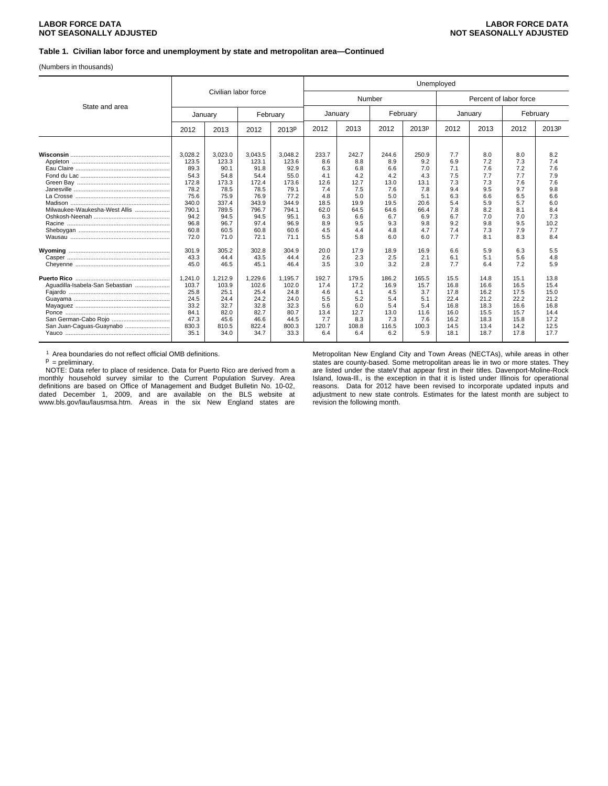#### **Table 1. Civilian labor force and unemployment by state and metropolitan area—Continued**

(Numbers in thousands)

|                                 |         |                      |         |          | Unemployed |         |       |          |      |                        |          |       |
|---------------------------------|---------|----------------------|---------|----------|------------|---------|-------|----------|------|------------------------|----------|-------|
|                                 |         | Civilian labor force |         |          |            | Number  |       |          |      | Percent of labor force |          |       |
| State and area                  | January |                      |         | February |            | January |       | February |      | January                | February |       |
|                                 | 2012    | 2013                 | 2012    | 2013P    | 2012       | 2013    | 2012  | 2013P    | 2012 | 2013                   | 2012     | 2013P |
|                                 |         |                      |         |          |            |         |       |          |      |                        |          |       |
|                                 | 3,028.2 | 3,023.0              | 3,043.5 | 3.048.2  | 233.7      | 242.7   | 244.6 | 250.9    | 7.7  | 8.0                    | 8.0      | 8.2   |
|                                 | 123.5   | 123.3                | 123.1   | 123.6    | 8.6        | 8.8     | 8.9   | 9.2      | 6.9  | 7.2                    | 7.3      | 7.4   |
|                                 | 89.3    | 90.1                 | 91.8    | 92.9     | 6.3        | 6.8     | 6.6   | 7.0      | 7.1  | 7.6                    | 7.2      | 7.6   |
|                                 | 54.3    | 54.8                 | 54.4    | 55.0     | 4.1        | 4.2     | 4.2   | 4.3      | 7.5  | 7.7                    | 7.7      | 7.9   |
|                                 | 172.8   | 173.3                | 172.4   | 173.6    | 12.6       | 12.7    | 13.0  | 13.1     | 7.3  | 7.3                    | 7.6      | 7.6   |
|                                 | 78.2    | 78.5                 | 78.5    | 79.1     | 7.4        | 7.5     | 7.6   | 7.8      | 9.4  | 9.5                    | 9.7      | 9.8   |
|                                 | 75.6    | 75.9                 | 76.9    | 77.2     | 4.8        | 5.0     | 5.0   | 5.1      | 6.3  | 6.6                    | 6.5      | 6.6   |
|                                 | 340.0   | 337.4                | 343.9   | 344.9    | 18.5       | 19.9    | 19.5  | 20.6     | 5.4  | 5.9                    | 5.7      | 6.0   |
| Milwaukee-Waukesha-West Allis   | 790.1   | 789.5                | 796.7   | 794.1    | 62.0       | 64.5    | 64.6  | 66.4     | 7.8  | 8.2                    | 8.1      | 8.4   |
|                                 | 94.2    | 94.5                 | 94.5    | 95.1     | 6.3        | 6.6     | 6.7   | 6.9      | 6.7  | 7.0                    | 7.0      | 7.3   |
|                                 | 96.8    | 96.7                 | 97.4    | 96.9     | 8.9        | 9.5     | 9.3   | 9.8      | 9.2  | 9.8                    | 9.5      | 10.2  |
|                                 | 60.8    | 60.5                 | 60.8    | 60.6     | 4.5        | 4.4     | 4.8   | 4.7      | 7.4  | 7.3                    | 7.9      | 7.7   |
|                                 | 72.0    | 71.0                 | 72.1    | 71.1     | 5.5        | 5.8     | 6.0   | 6.0      | 7.7  | 8.1                    | 8.3      | 8.4   |
|                                 | 301.9   | 305.2                | 302.8   | 304.9    | 20.0       | 17.9    | 18.9  | 16.9     | 6.6  | 5.9                    | 6.3      | 5.5   |
|                                 | 43.3    | 44.4                 | 43.5    | 44.4     | 2.6        | 2.3     | 2.5   | 2.1      | 6.1  | 5.1                    | 5.6      | 4.8   |
|                                 | 45.0    | 46.5                 | 45.1    | 46.4     | 3.5        | 3.0     | 3.2   | 2.8      | 7.7  | 6.4                    | 7.2      | 5.9   |
|                                 | 1,241.0 | 1,212.9              | 1,229.6 | 1.195.7  | 192.7      | 179.5   | 186.2 | 165.5    | 15.5 | 14.8                   | 15.1     | 13.8  |
| Aguadilla-Isabela-San Sebastian | 103.7   | 103.9                | 102.6   | 102.0    | 17.4       | 17.2    | 16.9  | 15.7     | 16.8 | 16.6                   | 16.5     | 15.4  |
|                                 | 25.8    | 25.1                 | 25.4    | 24.8     | 4.6        | 4.1     | 4.5   | 3.7      | 17.8 | 16.2                   | 17.5     | 15.0  |
|                                 | 24.5    | 24.4                 | 24.2    | 24.0     | 5.5        | 5.2     | 5.4   | 5.1      | 22.4 | 21.2                   | 22.2     | 21.2  |
|                                 | 33.2    | 32.7                 | 32.8    | 32.3     | 5.6        | 6.0     | 5.4   | 5.4      | 16.8 | 18.3                   | 16.6     | 16.8  |
|                                 | 84.1    | 82.0                 | 82.7    | 80.7     | 13.4       | 12.7    | 13.0  | 11.6     | 16.0 | 15.5                   | 15.7     | 14.4  |
|                                 | 47.3    | 45.6                 | 46.6    | 44.5     | 7.7        | 8.3     | 7.3   | 7.6      | 16.2 | 18.3                   | 15.8     | 17.2  |
| San Juan-Caguas-Guaynabo        | 830.3   | 810.5                | 822.4   | 800.3    | 120.7      | 108.8   | 116.5 | 100.3    | 14.5 | 13.4                   | 14.2     | 12.5  |
|                                 | 35.1    | 34.0                 | 34.7    | 33.3     | 6.4        | 6.4     | 6.2   | 5.9      | 18.1 | 18.7                   | 17.8     | 17.7  |

<sup>1</sup> Area boundaries do not reflect official OMB definitions.<br> $P =$  preliminary.

 NOTE: Data refer to place of residence. Data for Puerto Rico are derived from a monthly household survey similar to the Current Population Survey. Area definitions are based on Office of Management and Budget Bulletin No. 10-02, dated December 1, 2009, and are available on the BLS website at www.bls.gov/lau/lausmsa.htm. Areas in the six New England states are

Metropolitan New England City and Town Areas (NECTAs), while areas in other states are county-based. Some metropolitan areas lie in two or more states. They are listed under the state• that appear first in their titles. Davenport-Moline-Rock Island, Iowa-Ill., is the exception in that it is listed under Illinois for operational reasons. Data for 2012 have been revised to incorporate updated inputs and adjustment to new state controls. Estimates for the latest month are subject to revision the following month.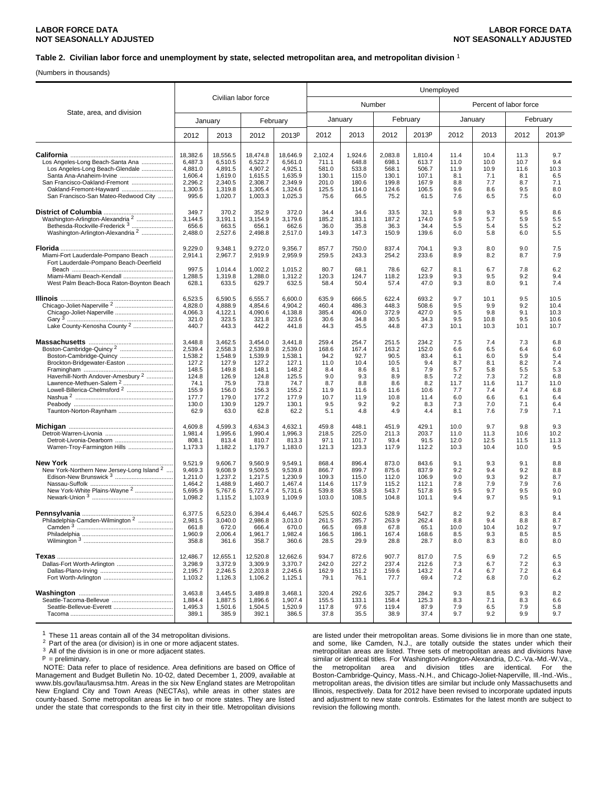#### **Table 2. Civilian labor force and unemployment by state, selected metropolitan area, and metropolitan division** 1

(Numbers in thousands)

|                                                                                                                                                                                                     | Civilian labor force                                                                                |                                                                                                     |                                                                                                     |                                                                                                     | Unemployed                                                                        |                                                                                   |                                                                                   |                                                                                  |                                                                            |                                                                            |                                                                            |                                                                            |  |
|-----------------------------------------------------------------------------------------------------------------------------------------------------------------------------------------------------|-----------------------------------------------------------------------------------------------------|-----------------------------------------------------------------------------------------------------|-----------------------------------------------------------------------------------------------------|-----------------------------------------------------------------------------------------------------|-----------------------------------------------------------------------------------|-----------------------------------------------------------------------------------|-----------------------------------------------------------------------------------|----------------------------------------------------------------------------------|----------------------------------------------------------------------------|----------------------------------------------------------------------------|----------------------------------------------------------------------------|----------------------------------------------------------------------------|--|
|                                                                                                                                                                                                     |                                                                                                     |                                                                                                     |                                                                                                     |                                                                                                     |                                                                                   | Number                                                                            |                                                                                   |                                                                                  |                                                                            | Percent of labor force                                                     |                                                                            |                                                                            |  |
| State, area, and division                                                                                                                                                                           |                                                                                                     | January                                                                                             |                                                                                                     | February                                                                                            |                                                                                   | January                                                                           |                                                                                   | February                                                                         |                                                                            | January                                                                    |                                                                            | February                                                                   |  |
|                                                                                                                                                                                                     | 2012                                                                                                | 2013                                                                                                | 2012                                                                                                | 2013P                                                                                               | 2012                                                                              | 2013                                                                              | 2012                                                                              | 2013P                                                                            | 2012                                                                       | 2013                                                                       | 2012                                                                       | 2013P                                                                      |  |
| Los Angeles-Long Beach-Santa Ana<br>Los Angeles-Long Beach-Glendale<br>Santa Ana-Anaheim-Irvine<br>San Francisco-Oakland-Fremont<br>Oakland-Fremont-Hayward<br>San Francisco-San Mateo-Redwood City | 18,382.6<br>6,487.3<br>4,881.0<br>1,606.4<br>2,296.2<br>1,300.5<br>995.6                            | 18,556.5<br>6,510.5<br>4,891.5<br>1,619.0<br>2,340.5<br>1,319.8<br>1,020.7                          | 18,474.8<br>6,522.7<br>4,907.2<br>1,615.5<br>2,308.7<br>1,305.4<br>1,003.3                          | 18,646.9<br>6,561.0<br>4,925.1<br>1,635.9<br>2,349.9<br>1,324.6<br>1,025.3                          | 2,102.4<br>711.1<br>581.0<br>130.1<br>201.0<br>125.5<br>75.6                      | 1,924.6<br>648.8<br>533.8<br>115.0<br>180.6<br>114.0<br>66.5                      | 2,083.8<br>698.1<br>568.1<br>130.1<br>199.8<br>124.6<br>75.2                      | 1,810.4<br>613.7<br>506.7<br>107.1<br>167.9<br>106.5<br>61.5                     | 11.4<br>11.0<br>11.9<br>8.1<br>8.8<br>9.6<br>7.6                           | 10.4<br>10.0<br>10.9<br>7.1<br>7.7<br>8.6<br>6.5                           | 11.3<br>10.7<br>11.6<br>8.1<br>8.7<br>9.5<br>7.5                           | 9.7<br>9.4<br>10.3<br>6.5<br>7.1<br>8.0<br>6.0                             |  |
| Washington-Arlington-Alexandria <sup>2</sup><br>Bethesda-Rockville-Frederick <sup>3</sup><br>Washington-Arlington-Alexandria <sup>2</sup>                                                           | 349.7<br>3,144.5<br>656.6<br>2,488.0                                                                | 370.2<br>3,191.1<br>663.5<br>2,527.6                                                                | 352.9<br>3,154.9<br>656.1<br>2,498.8                                                                | 372.0<br>3,179.6<br>662.6<br>2,517.0                                                                | 34.4<br>185.2<br>36.0<br>149.3                                                    | 34.6<br>183.1<br>35.8<br>147.3                                                    | 33.5<br>187.2<br>36.3<br>150.9                                                    | 32.1<br>174.0<br>34.4<br>139.6                                                   | 9.8<br>5.9<br>5.5<br>6.0                                                   | 9.3<br>5.7<br>5.4<br>5.8                                                   | 9.5<br>5.9<br>5.5<br>6.0                                                   | 8.6<br>5.5<br>5.2<br>5.5                                                   |  |
| Miami-Fort Lauderdale-Pompano Beach<br>Fort Lauderdale-Pompano Beach-Deerfield                                                                                                                      | 9,229.0<br>2,914.1<br>997.5                                                                         | 9,348.1<br>2,967.7                                                                                  | 9,272.0<br>2,919.9<br>1,002.2                                                                       | 9,356.7<br>2,959.9<br>1,015.2                                                                       | 857.7<br>259.5<br>80.7                                                            | 750.0<br>243.3<br>68.1                                                            | 837.4<br>254.2<br>78.6                                                            | 704.1<br>233.6<br>62.7                                                           | 9.3<br>8.9<br>8.1                                                          | 8.0<br>8.2                                                                 | 9.0<br>8.7<br>7.8                                                          | 7.5<br>7.9<br>6.2                                                          |  |
| Miami-Miami Beach-Kendall<br>West Palm Beach-Boca Raton-Boynton Beach                                                                                                                               | 1,288.5<br>628.1                                                                                    | 1,014.4<br>1,319.8<br>633.5                                                                         | 1,288.0<br>629.7                                                                                    | 1,312.2<br>632.5                                                                                    | 120.3<br>58.4                                                                     | 124.7<br>50.4                                                                     | 118.2<br>57.4                                                                     | 123.9<br>47.0                                                                    | 9.3<br>9.3                                                                 | 6.7<br>9.5<br>8.0                                                          | 9.2<br>9.1                                                                 | 9.4<br>7.4                                                                 |  |
|                                                                                                                                                                                                     | 6,523.5<br>4,828.0<br>4,066.3<br>321.0<br>440.7                                                     | 6,590.5<br>4,888.9<br>4,122.1<br>323.5<br>443.3                                                     | 6,555.7<br>4,854.6<br>4,090.6<br>321.8<br>442.2                                                     | 6,600.0<br>4,904.2<br>4,138.8<br>323.6<br>441.8                                                     | 635.9<br>460.4<br>385.4<br>30.6<br>44.3                                           | 666.5<br>486.3<br>406.0<br>34.8<br>45.5                                           | 622.4<br>448.3<br>372.9<br>30.5<br>44.8                                           | 693.2<br>508.6<br>427.0<br>34.3<br>47.3                                          | 9.7<br>9.5<br>9.5<br>9.5<br>10.1                                           | 10.1<br>9.9<br>9.8<br>10.8<br>10.3                                         | 9.5<br>9.2<br>9.1<br>9.5<br>10.1                                           | 10.5<br>10.4<br>10.3<br>10.6<br>10.7                                       |  |
| Boston-Cambridge-Quincy <sup>2</sup><br>Boston-Cambridge-Quincy<br>Brockton-Bridgewater-Easton<br>Taunton-Norton-Raynham                                                                            | 3,448.8<br>2,539.4<br>1,538.2<br>127.2<br>148.5<br>124.8<br>74.1<br>155.9<br>177.7<br>130.0<br>62.9 | 3.462.5<br>2,558.3<br>1,548.9<br>127.9<br>149.8<br>126.9<br>75.9<br>156.0<br>179.0<br>130.9<br>63.0 | 3,454.0<br>2,539.8<br>1,539.9<br>127.2<br>148.1<br>124.8<br>73.8<br>156.3<br>177.2<br>129.7<br>62.8 | 3.441.8<br>2,539.0<br>1,538.1<br>127.1<br>148.2<br>125.5<br>74.7<br>155.2<br>177.9<br>130.1<br>62.2 | 259.4<br>168.6<br>94.2<br>11.0<br>8.4<br>9.0<br>8.7<br>11.9<br>10.7<br>9.5<br>5.1 | 254.7<br>167.4<br>92.7<br>10.4<br>8.6<br>9.3<br>8.8<br>11.6<br>11.9<br>9.2<br>4.8 | 251.5<br>163.2<br>90.5<br>10.5<br>8.1<br>8.9<br>8.6<br>11.6<br>10.8<br>9.2<br>4.9 | 234.2<br>152.0<br>83.4<br>9.4<br>7.9<br>8.5<br>8.2<br>10.6<br>11.4<br>8.3<br>4.4 | 7.5<br>6.6<br>6.1<br>8.7<br>5.7<br>7.2<br>11.7<br>7.7<br>6.0<br>7.3<br>8.1 | 7.4<br>6.5<br>6.0<br>8.1<br>5.8<br>7.3<br>11.6<br>7.4<br>6.6<br>7.0<br>7.6 | 7.3<br>6.4<br>5.9<br>8.2<br>5.5<br>7.2<br>11.7<br>7.4<br>6.1<br>7.1<br>7.9 | 6.8<br>6.0<br>5.4<br>7.4<br>5.3<br>6.8<br>11.0<br>6.8<br>6.4<br>6.4<br>7.1 |  |
| Michigan<br>Warren-Troy-Farmington Hills                                                                                                                                                            | 4,609.8<br>1,981.4<br>808.1<br>1,173.3                                                              | 4,599.3<br>1,995.6<br>813.4<br>1,182.2                                                              | 4,634.3<br>1,990.4<br>810.7<br>1,179.7                                                              | 4,632.1<br>1,996.3<br>813.3<br>1,183.0                                                              | 459.8<br>218.5<br>97.1<br>121.3                                                   | 448.1<br>225.0<br>101.7<br>123.3                                                  | 451.9<br>211.3<br>93.4<br>117.9                                                   | 429.1<br>203.7<br>91.5<br>112.2                                                  | 10.0<br>11.0<br>12.0<br>10.3                                               | 9.7<br>11.3<br>12.5<br>10.4                                                | 9.8<br>10.6<br>11.5<br>10.0                                                | 9.3<br>10.2<br>11.3<br>9.5                                                 |  |
| New York-Northern New Jersey-Long Island 2<br>New York-White Plains-Wayne 2                                                                                                                         | 9,521.9<br>9,469.3<br>1,211.0<br>1.464.2<br>5,695.9<br>1,098.2                                      | 9,606.7<br>9,608.9<br>1,237.2<br>1,488.9<br>5,767.6<br>1,115.2                                      | 9.560.9<br>9,509.5<br>1,217.5<br>1,460.7<br>5,727.4<br>1,103.9                                      | 9,549.1<br>9,539.8<br>1,230.9<br>1.467.4<br>5,731.6<br>1,109.9                                      | 868.4<br>866.7<br>109.3<br>114.6<br>539.8<br>103.0                                | 896.4<br>899.7<br>115.0<br>117.9<br>558.3<br>108.5                                | 873.0<br>875.6<br>112.0<br>115.2<br>543.7<br>104.8                                | 843.6<br>837.9<br>106.9<br>112.1<br>517.8<br>101.1                               | 9.1<br>9.2<br>9.0<br>7.8<br>9.5<br>9.4                                     | 9.3<br>9.4<br>9.3<br>7.9<br>9.7<br>9.7                                     | 9.1<br>9.2<br>9.2<br>7.9<br>9.5<br>9.5                                     | 8.8<br>8.8<br>8.7<br>7.6<br>9.0<br>9.1                                     |  |
| Philadelphia-Camden-Wilmington <sup>2</sup>                                                                                                                                                         | 6,377.5<br>2,981.5<br>661.8<br>1,960.9<br>358.8                                                     | 6,523.0<br>3,040.0<br>672.0<br>2,006.4<br>361.6                                                     | 6,394.4<br>2,986.8<br>666.4<br>1,961.7<br>358.7                                                     | 6.446.7<br>3,013.0<br>670.0<br>1,982.4<br>360.6                                                     | 525.5<br>261.5<br>66.5<br>166.5<br>28.5                                           | 602.6<br>285.7<br>69.8<br>186.1<br>29.9                                           | 528.9<br>263.9<br>67.8<br>167.4<br>28.8                                           | 542.7<br>262.4<br>65.1<br>168.6<br>28.7                                          | 8.2<br>8.8<br>10.0<br>8.5<br>8.0                                           | 9.2<br>9.4<br>10.4<br>9.3<br>8.3                                           | 8.3<br>8.8<br>10.2<br>8.5<br>8.0                                           | 8.4<br>8.7<br>9.7<br>8.5<br>8.0                                            |  |
| Dallas-Fort Worth-Arlington                                                                                                                                                                         | 12,486.7<br>3,298.9<br>2,195.7<br>1,103.2                                                           | 12,655.1<br>3,372.9<br>2,246.5<br>1,126.3                                                           | 12,520.8<br>3,309.9<br>2,203.8<br>1,106.2                                                           | 12,662.6<br>3,370.7<br>2,245.6<br>1,125.1                                                           | 934.7<br>242.0<br>162.9<br>79.1                                                   | 872.6<br>227.2<br>151.2<br>76.1                                                   | 907.7<br>237.4<br>159.6<br>77.7                                                   | 817.0<br>212.6<br>143.2<br>69.4                                                  | 7.5<br>7.3<br>7.4<br>7.2                                                   | 6.9<br>6.7<br>6.7<br>6.8                                                   | 7.2<br>7.2<br>7.2<br>7.0                                                   | 6.5<br>6.3<br>6.4<br>6.2                                                   |  |
|                                                                                                                                                                                                     | 3,463.8<br>1,884.4<br>1,495.3<br>389.1                                                              | 3,445.5<br>1,887.5<br>1,501.6<br>385.9                                                              | 3,489.8<br>1,896.6<br>1,504.5<br>392.1                                                              | 3,468.1<br>1,907.4<br>1,520.9<br>386.5                                                              | 320.4<br>155.5<br>117.8<br>37.8                                                   | 292.6<br>133.1<br>97.6<br>35.5                                                    | 325.7<br>158.4<br>119.4<br>38.9                                                   | 284.2<br>125.3<br>87.9<br>37.4                                                   | 9.3<br>8.3<br>7.9<br>9.7                                                   | 8.5<br>7.1<br>6.5<br>9.2                                                   | 9.3<br>8.3<br>7.9<br>9.9                                                   | 8.2<br>6.6<br>5.8<br>9.7                                                   |  |

<sup>1</sup> These 11 areas contain all of the 34 metropolitan divisions.<br><sup>2</sup> Part of the area (or division) is in one or more adjacent states.

<sup>3</sup> All of the division is in one or more adjacent states.  $P = preliminary$ .

 NOTE: Data refer to place of residence. Area definitions are based on Office of Management and Budget Bulletin No. 10-02, dated December 1, 2009, available at www.bls.gov/lau/lausmsa.htm. Areas in the six New England states are Metropolitan New England City and Town Areas (NECTAs), while areas in other states are county-based. Some metropolitan areas lie in two or more states. They are listed under the state that corresponds to the first city in their title. Metropolitan divisions are listed under their metropolitan areas. Some divisions lie in more than one state, and some, like Camden, N.J., are totally outside the states under which their metropolitan areas are listed. Three sets of metropolitan areas and divisions have similar or identical titles. For Washington-Arlington-Alexandria, D.C.-Va.-Md.-W.Va., the metropolitan area and division titles are identical. For the Boston-Cambridge-Quincy, Mass.-N.H., and Chicago-Joliet-Naperville, Ill.-Ind.-Wis., metropolitan areas, the division titles are similar but include only Massachusetts and Illinois, respectively. Data for 2012 have been revised to incorporate updated inputs and adjustment to new state controls. Estimates for the latest month are subject to revision the following month.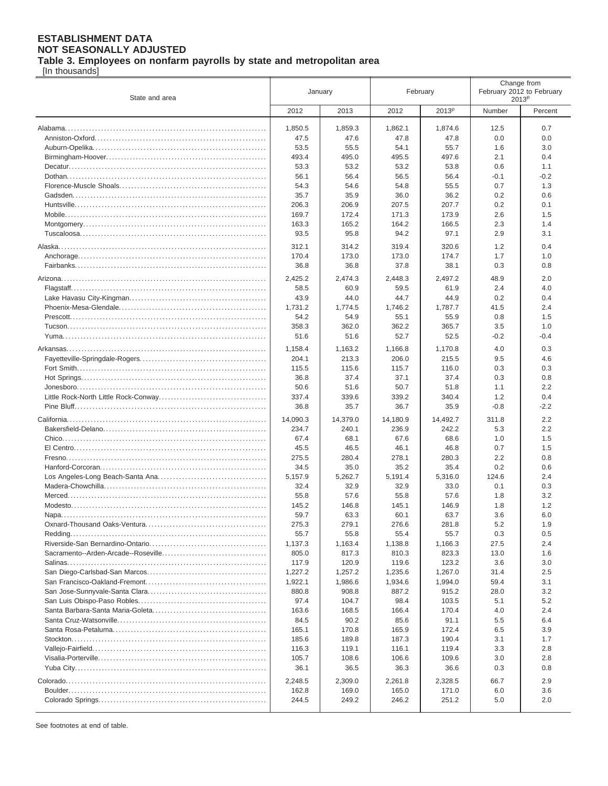**Table 3. Employees on nonfarm payrolls by state and metropolitan area**

[In thousands]

|                |                 | January         | February        |                   | Change from<br>February 2012 to February<br>2013 <sup>P</sup> |               |  |
|----------------|-----------------|-----------------|-----------------|-------------------|---------------------------------------------------------------|---------------|--|
| State and area | 2012            | 2013            | 2012            | 2013 <sup>p</sup> | Number                                                        | Percent       |  |
|                |                 |                 |                 |                   |                                                               |               |  |
|                | 1.850.5         | 1.859.3         | 1,862.1         | 1,874.6           | 12.5                                                          | 0.7           |  |
|                | 47.5            | 47.6            | 47.8            | 47.8              | 0.0                                                           | 0.0           |  |
|                | 53.5            | 55.5            | 54.1            | 55.7              | 1.6                                                           | 3.0           |  |
|                | 493.4           | 495.0           | 495.5           | 497.6             | 2.1                                                           | 0.4           |  |
|                | 53.3            | 53.2<br>56.4    | 53.2<br>56.5    | 53.8<br>56.4      | 0.6                                                           | 1.1<br>$-0.2$ |  |
|                | 56.1            |                 |                 |                   | $-0.1$<br>0.7                                                 | 1.3           |  |
|                | 54.3<br>35.7    | 54.6<br>35.9    | 54.8<br>36.0    | 55.5<br>36.2      | 0.2                                                           | 0.6           |  |
|                | 206.3           | 206.9           | 207.5           | 207.7             | 0.2                                                           | 0.1           |  |
|                | 169.7           | 172.4           | 171.3           | 173.9             | 2.6                                                           | 1.5           |  |
|                | 163.3           | 165.2           | 164.2           | 166.5             | 2.3                                                           | 1.4           |  |
|                | 93.5            | 95.8            | 94.2            | 97.1              | 2.9                                                           | 3.1           |  |
|                | 312.1           | 314.2           | 319.4           | 320.6             | 1.2                                                           | 0.4           |  |
|                | 170.4           | 173.0           | 173.0           | 174.7             | 1.7                                                           | 1.0           |  |
|                | 36.8            | 36.8            | 37.8            | 38.1              | 0.3                                                           | 0.8           |  |
|                | 2.425.2         |                 |                 |                   |                                                               |               |  |
|                | 58.5            | 2,474.3<br>60.9 | 2,448.3<br>59.5 | 2,497.2<br>61.9   | 48.9<br>2.4                                                   | 2.0<br>4.0    |  |
|                | 43.9            | 44.0            | 44.7            | 44.9              | 0.2                                                           | 0.4           |  |
|                | 1,731.2         | 1,774.5         | 1.746.2         | 1,787.7           | 41.5                                                          | 2.4           |  |
|                | 54.2            | 54.9            | 55.1            | 55.9              | 0.8                                                           | 1.5           |  |
|                | 358.3           | 362.0           | 362.2           | 365.7             | 3.5                                                           | 1.0           |  |
|                | 51.6            | 51.6            | 52.7            | 52.5              | $-0.2$                                                        | $-0.4$        |  |
|                | 1,158.4         | 1,163.2         | 1,166.8         | 1,170.8           | 4.0                                                           | 0.3           |  |
|                | 204.1           | 213.3           | 206.0           | 215.5             | 9.5                                                           | 4.6           |  |
|                | 115.5           | 115.6           | 115.7           | 116.0             | 0.3                                                           | 0.3           |  |
|                | 36.8            | 37.4            | 37.1            | 37.4              | 0.3                                                           | 0.8           |  |
|                | 50.6            | 51.6            | 50.7            | 51.8              | 1.1                                                           | 2.2           |  |
|                | 337.4           | 339.6           | 339.2           | 340.4             | 1.2                                                           | 0.4           |  |
|                | 36.8            | 35.7            | 36.7            | 35.9              | $-0.8$                                                        | $-2.2$        |  |
|                | 14,090.3        | 14,379.0        | 14,180.9        | 14,492.7          | 311.8                                                         | 2.2           |  |
|                | 234.7           | 240.1           | 236.9           | 242.2             | 5.3                                                           | 2.2           |  |
|                | 67.4            | 68.1            | 67.6            | 68.6              | 1.0                                                           | 1.5           |  |
|                | 45.5            | 46.5            | 46.1            | 46.8              | 0.7                                                           | 1.5           |  |
|                | 275.5           | 280.4           | 278.1           | 280.3             | 2.2                                                           | 0.8           |  |
|                | 34.5            | 35.0            | 35.2            | 35.4              | 0.2                                                           | 0.6           |  |
|                | 5,157.9<br>32.4 | 5,262.7<br>32.9 | 5,191.4<br>32.9 | 5,316.0<br>33.0   | 124.6<br>0.1                                                  | 2.4<br>0.3    |  |
|                | 55.8            | 57.6            | 55.8            | 57.6              | 1.8                                                           | 3.2           |  |
|                | 145.2           | 146.8           | 145.1           | 146.9             | 1.8                                                           | 1.2           |  |
|                | 59.7            | 63.3            | 60.1            | 63.7              | 3.6                                                           | 6.0           |  |
|                | 275.3           | 279.1           | 276.6           | 281.8             | 5.2                                                           | 1.9           |  |
|                | 55.7            | 55.8            | 55.4            | 55.7              | 0.3                                                           | 0.5           |  |
|                | 1,137.3         | 1,163.4         | 1,138.8         | 1,166.3           | 27.5                                                          | 2.4           |  |
|                | 805.0           | 817.3           | 810.3           | 823.3             | 13.0                                                          | 1.6           |  |
|                | 117.9           | 120.9           | 119.6           | 123.2             | 3.6                                                           | 3.0           |  |
|                | 1,227.2         | 1,257.2         | 1,235.6         | 1,267.0           | 31.4                                                          | 2.5           |  |
|                | 1,922.1         | 1,986.6         | 1,934.6         | 1,994.0           | 59.4                                                          | 3.1           |  |
|                | 880.8<br>97.4   | 908.8<br>104.7  | 887.2<br>98.4   | 915.2<br>103.5    | 28.0<br>5.1                                                   | 3.2<br>5.2    |  |
|                | 163.6           | 168.5           | 166.4           | 170.4             | 4.0                                                           | 2.4           |  |
|                | 84.5            | 90.2            | 85.6            | 91.1              | 5.5                                                           | 6.4           |  |
|                | 165.1           | 170.8           | 165.9           | 172.4             | 6.5                                                           | 3.9           |  |
|                | 185.6           | 189.8           | 187.3           | 190.4             | 3.1                                                           | 1.7           |  |
|                | 116.3           | 119.1           | 116.1           | 119.4             | 3.3                                                           | 2.8           |  |
|                | 105.7           | 108.6           | 106.6           | 109.6             | 3.0                                                           | 2.8           |  |
|                | 36.1            | 36.5            | 36.3            | 36.6              | 0.3                                                           | 0.8           |  |
|                | 2,248.5         | 2,309.0         | 2,261.8         | 2,328.5           | 66.7                                                          | 2.9           |  |
|                | 162.8           | 169.0           | 165.0           | 171.0             | 6.0                                                           | 3.6           |  |
|                | 244.5           | 249.2           | 246.2           | 251.2             | 5.0                                                           | 2.0           |  |
|                |                 |                 |                 |                   |                                                               |               |  |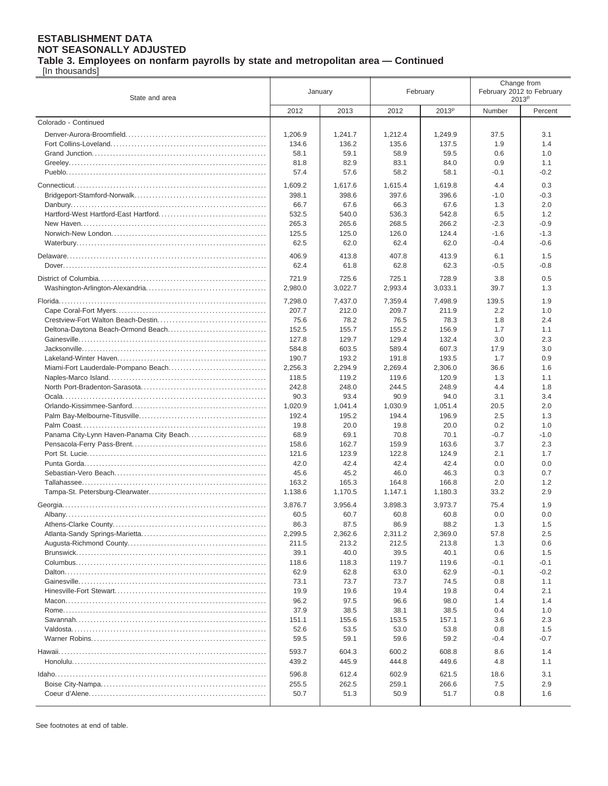**Table 3. Employees on nonfarm payrolls by state and metropolitan area — Continued**

[In thousands]

| State and area                           |                  | January          |                  | February          | Change from<br>February 2012 to February<br>2013 <sup>p</sup> |               |  |
|------------------------------------------|------------------|------------------|------------------|-------------------|---------------------------------------------------------------|---------------|--|
|                                          | 2012             | 2013             | 2012             | 2013 <sup>p</sup> | Number                                                        | Percent       |  |
| Colorado - Continued                     |                  |                  |                  |                   |                                                               |               |  |
|                                          | 1,206.9          | 1.241.7          | 1,212.4          | 1,249.9           | 37.5                                                          | 3.1           |  |
|                                          | 134.6            | 136.2            | 135.6            | 137.5             | 1.9                                                           | 1.4           |  |
|                                          | 58.1             | 59.1             | 58.9             | 59.5              | 0.6                                                           | 1.0           |  |
|                                          | 81.8<br>57.4     | 82.9<br>57.6     | 83.1<br>58.2     | 84.0<br>58.1      | 0.9<br>$-0.1$                                                 | 1.1<br>$-0.2$ |  |
|                                          |                  |                  |                  |                   |                                                               |               |  |
|                                          | 1,609.2<br>398.1 | 1.617.6<br>398.6 | 1,615.4<br>397.6 | 1,619.8<br>396.6  | 4.4<br>$-1.0$                                                 | 0.3<br>$-0.3$ |  |
|                                          | 66.7             | 67.6             | 66.3             | 67.6              | 1.3                                                           | 2.0           |  |
|                                          | 532.5            | 540.0            | 536.3            | 542.8             | 6.5                                                           | 1.2           |  |
|                                          | 265.3            | 265.6            | 268.5            | 266.2             | $-2.3$                                                        | $-0.9$        |  |
|                                          | 125.5            | 125.0            | 126.0            | 124.4             | $-1.6$                                                        | $-1.3$        |  |
|                                          | 62.5             | 62.0             | 62.4             | 62.0              | $-0.4$                                                        | $-0.6$        |  |
|                                          | 406.9            | 413.8            | 407.8            | 413.9             | 6.1                                                           | 1.5           |  |
|                                          | 62.4             | 61.8             | 62.8             | 62.3              | $-0.5$                                                        | $-0.8$        |  |
|                                          | 721.9            | 725.6            | 725.1            | 728.9             | 3.8                                                           | 0.5           |  |
|                                          | 2,980.0          | 3,022.7          | 2,993.4          | 3,033.1           | 39.7                                                          | 1.3           |  |
|                                          | 7,298.0          | 7,437.0          | 7,359.4          | 7,498.9           | 139.5                                                         | 1.9           |  |
|                                          | 207.7            | 212.0            | 209.7            | 211.9             | 2.2                                                           | 1.0           |  |
|                                          | 75.6             | 78.2             | 76.5             | 78.3              | 1.8                                                           | 2.4           |  |
|                                          | 152.5<br>127.8   | 155.7<br>129.7   | 155.2<br>129.4   | 156.9<br>132.4    | 1.7<br>3.0                                                    | 1.1<br>2.3    |  |
|                                          | 584.8            | 603.5            | 589.4            | 607.3             | 17.9                                                          | 3.0           |  |
|                                          | 190.7            | 193.2            | 191.8            | 193.5             | 1.7                                                           | 0.9           |  |
|                                          | 2,256.3          | 2,294.9          | 2,269.4          | 2,306.0           | 36.6                                                          | 1.6           |  |
|                                          | 118.5            | 119.2            | 119.6            | 120.9             | 1.3                                                           | 1.1           |  |
|                                          | 242.8            | 248.0            | 244.5            | 248.9             | 4.4                                                           | 1.8           |  |
|                                          | 90.3             | 93.4             | 90.9             | 94.0              | 3.1                                                           | 3.4           |  |
|                                          | 1,020.9          | 1,041.4          | 1,030.9          | 1,051.4           | 20.5                                                          | 2.0           |  |
|                                          | 192.4<br>19.8    | 195.2<br>20.0    | 194.4<br>19.8    | 196.9<br>20.0     | 2.5<br>0.2                                                    | 1.3<br>1.0    |  |
| Panama City-Lynn Haven-Panama City Beach | 68.9             | 69.1             | 70.8             | 70.1              | $-0.7$                                                        | $-1.0$        |  |
|                                          | 158.6            | 162.7            | 159.9            | 163.6             | 3.7                                                           | 2.3           |  |
|                                          | 121.6            | 123.9            | 122.8            | 124.9             | 2.1                                                           | 1.7           |  |
|                                          | 42.0             | 42.4             | 42.4             | 42.4              | 0.0                                                           | 0.0           |  |
|                                          | 45.6             | 45.2             | 46.0             | 46.3              | 0.3                                                           | 0.7           |  |
|                                          | 163.2            | 165.3            | 164.8            | 166.8             | 2.0                                                           | 1.2           |  |
|                                          | 1,138.6          | 1,170.5          | 1.147.1          | 1,180.3           | 33.2                                                          | 2.9           |  |
|                                          | 3.876.7          | 3,956.4          | 3,898.3          | 3,973.7           | 75.4                                                          | 1.9           |  |
|                                          | 60.5             | 60.7             | 60.8             | 60.8              | 0.0                                                           | 0.0           |  |
|                                          | 86.3<br>2,299.5  | 87.5<br>2,362.6  | 86.9<br>2,311.2  | 88.2<br>2,369.0   | 1.3<br>57.8                                                   | 1.5<br>2.5    |  |
|                                          | 211.5            | 213.2            | 212.5            | 213.8             | 1.3                                                           | 0.6           |  |
|                                          | 39.1             | 40.0             | 39.5             | 40.1              | 0.6                                                           | 1.5           |  |
|                                          | 118.6            | 118.3            | 119.7            | 119.6             | $-0.1$                                                        | $-0.1$        |  |
|                                          | 62.9             | 62.8             | 63.0             | 62.9              | -0.1                                                          | $-0.2$        |  |
|                                          | 73.1             | 73.7             | 73.7             | 74.5              | 0.8                                                           | 1.1           |  |
|                                          | 19.9<br>96.2     | 19.6             | 19.4<br>96.6     | 19.8<br>98.0      | 0.4<br>1.4                                                    | 2.1<br>1.4    |  |
|                                          | 37.9             | 97.5<br>38.5     | 38.1             | 38.5              | 0.4                                                           | 1.0           |  |
|                                          | 151.1            | 155.6            | 153.5            | 157.1             | 3.6                                                           | 2.3           |  |
|                                          | 52.6             | 53.5             | 53.0             | 53.8              | 0.8                                                           | 1.5           |  |
|                                          | 59.5             | 59.1             | 59.6             | 59.2              | -0.4                                                          | $-0.7$        |  |
|                                          | 593.7            | 604.3            | 600.2            | 608.8             | 8.6                                                           | 1.4           |  |
|                                          | 439.2            | 445.9            | 444.8            | 449.6             | 4.8                                                           | 1.1           |  |
|                                          | 596.8            | 612.4            | 602.9            | 621.5             | 18.6                                                          | 3.1           |  |
|                                          | 255.5            | 262.5            | 259.1            | 266.6             | 7.5                                                           | 2.9           |  |
|                                          | 50.7             | 51.3             | 50.9             | 51.7              | 0.8                                                           | 1.6           |  |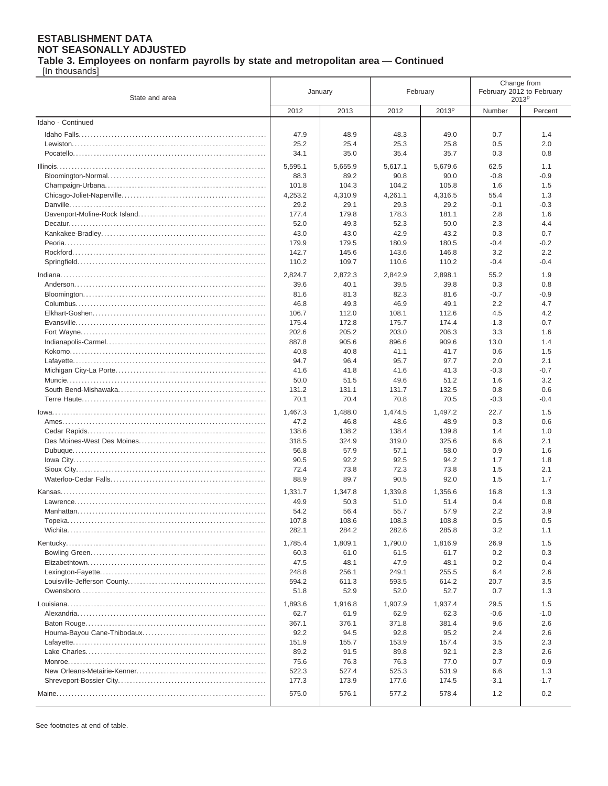**Table 3. Employees on nonfarm payrolls by state and metropolitan area — Continued**

[In thousands]

| State and area    | January         |                 | February        |                   | Change from<br>February 2012 to February<br>2013 <sup>p</sup> |               |
|-------------------|-----------------|-----------------|-----------------|-------------------|---------------------------------------------------------------|---------------|
|                   | 2012            | 2013            | 2012            | 2013 <sup>p</sup> | Number                                                        | Percent       |
| Idaho - Continued |                 |                 |                 |                   |                                                               |               |
|                   | 47.9            | 48.9            | 48.3            | 49.0              | 0.7                                                           | 1.4           |
|                   | 25.2            | 25.4            | 25.3            | 25.8              | 0.5                                                           | 2.0           |
|                   | 34.1            | 35.0            | 35.4            | 35.7              | 0.3                                                           | 0.8           |
|                   | 5,595.1         | 5,655.9         | 5,617.1         | 5,679.6           | 62.5                                                          | 1.1           |
|                   | 88.3<br>101.8   | 89.2<br>104.3   | 90.8<br>104.2   | 90.0<br>105.8     | $-0.8$<br>1.6                                                 | $-0.9$<br>1.5 |
|                   | 4,253.2         | 4,310.9         | 4,261.1         | 4,316.5           | 55.4                                                          | 1.3           |
|                   | 29.2            | 29.1            | 29.3            | 29.2              | $-0.1$                                                        | $-0.3$        |
|                   | 177.4           | 179.8           | 178.3           | 181.1             | 2.8                                                           | 1.6           |
|                   | 52.0            | 49.3            | 52.3            | 50.0              | $-2.3$                                                        | $-4.4$        |
|                   | 43.0            | 43.0            | 42.9            | 43.2              | 0.3                                                           | 0.7           |
|                   | 179.9<br>142.7  | 179.5<br>145.6  | 180.9<br>143.6  | 180.5<br>146.8    | $-0.4$<br>3.2                                                 | $-0.2$<br>2.2 |
|                   | 110.2           | 109.7           | 110.6           | 110.2             | $-0.4$                                                        | $-0.4$        |
|                   | 2,824.7         | 2,872.3         |                 |                   | 55.2                                                          | 1.9           |
|                   | 39.6            | 40.1            | 2,842.9<br>39.5 | 2,898.1<br>39.8   | 0.3                                                           | 0.8           |
|                   | 81.6            | 81.3            | 82.3            | 81.6              | $-0.7$                                                        | $-0.9$        |
|                   | 46.8            | 49.3            | 46.9            | 49.1              | 2.2                                                           | 4.7           |
|                   | 106.7           | 112.0           | 108.1           | 112.6             | 4.5                                                           | 4.2           |
|                   | 175.4           | 172.8           | 175.7           | 174.4             | $-1.3$                                                        | $-0.7$        |
|                   | 202.6           | 205.2           | 203.0           | 206.3             | 3.3                                                           | 1.6           |
|                   | 887.8<br>40.8   | 905.6<br>40.8   | 896.6<br>41.1   | 909.6<br>41.7     | 13.0<br>0.6                                                   | 1.4<br>1.5    |
|                   | 94.7            | 96.4            | 95.7            | 97.7              | 2.0                                                           | 2.1           |
|                   | 41.6            | 41.8            | 41.6            | 41.3              | $-0.3$                                                        | $-0.7$        |
|                   | 50.0            | 51.5            | 49.6            | 51.2              | 1.6                                                           | 3.2           |
|                   | 131.2           | 131.1           | 131.7           | 132.5             | 0.8                                                           | 0.6           |
|                   | 70.1            | 70.4            | 70.8            | 70.5              | $-0.3$                                                        | $-0.4$        |
|                   | 1,467.3         | 1,488.0         | 1,474.5         | 1,497.2           | 22.7                                                          | 1.5           |
|                   | 47.2            | 46.8            | 48.6            | 48.9              | 0.3                                                           | 0.6           |
|                   | 138.6<br>318.5  | 138.2<br>324.9  | 138.4<br>319.0  | 139.8<br>325.6    | 1.4<br>6.6                                                    | 1.0<br>2.1    |
|                   | 56.8            | 57.9            | 57.1            | 58.0              | 0.9                                                           | 1.6           |
|                   | 90.5            | 92.2            | 92.5            | 94.2              | 1.7                                                           | 1.8           |
|                   | 72.4            | 73.8            | 72.3            | 73.8              | 1.5                                                           | 2.1           |
|                   | 88.9            | 89.7            | 90.5            | 92.0              | 1.5                                                           | 1.7           |
|                   | 1,331.7         | 1,347.8         | 1,339.8         | 1,356.6           | 16.8                                                          | 1.3           |
|                   | 49.9            | 50.3            | 51.0            | 51.4              | 0.4                                                           | 0.8           |
|                   | 54.2            | 56.4            | 55.7            | 57.9              | 2.2                                                           | 3.9           |
| Topeka.           | 107.8<br>282.1  | 108.6<br>284.2  | 108.3<br>282.6  | 108.8<br>285.8    | 0.5<br>3.2                                                    | 0.5<br>1.1    |
|                   |                 |                 |                 |                   |                                                               |               |
|                   | 1,785.4<br>60.3 | 1,809.1<br>61.0 | 1,790.0<br>61.5 | 1,816.9<br>61.7   | 26.9<br>0.2                                                   | 1.5<br>0.3    |
|                   | 47.5            | 48.1            | 47.9            | 48.1              | 0.2                                                           | 0.4           |
|                   | 248.8           | 256.1           | 249.1           | 255.5             | 6.4                                                           | 2.6           |
|                   | 594.2           | 611.3           | 593.5           | 614.2             | 20.7                                                          | 3.5           |
|                   | 51.8            | 52.9            | 52.0            | 52.7              | 0.7                                                           | 1.3           |
|                   | 1,893.6         | 1,916.8         | 1,907.9         | 1,937.4           | 29.5                                                          | 1.5           |
|                   | 62.7            | 61.9            | 62.9            | 62.3              | $-0.6$                                                        | $-1.0$        |
|                   | 367.1<br>92.2   | 376.1<br>94.5   | 371.8<br>92.8   | 381.4<br>95.2     | 9.6<br>2.4                                                    | 2.6<br>2.6    |
|                   | 151.9           | 155.7           | 153.9           | 157.4             | 3.5                                                           | 2.3           |
|                   | 89.2            | 91.5            | 89.8            | 92.1              | 2.3                                                           | 2.6           |
|                   | 75.6            | 76.3            | 76.3            | 77.0              | 0.7                                                           | 0.9           |
|                   | 522.3           | 527.4           | 525.3           | 531.9             | 6.6                                                           | 1.3           |
|                   | 177.3           | 173.9           | 177.6           | 174.5             | $-3.1$                                                        | $-1.7$        |
|                   | 575.0           | 576.1           | 577.2           | 578.4             | 1.2                                                           | 0.2           |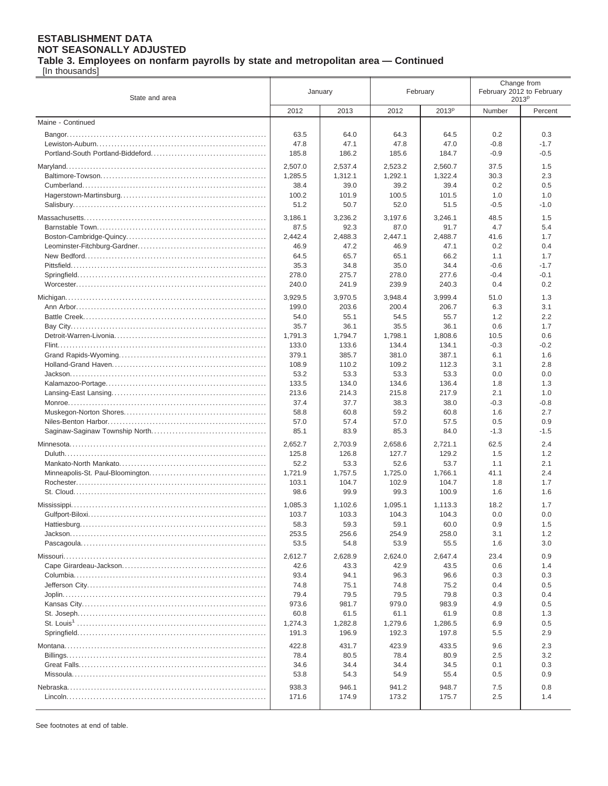**Table 3. Employees on nonfarm payrolls by state and metropolitan area — Continued**

[In thousands]

| State and area    | January         |                 | February        |                   | Change from<br>February 2012 to February<br>2013 <sup>P</sup> |               |
|-------------------|-----------------|-----------------|-----------------|-------------------|---------------------------------------------------------------|---------------|
|                   | 2012            | 2013            | 2012            | 2013 <sup>p</sup> | Number                                                        | Percent       |
| Maine - Continued |                 |                 |                 |                   |                                                               |               |
|                   | 63.5            | 64.0            | 64.3            | 64.5              | 0.2                                                           | 0.3           |
|                   | 47.8            | 47.1            | 47.8            | 47.0              | $-0.8$                                                        | $-1.7$        |
|                   | 185.8           | 186.2           | 185.6           | 184.7             | $-0.9$                                                        | $-0.5$        |
|                   | 2,507.0         | 2,537.4         | 2,523.2         | 2,560.7           | 37.5                                                          | 1.5           |
|                   | 1,285.5<br>38.4 | 1,312.1<br>39.0 | 1,292.1<br>39.2 | 1,322.4<br>39.4   | 30.3<br>0.2                                                   | 2.3<br>0.5    |
|                   | 100.2           | 101.9           | 100.5           | 101.5             | 1.0                                                           | 1.0           |
|                   | 51.2            | 50.7            | 52.0            | 51.5              | $-0.5$                                                        | $-1.0$        |
|                   | 3,186.1         | 3,236.2         | 3,197.6         | 3.246.1           | 48.5                                                          | 1.5           |
|                   | 87.5            | 92.3            | 87.0            | 91.7              | 4.7                                                           | 5.4           |
|                   | 2,442.4         | 2,488.3         | 2,447.1         | 2,488.7           | 41.6                                                          | 1.7           |
|                   | 46.9            | 47.2            | 46.9            | 47.1              | 0.2                                                           | 0.4           |
|                   | 64.5            | 65.7            | 65.1            | 66.2              | 1.1                                                           | 1.7           |
|                   | 35.3            | 34.8            | 35.0            | 34.4              | $-0.6$                                                        | $-1.7$        |
|                   | 278.0<br>240.0  | 275.7<br>241.9  | 278.0<br>239.9  | 277.6<br>240.3    | $-0.4$<br>0.4                                                 | $-0.1$<br>0.2 |
|                   | 3,929.5         | 3,970.5         | 3,948.4         | 3,999.4           | 51.0                                                          | 1.3           |
|                   | 199.0           | 203.6           | 200.4           | 206.7             | 6.3                                                           | 3.1           |
|                   | 54.0            | 55.1            | 54.5            | 55.7              | 1.2                                                           | 2.2           |
|                   | 35.7            | 36.1            | 35.5            | 36.1              | 0.6                                                           | 1.7           |
|                   | 1,791.3         | 1,794.7         | 1,798.1         | 1,808.6           | 10.5                                                          | 0.6           |
|                   | 133.0           | 133.6           | 134.4           | 134.1             | $-0.3$                                                        | $-0.2$        |
|                   | 379.1           | 385.7           | 381.0           | 387.1             | 6.1                                                           | 1.6           |
|                   | 108.9<br>53.2   | 110.2<br>53.3   | 109.2<br>53.3   | 112.3<br>53.3     | 3.1<br>0.0                                                    | 2.8<br>0.0    |
|                   | 133.5           | 134.0           | 134.6           | 136.4             | 1.8                                                           | 1.3           |
|                   | 213.6           | 214.3           | 215.8           | 217.9             | 2.1                                                           | 1.0           |
|                   | 37.4            | 37.7            | 38.3            | 38.0              | $-0.3$                                                        | $-0.8$        |
|                   | 58.8            | 60.8            | 59.2            | 60.8              | 1.6                                                           | 2.7           |
|                   | 57.0            | 57.4            | 57.0            | 57.5              | 0.5                                                           | 0.9           |
|                   | 85.1            | 83.9            | 85.3            | 84.0              | $-1.3$                                                        | $-1.5$        |
|                   | 2,652.7         | 2,703.9         | 2,658.6         | 2,721.1           | 62.5                                                          | 2.4           |
|                   | 125.8           | 126.8           | 127.7           | 129.2             | 1.5                                                           | 1.2<br>2.1    |
|                   | 52.2<br>1,721.9 | 53.3<br>1,757.5 | 52.6<br>1,725.0 | 53.7<br>1,766.1   | 1.1<br>41.1                                                   | 2.4           |
|                   | 103.1           | 104.7           | 102.9           | 104.7             | 1.8                                                           | 1.7           |
|                   | 98.6            | 99.9            | 99.3            | 100.9             | 1.6                                                           | 1.6           |
|                   | 1,085.3         | 1,102.6         | 1,095.1         | 1,113.3           | 18.2                                                          | 1.7           |
|                   | 103.7           | 103.3           | 104.3           | 104.3             | 0.0                                                           | 0.0           |
|                   | 58.3            | 59.3            | 59.1            | 60.0              | 0.9                                                           | 1.5           |
|                   | 253.5           | 256.6           | 254.9           | 258.0             | 3.1                                                           | 1.2           |
|                   | 53.5            | 54.8            | 53.9            | 55.5              | 1.6                                                           | 3.0           |
|                   | 2,612.7         | 2,628.9         | 2,624.0         | 2,647.4           | 23.4                                                          | 0.9           |
|                   | 42.6            | 43.3            | 42.9            | 43.5              | 0.6                                                           | 1.4           |
|                   | 93.4<br>74.8    | 94.1<br>75.1    | 96.3<br>74.8    | 96.6<br>75.2      | 0.3<br>0.4                                                    | 0.3<br>0.5    |
|                   | 79.4            | 79.5            | 79.5            | 79.8              | 0.3                                                           | 0.4           |
|                   | 973.6           | 981.7           | 979.0           | 983.9             | 4.9                                                           | 0.5           |
|                   | 60.8            | 61.5            | 61.1            | 61.9              | 0.8                                                           | 1.3           |
|                   | 1,274.3         | 1,282.8         | 1,279.6         | 1,286.5           | 6.9                                                           | 0.5           |
|                   | 191.3           | 196.9           | 192.3           | 197.8             | 5.5                                                           | 2.9           |
|                   | 422.8           | 431.7           | 423.9           | 433.5             | 9.6                                                           | 2.3           |
|                   | 78.4            | 80.5            | 78.4            | 80.9              | 2.5<br>0.1                                                    | 3.2           |
|                   | 34.6<br>53.8    | 34.4<br>54.3    | 34.4<br>54.9    | 34.5<br>55.4      | 0.5                                                           | 0.3<br>0.9    |
|                   |                 |                 |                 |                   |                                                               |               |
|                   | 938.3<br>171.6  | 946.1<br>174.9  | 941.2<br>173.2  | 948.7<br>175.7    | 7.5<br>2.5                                                    | 0.8<br>1.4    |
|                   |                 |                 |                 |                   |                                                               |               |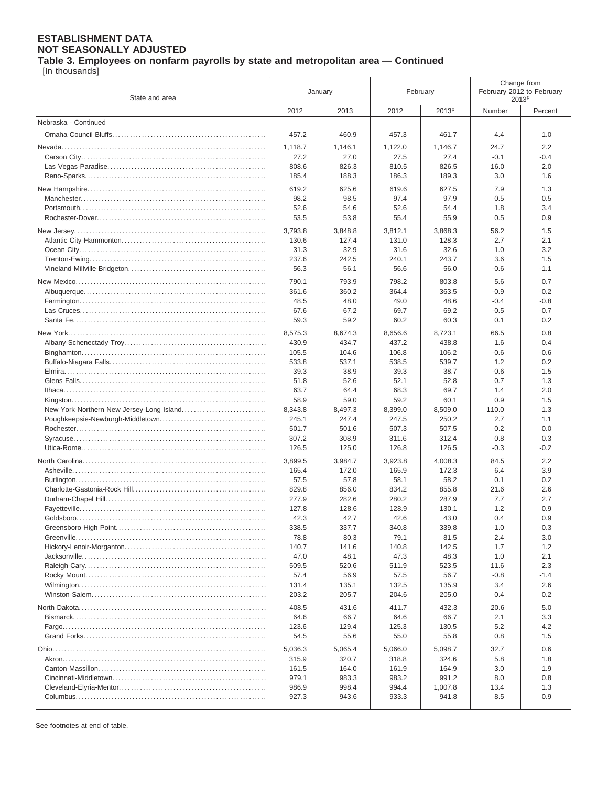**Table 3. Employees on nonfarm payrolls by state and metropolitan area — Continued**

[In thousands]

| State and area       | January          |                  | February         |                   | Change from<br>February 2012 to February<br>2013 <sup>P</sup> |               |
|----------------------|------------------|------------------|------------------|-------------------|---------------------------------------------------------------|---------------|
|                      | 2012             | 2013             | 2012             | 2013 <sup>p</sup> | Number                                                        | Percent       |
| Nebraska - Continued |                  |                  |                  |                   |                                                               |               |
|                      | 457.2            | 460.9            | 457.3            | 461.7             | 4.4                                                           | 1.0           |
|                      | 1,118.7          | 1,146.1          | 1,122.0          | 1,146.7           | 24.7                                                          | 2.2           |
|                      | 27.2             | 27.0             | 27.5             | 27.4              | $-0.1$                                                        | $-0.4$        |
|                      | 808.6            | 826.3            | 810.5            | 826.5             | 16.0                                                          | 2.0           |
|                      | 185.4            | 188.3            | 186.3            | 189.3             | 3.0                                                           | 1.6           |
|                      | 619.2            | 625.6            | 619.6            | 627.5             | 7.9                                                           | 1.3           |
|                      | 98.2<br>52.6     | 98.5<br>54.6     | 97.4<br>52.6     | 97.9<br>54.4      | 0.5<br>1.8                                                    | 0.5<br>3.4    |
|                      | 53.5             | 53.8             | 55.4             | 55.9              | 0.5                                                           | 0.9           |
|                      | 3,793.8          | 3,848.8          | 3,812.1          | 3,868.3           | 56.2                                                          | 1.5           |
|                      | 130.6            | 127.4            | 131.0            | 128.3             | $-2.7$                                                        | $-2.1$        |
|                      | 31.3             | 32.9             | 31.6             | 32.6              | 1.0                                                           | 3.2           |
|                      | 237.6            | 242.5            | 240.1            | 243.7             | 3.6                                                           | 1.5           |
|                      | 56.3             | 56.1             | 56.6             | 56.0              | $-0.6$                                                        | $-1.1$        |
|                      | 790.1            | 793.9            | 798.2            | 803.8             | 5.6                                                           | 0.7           |
|                      | 361.6            | 360.2            | 364.4            | 363.5             | $-0.9$                                                        | $-0.2$        |
|                      | 48.5             | 48.0             | 49.0             | 48.6              | $-0.4$                                                        | $-0.8$        |
|                      | 67.6<br>59.3     | 67.2<br>59.2     | 69.7<br>60.2     | 69.2<br>60.3      | $-0.5$<br>0.1                                                 | $-0.7$<br>0.2 |
|                      |                  |                  |                  |                   |                                                               |               |
|                      | 8,575.3<br>430.9 | 8,674.3<br>434.7 | 8,656.6<br>437.2 | 8,723.1<br>438.8  | 66.5<br>1.6                                                   | 0.8<br>0.4    |
|                      | 105.5            | 104.6            | 106.8            | 106.2             | $-0.6$                                                        | $-0.6$        |
|                      | 533.8            | 537.1            | 538.5            | 539.7             | 1.2                                                           | 0.2           |
|                      | 39.3             | 38.9             | 39.3             | 38.7              | $-0.6$                                                        | $-1.5$        |
|                      | 51.8             | 52.6             | 52.1             | 52.8              | 0.7                                                           | 1.3           |
|                      | 63.7             | 64.4             | 68.3             | 69.7              | 1.4                                                           | 2.0           |
|                      | 58.9             | 59.0             | 59.2             | 60.1              | 0.9                                                           | 1.5           |
|                      | 8,343.8<br>245.1 | 8,497.3<br>247.4 | 8,399.0<br>247.5 | 8,509.0<br>250.2  | 110.0<br>2.7                                                  | 1.3<br>1.1    |
|                      | 501.7            | 501.6            | 507.3            | 507.5             | 0.2                                                           | 0.0           |
|                      | 307.2            | 308.9            | 311.6            | 312.4             | 0.8                                                           | 0.3           |
|                      | 126.5            | 125.0            | 126.8            | 126.5             | $-0.3$                                                        | $-0.2$        |
|                      | 3.899.5          | 3.984.7          | 3,923.8          | 4.008.3           | 84.5                                                          | 2.2           |
|                      | 165.4            | 172.0            | 165.9            | 172.3             | 6.4                                                           | 3.9           |
|                      | 57.5             | 57.8             | 58.1             | 58.2              | 0.1                                                           | 0.2           |
|                      | 829.8            | 856.0            | 834.2            | 855.8             | 21.6                                                          | 2.6           |
|                      | 277.9<br>127.8   | 282.6<br>128.6   | 280.2<br>128.9   | 287.9<br>130.1    | 7.7<br>1.2                                                    | 2.7<br>0.9    |
|                      | 42.3             | 42.7             | 42.6             | 43.0              | 0.4                                                           | 0.9           |
|                      | 338.5            | 337.7            | 340.8            | 339.8             | $-1.0$                                                        | $-0.3$        |
|                      | 78.8             | 80.3             | 79.1             | 81.5              | 2.4                                                           | 3.0           |
|                      | 140.7            | 141.6            | 140.8            | 142.5             | 1.7                                                           | 1.2           |
|                      | 47.0             | 48.1             | 47.3             | 48.3              | 1.0                                                           | 2.1           |
|                      | 509.5<br>57.4    | 520.6<br>56.9    | 511.9<br>57.5    | 523.5<br>56.7     | 11.6<br>$-0.8$                                                | 2.3<br>$-1.4$ |
|                      | 131.4            | 135.1            | 132.5            | 135.9             | 3.4                                                           | 2.6           |
|                      | 203.2            | 205.7            | 204.6            | 205.0             | 0.4                                                           | 0.2           |
|                      | 408.5            | 431.6            | 411.7            | 432.3             | 20.6                                                          | 5.0           |
|                      | 64.6             | 66.7             | 64.6             | 66.7              | 2.1                                                           | 3.3           |
|                      | 123.6            | 129.4            | 125.3            | 130.5             | 5.2                                                           | 4.2           |
|                      | 54.5             | 55.6             | 55.0             | 55.8              | 0.8                                                           | 1.5           |
|                      | 5,036.3          | 5,065.4          | 5,066.0          | 5,098.7           | 32.7                                                          | 0.6           |
|                      | 315.9            | 320.7            | 318.8            | 324.6             | 5.8                                                           | 1.8           |
|                      | 161.5            | 164.0            | 161.9            | 164.9             | 3.0                                                           | 1.9           |
|                      | 979.1            | 983.3            | 983.2            | 991.2             | 8.0                                                           | 0.8           |
|                      | 986.9<br>927.3   | 998.4<br>943.6   | 994.4<br>933.3   | 1,007.8<br>941.8  | 13.4<br>8.5                                                   | 1.3<br>0.9    |
|                      |                  |                  |                  |                   |                                                               |               |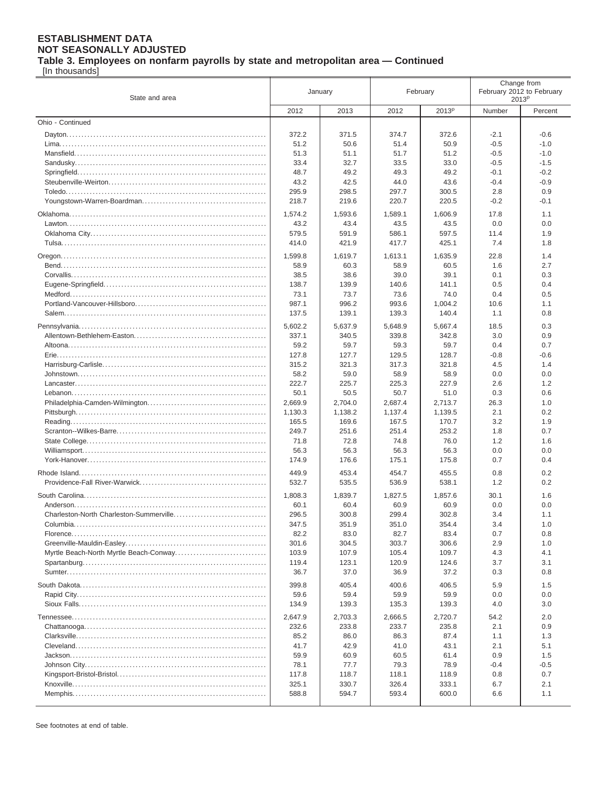**Table 3. Employees on nonfarm payrolls by state and metropolitan area — Continued**

[In thousands]

| State and area   | January          |                  | February         |                   | Change from<br>February 2012 to February<br>2013 <sup>P</sup> |                  |
|------------------|------------------|------------------|------------------|-------------------|---------------------------------------------------------------|------------------|
|                  | 2012             | 2013             | 2012             | 2013 <sup>p</sup> | Number                                                        | Percent          |
| Ohio - Continued |                  |                  |                  |                   |                                                               |                  |
|                  | 372.2            | 371.5            | 374.7            | 372.6             | $-2.1$                                                        | $-0.6$           |
|                  | 51.2             | 50.6             | 51.4             | 50.9              | $-0.5$                                                        | $-1.0$           |
|                  | 51.3             | 51.1             | 51.7             | 51.2              | $-0.5$                                                        | $-1.0$           |
|                  | 33.4             | 32.7             | 33.5             | 33.0              | $-0.5$                                                        | $-1.5$           |
|                  | 48.7<br>43.2     | 49.2<br>42.5     | 49.3<br>44.0     | 49.2<br>43.6      | $-0.1$<br>$-0.4$                                              | $-0.2$<br>$-0.9$ |
|                  | 295.9            | 298.5            | 297.7            | 300.5             | 2.8                                                           | 0.9              |
|                  | 218.7            | 219.6            | 220.7            | 220.5             | $-0.2$                                                        | $-0.1$           |
|                  | 1.574.2          | 1.593.6          | 1.589.1          | 1,606.9           | 17.8                                                          | 1.1              |
|                  | 43.2             | 43.4             | 43.5             | 43.5              | 0.0                                                           | 0.0              |
|                  | 579.5            | 591.9            | 586.1            | 597.5             | 11.4                                                          | 1.9              |
|                  | 414.0            | 421.9            | 417.7            | 425.1             | 7.4                                                           | 1.8              |
|                  | 1,599.8          | 1,619.7          | 1,613.1          | 1,635.9           | 22.8                                                          | 1.4              |
|                  | 58.9             | 60.3             | 58.9             | 60.5              | 1.6                                                           | 2.7              |
|                  | 38.5             | 38.6             | 39.0             | 39.1              | 0.1                                                           | 0.3              |
|                  | 138.7            | 139.9            | 140.6            | 141.1             | 0.5                                                           | 0.4              |
|                  | 73.1<br>987.1    | 73.7<br>996.2    | 73.6<br>993.6    | 74.0<br>1.004.2   | 0.4<br>10.6                                                   | 0.5<br>1.1       |
|                  | 137.5            | 139.1            | 139.3            | 140.4             | 1.1                                                           | 0.8              |
|                  | 5,602.2          | 5,637.9          | 5,648.9          | 5.667.4           | 18.5                                                          | 0.3              |
|                  | 337.1            | 340.5            | 339.8            | 342.8             | 3.0                                                           | 0.9              |
|                  | 59.2             | 59.7             | 59.3             | 59.7              | 0.4                                                           | 0.7              |
|                  | 127.8            | 127.7            | 129.5            | 128.7             | $-0.8$                                                        | $-0.6$           |
|                  | 315.2            | 321.3            | 317.3            | 321.8             | 4.5                                                           | 1.4              |
|                  | 58.2             | 59.0             | 58.9             | 58.9              | 0.0                                                           | 0.0              |
|                  | 222.7            | 225.7            | 225.3            | 227.9             | 2.6                                                           | 1.2              |
|                  | 50.1             | 50.5             | 50.7             | 51.0              | 0.3                                                           | 0.6              |
|                  | 2,669.9          | 2,704.0          | 2,687.4          | 2,713.7           | 26.3                                                          | 1.0              |
|                  | 1,130.3<br>165.5 | 1,138.2<br>169.6 | 1,137.4<br>167.5 | 1,139.5<br>170.7  | 2.1<br>3.2                                                    | 0.2<br>1.9       |
|                  | 249.7            | 251.6            | 251.4            | 253.2             | 1.8                                                           | 0.7              |
|                  | 71.8             | 72.8             | 74.8             | 76.0              | 1.2                                                           | 1.6              |
|                  | 56.3             | 56.3             | 56.3             | 56.3              | 0.0                                                           | 0.0              |
|                  | 174.9            | 176.6            | 175.1            | 175.8             | 0.7                                                           | 0.4              |
|                  | 449.9<br>532.7   | 453.4<br>535.5   | 454.7<br>536.9   | 455.5<br>538.1    | 0.8<br>1.2                                                    | 0.2<br>0.2       |
|                  | 1,808.3          | 1.839.7          | 1,827.5          | 1,857.6           | 30.1                                                          | 1.6              |
|                  | 60.1             | 60.4             | 60.9             | 60.9              | 0.0                                                           | 0.0              |
|                  | 296.5            | 300.8            | 299.4            | 302.8             | 3.4                                                           | 1.1              |
|                  | 347.5            | 351.9            | 351.0            | 354.4             | 3.4                                                           | 1.0              |
|                  | 82.2             | 83.0             | 82.7             | 83.4              | 0.7                                                           | 0.8              |
|                  | 301.6            | 304.5            | 303.7            | 306.6             | 2.9                                                           | 1.0              |
|                  | 103.9            | 107.9            | 105.4            | 109.7             | 4.3                                                           | 4.1              |
|                  | 119.4<br>36.7    | 123.1<br>37.0    | 120.9<br>36.9    | 124.6<br>37.2     | 3.7<br>0.3                                                    | 3.1<br>0.8       |
|                  | 399.8            | 405.4            | 400.6            | 406.5             | 5.9                                                           | 1.5              |
|                  | 59.6             | 59.4             | 59.9             | 59.9              | 0.0                                                           | 0.0              |
|                  | 134.9            | 139.3            | 135.3            | 139.3             | 4.0                                                           | 3.0              |
|                  | 2,647.9          | 2,703.3          | 2,666.5          | 2,720.7           | 54.2                                                          | 2.0              |
|                  | 232.6            | 233.8            | 233.7            | 235.8             | 2.1                                                           | 0.9              |
|                  | 85.2             | 86.0             | 86.3             | 87.4              | 1.1                                                           | 1.3              |
|                  | 41.7             | 42.9             | 41.0             | 43.1              | 2.1                                                           | 5.1              |
|                  | 59.9<br>78.1     | 60.9<br>77.7     | 60.5<br>79.3     | 61.4<br>78.9      | 0.9<br>$-0.4$                                                 | 1.5<br>$-0.5$    |
|                  | 117.8            | 118.7            | 118.1            | 118.9             | 0.8                                                           | 0.7              |
|                  | 325.1            | 330.7            | 326.4            | 333.1             | 6.7                                                           | 2.1              |
|                  | 588.8            | 594.7            | 593.4            | 600.0             | 6.6                                                           | 1.1              |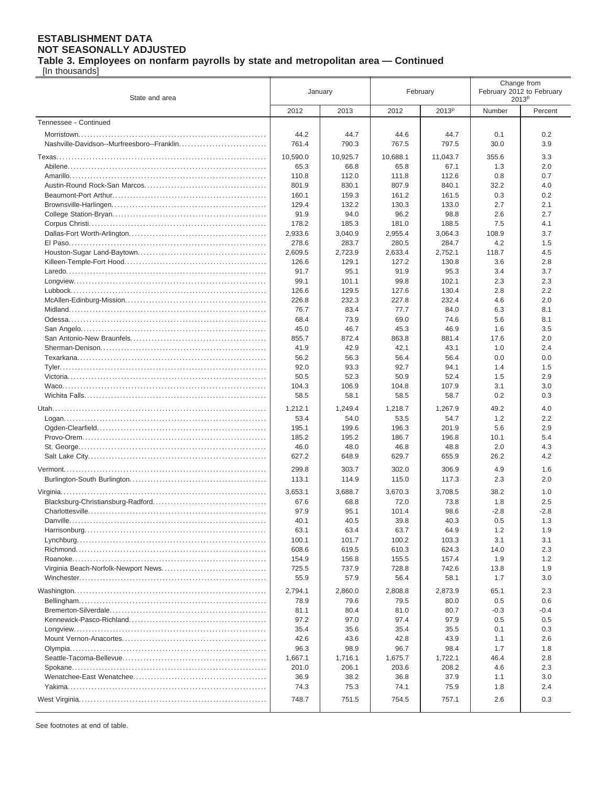**Table 3. Employees on nonfarm payrolls by state and metropolitan area — Continued**

[In thousands]

| State and area                             | January         |                 | February        |                   | Change from<br>February 2012 to February<br>2013 <sup>p</sup> |            |
|--------------------------------------------|-----------------|-----------------|-----------------|-------------------|---------------------------------------------------------------|------------|
|                                            | 2012            | 2013            | 2012            | 2013 <sup>p</sup> | Number                                                        | Percent    |
| Tennessee - Continued                      |                 |                 |                 |                   |                                                               |            |
|                                            | 44.2            | 44.7            | 44.6            | 44.7              | 0.1                                                           | 0.2        |
| Nashville-Davidson--Murfreesboro--Franklin | 761.4           | 790.3           | 767.5           | 797.5             | 30.0                                                          | 3.9        |
|                                            | 10,590.0        | 10,925.7        | 10,688.1        | 11,043.7          | 355.6                                                         | 3.3        |
|                                            | 65.3            | 66.8            | 65.8            | 67.1              | 1.3                                                           | 2.0        |
|                                            | 110.8           | 112.0           | 111.8           | 112.6             | 0.8                                                           | 0.7        |
|                                            | 801.9           | 830.1           | 807.9           | 840.1             | 32.2                                                          | 4.0        |
|                                            | 160.1           | 159.3           | 161.2           | 161.5             | 0.3                                                           | 0.2        |
|                                            | 129.4<br>91.9   | 132.2<br>94.0   | 130.3<br>96.2   | 133.0<br>98.8     | 2.7<br>2.6                                                    | 2.1<br>2.7 |
|                                            | 178.2           | 185.3           | 181.0           | 188.5             | 7.5                                                           | 4.1        |
|                                            | 2,933.6         | 3,040.9         | 2,955.4         | 3,064.3           | 108.9                                                         | 3.7        |
|                                            | 278.6           | 283.7           | 280.5           | 284.7             | 4.2                                                           | 1.5        |
|                                            | 2,609.5         | 2,723.9         | 2,633.4         | 2,752.1           | 118.7                                                         | 4.5        |
|                                            | 126.6           | 129.1           | 127.2           | 130.8             | 3.6                                                           | 2.8        |
|                                            | 91.7            | 95.1            | 91.9            | 95.3              | 3.4                                                           | 3.7        |
|                                            | 99.1            | 101.1           | 99.8            | 102.1             | 2.3                                                           | 2.3        |
|                                            | 126.6           | 129.5           | 127.6           | 130.4             | 2.8                                                           | 2.2        |
|                                            | 226.8<br>76.7   | 232.3<br>83.4   | 227.8<br>77.7   | 232.4<br>84.0     | 4.6<br>6.3                                                    | 2.0<br>8.1 |
|                                            | 68.4            | 73.9            | 69.0            | 74.6              | 5.6                                                           | 8.1        |
|                                            | 45.0            | 46.7            | 45.3            | 46.9              | 1.6                                                           | 3.5        |
|                                            | 855.7           | 872.4           | 863.8           | 881.4             | 17.6                                                          | 2.0        |
|                                            | 41.9            | 42.9            | 42.1            | 43.1              | 1.0                                                           | 2.4        |
|                                            | 56.2            | 56.3            | 56.4            | 56.4              | 0.0                                                           | 0.0        |
|                                            | 92.0            | 93.3            | 92.7            | 94.1              | 1.4                                                           | 1.5        |
|                                            | 50.5            | 52.3            | 50.9            | 52.4              | 1.5                                                           | 2.9        |
|                                            | 104.3           | 106.9           | 104.8           | 107.9             | 3.1                                                           | 3.0        |
|                                            | 58.5            | 58.1            | 58.5            | 58.7              | 0.2                                                           | 0.3        |
|                                            | 1,212.1         | 1,249.4         | 1,218.7         | 1,267.9           | 49.2                                                          | 4.0        |
|                                            | 53.4            | 54.0            | 53.5            | 54.7              | 1.2                                                           | 2.2        |
|                                            | 195.1           | 199.6           | 196.3           | 201.9             | 5.6                                                           | 2.9<br>5.4 |
|                                            | 185.2<br>46.0   | 195.2<br>48.0   | 186.7<br>46.8   | 196.8<br>48.8     | 10.1<br>2.0                                                   | 4.3        |
|                                            | 627.2           | 648.9           | 629.7           | 655.9             | 26.2                                                          | 4.2        |
|                                            | 299.8           | 303.7           | 302.0           | 306.9             | 4.9                                                           | 1.6        |
|                                            | 113.1           | 114.9           | 115.0           | 117.3             | 2.3                                                           | 2.0        |
|                                            |                 |                 |                 |                   |                                                               |            |
|                                            | 3,653.1<br>67.6 | 3,688.7<br>68.8 | 3,670.3<br>72.0 | 3,708.5<br>73.8   | 38.2<br>1.8                                                   | 1.0<br>2.5 |
|                                            | 97.9            | 95.1            | 101.4           | 98.6              | $-2.8$                                                        | $-2.8$     |
| <b>Danville</b>                            | 40.1            | 40.5            | 39.8            | 40.3              | 0.5                                                           | 1.3        |
|                                            | 63.1            | 63.4            | 63.7            | 64.9              | 1.2                                                           | 1.9        |
|                                            | 100.1           | 101.7           | 100.2           | 103.3             | 3.1                                                           | 3.1        |
|                                            | 608.6           | 619.5           | 610.3           | 624.3             | 14.0                                                          | 2.3        |
|                                            | 154.9           | 156.8           | 155.5           | 157.4             | 1.9                                                           | 1.2        |
|                                            | 725.5           | 737.9           | 728.8           | 742.6             | 13.8                                                          | 1.9        |
|                                            | 55.9            | 57.9            | 56.4            | 58.1              | 1.7                                                           | 3.0        |
|                                            | 2,794.1         | 2,860.0         | 2,808.8         | 2,873.9           | 65.1                                                          | 2.3        |
|                                            | 78.9            | 79.6            | 79.5            | 80.0              | 0.5                                                           | 0.6        |
|                                            | 81.1            | 80.4            | 81.0            | 80.7              | -0.3                                                          | $-0.4$     |
|                                            | 97.2<br>35.4    | 97.0<br>35.6    | 97.4<br>35.4    | 97.9<br>35.5      | 0.5<br>0.1                                                    | 0.5<br>0.3 |
|                                            | 42.6            | 43.6            | 42.8            | 43.9              | 1.1                                                           | 2.6        |
|                                            | 96.3            | 98.9            | 96.7            | 98.4              | 1.7                                                           | 1.8        |
|                                            | 1,667.1         | 1,716.1         | 1,675.7         | 1,722.1           | 46.4                                                          | 2.8        |
|                                            | 201.0           | 206.1           | 203.6           | 208.2             | 4.6                                                           | 2.3        |
|                                            | 36.9            | 38.2            | 36.8            | 37.9              | 1.1                                                           | 3.0        |
|                                            | 74.3            | 75.3            | 74.1            | 75.9              | 1.8                                                           | 2.4        |
|                                            | 748.7           | 751.5           | 754.5           | 757.1             | 2.6                                                           | 0.3        |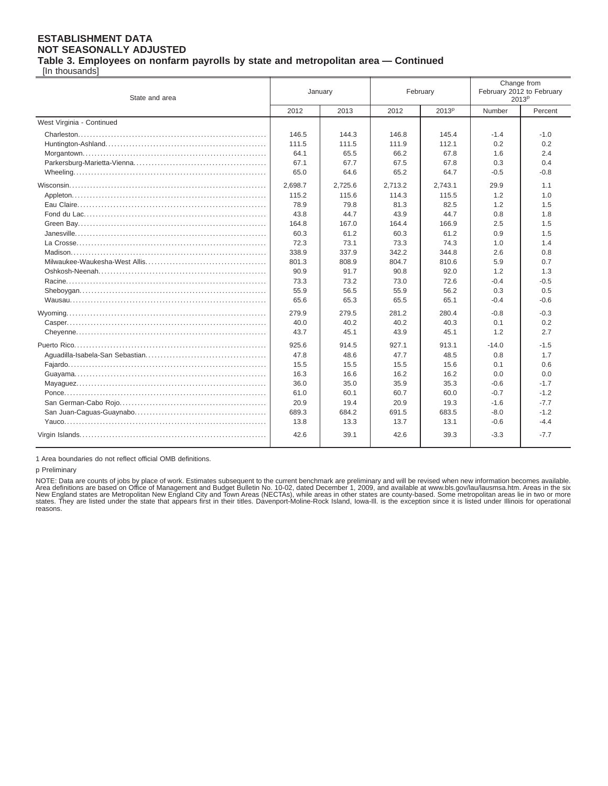**Table 3. Employees on nonfarm payrolls by state and metropolitan area — Continued**

[In thousands]

| State and area            | January |         | February |                   |         |         |  | Change from<br>February 2012 to February<br>2013 <sup>p</sup> |  |
|---------------------------|---------|---------|----------|-------------------|---------|---------|--|---------------------------------------------------------------|--|
|                           | 2012    | 2013    | 2012     | 2013 <sup>P</sup> | Number  | Percent |  |                                                               |  |
| West Virginia - Continued |         |         |          |                   |         |         |  |                                                               |  |
|                           | 146.5   | 144.3   | 146.8    | 145.4             | $-1.4$  | $-1.0$  |  |                                                               |  |
|                           | 111.5   | 111.5   | 111.9    | 112.1             | 0.2     | 0.2     |  |                                                               |  |
|                           | 64.1    | 65.5    | 66.2     | 67.8              | 1.6     | 2.4     |  |                                                               |  |
|                           | 67.1    | 67.7    | 67.5     | 67.8              | 0.3     | 0.4     |  |                                                               |  |
|                           | 65.0    | 64.6    | 65.2     | 64.7              | $-0.5$  | $-0.8$  |  |                                                               |  |
|                           | 2,698.7 | 2,725.6 | 2,713.2  | 2,743.1           | 29.9    | 1.1     |  |                                                               |  |
|                           | 115.2   | 115.6   | 114.3    | 115.5             | 1.2     | 1.0     |  |                                                               |  |
|                           | 78.9    | 79.8    | 81.3     | 82.5              | 1.2     | 1.5     |  |                                                               |  |
|                           | 43.8    | 44.7    | 43.9     | 44.7              | 0.8     | 1.8     |  |                                                               |  |
|                           | 164.8   | 167.0   | 164.4    | 166.9             | 2.5     | 1.5     |  |                                                               |  |
|                           | 60.3    | 61.2    | 60.3     | 61.2              | 0.9     | 1.5     |  |                                                               |  |
|                           | 72.3    | 73.1    | 73.3     | 74.3              | 1.0     | 1.4     |  |                                                               |  |
|                           | 338.9   | 337.9   | 342.2    | 344.8             | 2.6     | 0.8     |  |                                                               |  |
|                           | 801.3   | 808.9   | 804.7    | 810.6             | 5.9     | 0.7     |  |                                                               |  |
|                           | 90.9    | 91.7    | 90.8     | 92.0              | 1.2     | 1.3     |  |                                                               |  |
|                           | 73.3    | 73.2    | 73.0     | 72.6              | $-0.4$  | $-0.5$  |  |                                                               |  |
|                           | 55.9    | 56.5    | 55.9     | 56.2              | 0.3     | 0.5     |  |                                                               |  |
|                           | 65.6    | 65.3    | 65.5     | 65.1              | $-0.4$  | $-0.6$  |  |                                                               |  |
|                           | 279.9   | 279.5   | 281.2    | 280.4             | $-0.8$  | $-0.3$  |  |                                                               |  |
|                           | 40.0    | 40.2    | 40.2     | 40.3              | 0.1     | 0.2     |  |                                                               |  |
|                           | 43.7    | 45.1    | 43.9     | 45.1              | 1.2     | 2.7     |  |                                                               |  |
|                           | 925.6   | 914.5   | 927.1    | 913.1             | $-14.0$ | $-1.5$  |  |                                                               |  |
|                           | 47.8    | 48.6    | 47.7     | 48.5              | 0.8     | 1.7     |  |                                                               |  |
|                           | 15.5    | 15.5    | 15.5     | 15.6              | 0.1     | 0.6     |  |                                                               |  |
|                           | 16.3    | 16.6    | 16.2     | 16.2              | 0.0     | 0.0     |  |                                                               |  |
|                           | 36.0    | 35.0    | 35.9     | 35.3              | $-0.6$  | $-1.7$  |  |                                                               |  |
|                           | 61.0    | 60.1    | 60.7     | 60.0              | $-0.7$  | $-1.2$  |  |                                                               |  |
|                           | 20.9    | 19.4    | 20.9     | 19.3              | $-1.6$  | $-7.7$  |  |                                                               |  |
|                           | 689.3   | 684.2   | 691.5    | 683.5             | $-8.0$  | $-1.2$  |  |                                                               |  |
|                           | 13.8    | 13.3    | 13.7     | 13.1              | $-0.6$  | $-4.4$  |  |                                                               |  |
|                           | 42.6    | 39.1    | 42.6     | 39.3              | $-3.3$  | $-7.7$  |  |                                                               |  |

1 Area boundaries do not reflect official OMB definitions.

#### p Preliminary

NOTE: Data are counts of jobs by place of work. Estimates subsequent to the current benchmark are preliminary and will be revised when new information becomes available.<br>Area definitions are based on Office of Management a reasons.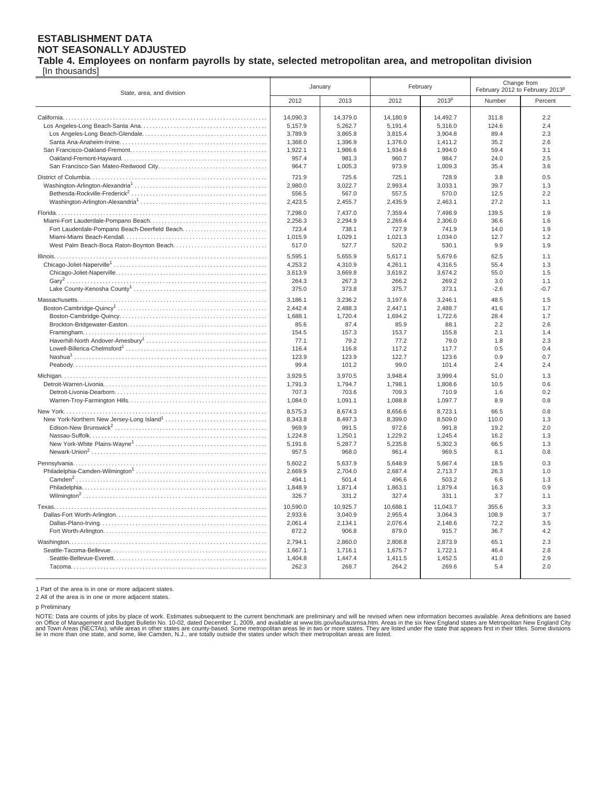### **Table 4. Employees on nonfarm payrolls by state, selected metropolitan area, and metropolitan division**

[In thousands]

| State, area, and division                     | January          |                  | February         |                   | Change from<br>February 2012 to February 2013P |            |
|-----------------------------------------------|------------------|------------------|------------------|-------------------|------------------------------------------------|------------|
|                                               | 2012             | 2013             | 2012             | 2013 <sup>p</sup> | Number                                         | Percent    |
|                                               | 14,090.3         | 14,379.0         | 14,180.9         | 14,492.7          | 311.8                                          | 2.2        |
|                                               | 5,157.9          | 5,262.7          | 5,191.4          | 5,316.0           | 124.6                                          | 2.4        |
|                                               | 3,789.9          | 3,865.8          | 3,815.4          | 3,904.8           | 89.4                                           | 2.3        |
|                                               | 1,368.0          | 1,396.9          | 1,376.0          | 1,411.2           | 35.2                                           | 2.6        |
|                                               | 1,922.1          | 1,986.6          | 1,934.6          | 1,994.0           | 59.4                                           | 3.1        |
|                                               | 957.4            | 981.3            | 960.7            | 984.7             | 24.0                                           | 2.5        |
|                                               | 964.7            | 1,005.3          | 973.9            | 1,009.3           | 35.4                                           | 3.6        |
|                                               | 721.9            | 725.6            | 725.1            | 728.9             | 3.8                                            | 0.5        |
|                                               | 2,980.0          | 3,022.7          | 2,993.4          | 3,033.1           | 39.7                                           | 1.3        |
|                                               | 556.5            | 567.0            | 557.5            | 570.0             | 12.5                                           | 2.2        |
|                                               | 2,423.5          | 2,455.7          | 2,435.9          | 2,463.1           | 27.2                                           | 1.1        |
|                                               | 7,298.0          | 7,437.0          | 7,359.4          | 7,498.9           | 139.5                                          | 1.9        |
|                                               | 2,256.3          | 2,294.9          | 2,269.4          | 2,306.0           | 36.6                                           | 1.6        |
| Fort Lauderdale-Pompano Beach-Deerfield Beach | 723.4            | 738.1            | 727.9            | 741.9             | 14.0                                           | 1.9        |
|                                               | 1,015.9          | 1,029.1          | 1,021.3          | 1,034.0           | 12.7                                           | 1.2        |
| West Palm Beach-Boca Raton-Boynton Beach      | 517.0            | 527.7            | 520.2            | 530.1             | 9.9                                            | 1.9        |
|                                               | 5,595.1          | 5.655.9          | 5.617.1          | 5,679.6           | 62.5                                           | 1.1        |
|                                               | 4,253.2          | 4,310.9          | 4,261.1          | 4,316.5           | 55.4                                           | 1.3        |
|                                               | 3,613.9          | 3,669.8          | 3,619.2          | 3,674.2           | 55.0                                           | 1.5        |
|                                               | 264.3            | 267.3            | 266.2            | 269.2             | 3.0                                            | 1.1        |
|                                               | 375.0            | 373.8            | 375.7            | 373.1             | $-2.6$                                         | $-0.7$     |
|                                               | 3,186.1          | 3,236.2          | 3,197.6          | 3,246.1           | 48.5                                           | 1.5        |
|                                               | 2,442.4          | 2,488.3          | 2,447.1          | 2,488.7           | 41.6                                           | 1.7        |
|                                               | 1,688.1          | 1,720.4          | 1,694.2          | 1,722.6           | 28.4                                           | 1.7        |
|                                               | 85.6             | 87.4             | 85.9             | 88.1              | 2.2                                            | 2.6        |
|                                               | 154.5            | 157.3            | 153.7            | 155.8             | 2.1                                            | 1.4        |
|                                               | 77.1             | 79.2             | 77.2             | 79.0              | 1.8                                            | 2.3        |
|                                               | 116.4            | 116.8            | 117.2            | 117.7             | 0.5                                            | 0.4        |
|                                               | 123.9            | 123.9            | 122.7            | 123.6             | 0.9                                            | 0.7        |
|                                               | 99.4             | 101.2            | 99.0             | 101.4             | 2.4                                            | 2.4        |
|                                               | 3,929.5          | 3,970.5          | 3,948.4          | 3,999.4           | 51.0                                           | 1.3        |
|                                               | 1,791.3          | 1,794.7          | 1,798.1          | 1,808.6           | 10.5                                           | 0.6        |
|                                               | 707.3            | 703.6            | 709.3            | 710.9             | 1.6                                            | 0.2        |
|                                               | 1,084.0          | 1,091.1          | 1,088.8          | 1,097.7           | 8.9                                            | 0.8        |
|                                               | 8,575.3          | 8,674.3          | 8,656.6          | 8,723.1           | 66.5                                           | 0.8        |
|                                               | 8,343.8          | 8,497.3          | 8,399.0          | 8,509.0           | 110.0                                          | 1.3        |
|                                               | 969.9            | 991.5            | 972.6            | 991.8             | 19.2                                           | 2.0        |
|                                               | 1,224.8          | 1,250.1          | 1,229.2          | 1,245.4           | 16.2                                           | 1.3        |
|                                               | 5,191.6          | 5,287.7          | 5,235.8          | 5,302.3           | 66.5                                           | 1.3        |
|                                               | 957.5            | 968.0            | 961.4            | 969.5             | 8.1                                            | 0.8        |
|                                               | 5,602.2          | 5,637.9          | 5,648.9          | 5,667.4           | 18.5                                           | 0.3        |
|                                               | 2,669.9          | 2,704.0          | 2,687.4          | 2,713.7           | 26.3                                           | 1.0        |
|                                               | 494.1            | 501.4            | 496.6            | 503.2             | 6.6                                            | 1.3        |
|                                               | 1,848.9          | 1,871.4          | 1,863.1          | 1,879.4           | 16.3                                           | 0.9        |
|                                               | 326.7            | 331.2            | 327.4            | 331.1             | 3.7                                            | 1.1        |
|                                               | 10,590.0         | 10,925.7         | 10,688.1         | 11,043.7          | 355.6                                          | 3.3        |
|                                               | 2,933.6          | 3,040.9          | 2,955.4          | 3,064.3           | 108.9                                          | 3.7        |
|                                               |                  |                  |                  |                   |                                                |            |
|                                               | 2,061.4<br>872.2 | 2,134.1<br>906.8 | 2,076.4<br>879.0 | 2,148.6<br>915.7  | 72.2<br>36.7                                   | 3.5<br>4.2 |
|                                               |                  |                  |                  |                   |                                                |            |
|                                               | 2,794.1          | 2,860.0          | 2,808.8          | 2,873.9           | 65.1                                           | 2.3        |
|                                               | 1,667.1          | 1,716.1          | 1.675.7          | 1,722.1           | 46.4                                           | 2.8        |
|                                               | 1,404.8          | 1,447.4          | 1,411.5          | 1,452.5           | 41.0                                           | 2.9        |
|                                               | 262.3            | 268.7            | 264.2            | 269.6             | 5.4                                            | 2.0        |

1 Part of the area is in one or more adjacent states.

2 All of the area is in one or more adjacent states.

p Preliminary

NOTE: Data are counts of jobs by place of work. Estimates subsequent to the current benchmark are preliminary and will be revised when new information becomes available. Area definitions are based<br>on Office of Management a